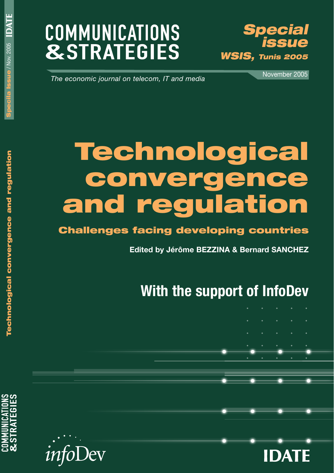# **COMMUNICATIONS &STRATEGIES**



*The economic journal on telecom, IT and media*

November 2005

# **Technological convergence and regulation**

# **Challenges facing developing countries**

**Edited by Jérôme BEZZINA & Bernard SANCHEZ**

# **With the support of InfoDev**

- -
	-





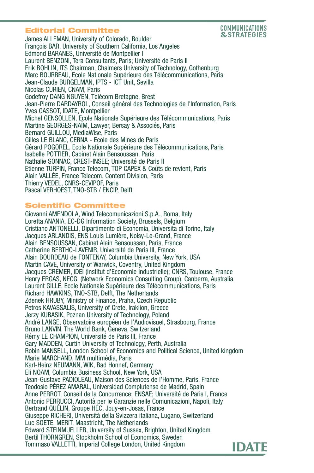#### **Editorial Committee**



James ALLEMAN, University of Colorado, Boulder François BAR, University of Southern California, Los Angeles Edmond BARANES, Université de Montpellier I Laurent BENZONI, Tera Consultants, Paris; Université de Paris II Erik BOHLIN, ITS Chairman, Chalmers University of Technology, Gothenburg Marc BOURREAU, Ecole Nationale Supérieure des Télécommunications, Paris Jean-Claude BURGELMAN, IPTS - ICT Unit, Sevilla Nicolas CURIEN, CNAM, Paris Godefroy DANG NGUYEN, Télécom Bretagne, Brest Jean-Pierre DARDAYROL, Conseil général des Technologies de l'Information, Paris Yves GASSOT, IDATE, Montpellier Michel GENSOLLEN, Ecole Nationale Supérieure des Télécommunications, Paris Martine GEORGES-NAÏM, Lawyer, Bersay & Associés, Paris Bernard GUILLOU, MediaWise, Paris Gilles LE BLANC, CERNA - Ecole des Mines de Paris Gérard POGOREL, Ecole Nationale Supérieure des Télécommunications, Paris Isabelle POTTIER, Cabinet Alain Bensoussan, Paris Nathalie SONNAC, CREST-INSEE; Université de Paris II Etienne TURPIN, France Telecom, TOP CAPEX & Coûts de revient, Paris Alain VALLÉE, France Telecom, Content Division, Paris Thierry VEDEL, CNRS-CEVIPOF, Paris Pascal VERHOEST, TNO-STB / ENCIP, Delft

#### **Scientific Committee**

Giovanni AMENDOLA, Wind Telecomunicazioni S.p.A., Roma, Italy Loretta ANANIA, EC-DG Information Society, Brussels, Belgium Cristiano ANTONELLI, Dipartimento di Economia, Universita di Torino, Italy Jacques ARLANDIS, ENS Louis Lumière, Noisy-Le-Grand, France Alain BENSOUSSAN, Cabinet Alain Bensoussan, Paris, France Catherine BERTHO-LAVENIR, Université de Paris III, France Alain BOURDEAU de FONTENAY, Columbia University, New York, USA Martin CAVE, University of Warwick, Coventry, United Kingdom Jacques CREMER, IDEI (Institut d'Economie industrielle); CNRS, Toulouse, France Henry ERGAS, NECG, (Network Economics Consulting Group), Canberra, Australia Laurent GILLE, Ecole Nationale Supérieure des Télécommunications, Paris Richard HAWKINS, TNO-STB, Delft, The Netherlands Zdenek HRUBY, Ministry of Finance, Praha, Czech Republic Petros KAVASSALIS, University of Crete, Iraklion, Greece Jerzy KUBASIK, Poznan University of Technology, Poland André LANGE, Observatoire européen de l'Audiovisuel, Strasbourg, France Bruno LANVIN, The World Bank, Geneva, Switzerland Rémy LE CHAMPION, Université de Paris III, France Gary MADDEN, Curtin University of Technology, Perth, Australia Robin MANSELL, London School of Economics and Political Science, United kingdom Marie MARCHAND, MM multimédia, Paris Karl-Heinz NEUMANN, WIK, Bad Honnef, Germany Eli NOAM, Columbia Business School, New York, USA Jean-Gustave PADIOLEAU, Maison des Sciences de l'Homme, Paris, France Teodosio PÉREZ AMARAL, Universidad Complutense de Madrid, Spain Anne PERROT, Conseil de la Concurrence; ENSAE; Université de Paris I, France Antonio PERRUCCI, Autorità per le Garanzie nelle Comunicazioni, Napoli, Italy Bertrand QUÉLIN, Groupe HEC, Jouy-en-Josas, France Giuseppe RICHERI, Università della Svizzera italiana, Lugano, Switzerland Luc SOETE, MERIT, Maastricht, The Netherlands Edward STEINMUELLER, University of Sussex, Brighton, United Kingdom Bertil THORNGREN, Stockholm School of Economics, Sweden Tommaso VALLETTI, Imperial College London, United Kingdom

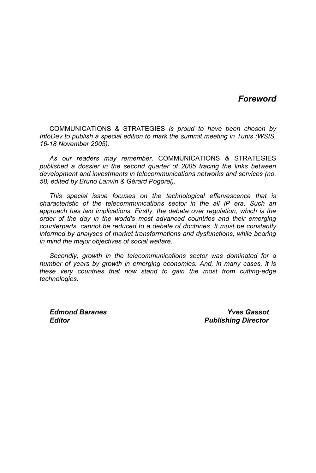#### *Foreword*

COMMUNICATIONS & STRATEGIES *is proud to have been chosen by InfoDev to publish a special edition to mark the summit meeting in Tunis (WSIS, 16-18 November 2005).* 

*As our readers may remember,* COMMUNICATIONS & STRATEGIES *published a dossier in the second quarter of 2005 tracing the links between development and investments in telecommunications networks and services (no. 58, edited by Bruno Lanvin & Gérard Pogorel).* 

*This special issue focuses on the technological effervescence that is characteristic of the telecommunications sector in the all IP era. Such an approach has two implications. Firstly, the debate over regulation, which is the order of the day in the world's most advanced countries and their emerging counterparts, cannot be reduced to a debate of doctrines. It must be constantly informed by analyses of market transformations and dysfunctions, while bearing in mind the major objectives of social welfare.* 

*Secondly, growth in the telecommunications sector was dominated for a number of years by growth in emerging economies. And, in many cases, it is these very countries that now stand to gain the most from cutting-edge technologies.* 

*Edmond Baranes Yves Gassot Editor Publishing Director*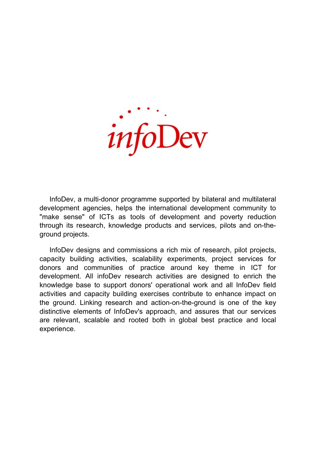

InfoDev, a multi-donor programme supported by bilateral and multilateral development agencies, helps the international development community to "make sense" of ICTs as tools of development and poverty reduction through its research, knowledge products and services, pilots and on-theground projects.

InfoDev designs and commissions a rich mix of research, pilot projects, capacity building activities, scalability experiments, project services for donors and communities of practice around key theme in ICT for development. All infoDev research activities are designed to enrich the knowledge base to support donors' operational work and all InfoDev field activities and capacity building exercises contribute to enhance impact on the ground. Linking research and action-on-the-ground is one of the key distinctive elements of InfoDev's approach, and assures that our services are relevant, scalable and rooted both in global best practice and local experience.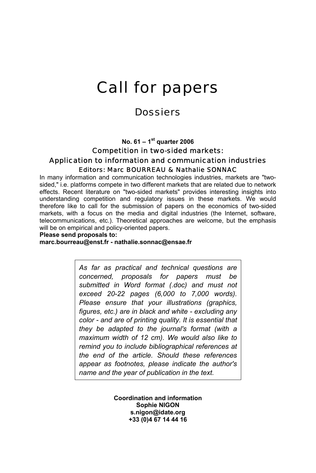# Call for papers

## **Dossiers**

**No. 61 – 1st quarter 2006** 

#### Competition in two-sided markets: Application to information and communication industries Editors: Marc BOURREAU & Nathalie SONNAC

In many information and communication technologies industries, markets are "twosided," i.e. platforms compete in two different markets that are related due to network effects. Recent literature on "two-sided markets" provides interesting insights into understanding competition and regulatory issues in these markets. We would therefore like to call for the submission of papers on the economics of two-sided markets, with a focus on the media and digital industries (the Internet, software, telecommunications, etc.). Theoretical approaches are welcome, but the emphasis will be on empirical and policy-oriented papers.

#### **Please send proposals to:**

**marc.bourreau@enst.fr - nathalie.sonnac@ensae.fr** 

*As far as practical and technical questions are concerned, proposals for papers must be submitted in Word format (.doc) and must not exceed 20-22 pages (6,000 to 7,000 words). Please ensure that your illustrations (graphics, figures, etc.) are in black and white - excluding any color - and are of printing quality. It is essential that they be adapted to the journal's format (with a maximum width of 12 cm). We would also like to remind you to include bibliographical references at the end of the article. Should these references appear as footnotes, please indicate the author's name and the year of publication in the text.* 

> **Coordination and information Sophie NIGON s.nigon@idate.org +33 (0)4 67 14 44 16**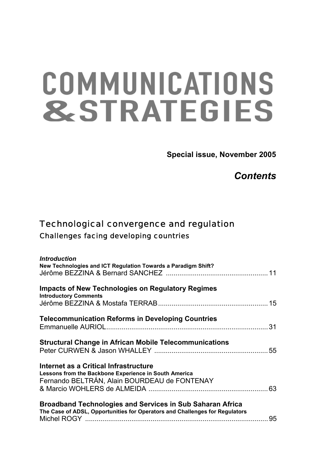# COMMUNICATIONS **&STRATEGIES**

**Special issue, November 2005** 

*Contents* 

# Technological convergence and regulation Challenges facing developing countries

| <b>Introduction</b><br>New Technologies and ICT Regulation Towards a Paradigm Shift?                                                            |  |
|-------------------------------------------------------------------------------------------------------------------------------------------------|--|
| <b>Impacts of New Technologies on Regulatory Regimes</b><br><b>Introductory Comments</b>                                                        |  |
| <b>Telecommunication Reforms in Developing Countries</b>                                                                                        |  |
| <b>Structural Change in African Mobile Telecommunications</b>                                                                                   |  |
| Internet as a Critical Infrastructure<br>Lessons from the Backbone Experience in South America<br>Fernando BELTRÁN, Alain BOURDEAU de FONTENAY  |  |
| <b>Broadband Technologies and Services in Sub Saharan Africa</b><br>The Case of ADSL, Opportunities for Operators and Challenges for Regulators |  |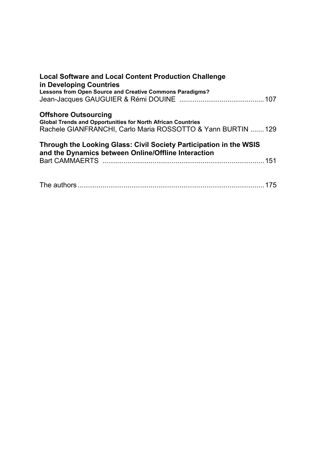| <b>Local Software and Local Content Production Challenge</b><br>in Developing Countries                                   |
|---------------------------------------------------------------------------------------------------------------------------|
| Lessons from Open Source and Creative Commons Paradigms?                                                                  |
|                                                                                                                           |
| <b>Offshore Outsourcing</b>                                                                                               |
| <b>Global Trends and Opportunities for North African Countries</b>                                                        |
| Rachele GIANFRANCHI, Carlo Maria ROSSOTTO & Yann BURTIN  129                                                              |
| Through the Looking Glass: Civil Society Participation in the WSIS<br>and the Dynamics between Online/Offline Interaction |
|                                                                                                                           |
|                                                                                                                           |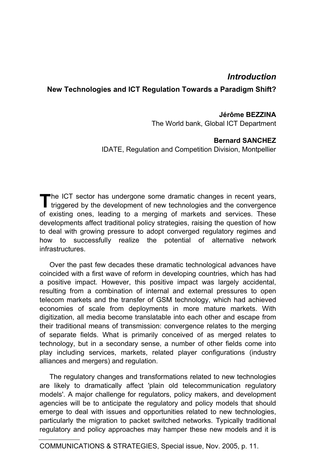### *Introduction*

#### **New Technologies and ICT Regulation Towards a Paradigm Shift?**

#### **Jérôme BEZZINA**

The World bank, Global ICT Department

#### **Bernard SANCHEZ**

IDATE, Regulation and Competition Division, Montpellier

he ICT sector has undergone some dramatic changes in recent years, The ICT sector has undergone some dramatic changes in recent years, triggered by the development of new technologies and the convergence of existing ones, leading to a merging of markets and services. These developments affect traditional policy strategies, raising the question of how to deal with growing pressure to adopt converged regulatory regimes and how to successfully realize the potential of alternative network infrastructures.

Over the past few decades these dramatic technological advances have coincided with a first wave of reform in developing countries, which has had a positive impact. However, this positive impact was largely accidental, resulting from a combination of internal and external pressures to open telecom markets and the transfer of GSM technology, which had achieved economies of scale from deployments in more mature markets. With digitization, all media become translatable into each other and escape from their traditional means of transmission: convergence relates to the merging of separate fields. What is primarily conceived of as merged relates to technology, but in a secondary sense, a number of other fields come into play including services, markets, related player configurations (industry alliances and mergers) and regulation.

The regulatory changes and transformations related to new technologies are likely to dramatically affect 'plain old telecommunication regulatory models'. A major challenge for regulators, policy makers, and development agencies will be to anticipate the regulatory and policy models that should emerge to deal with issues and opportunities related to new technologies, particularly the migration to packet switched networks. Typically traditional regulatory and policy approaches may hamper these new models and it is

COMMUNICATIONS & STRATEGIES, Special issue, Nov. 2005, p. 11.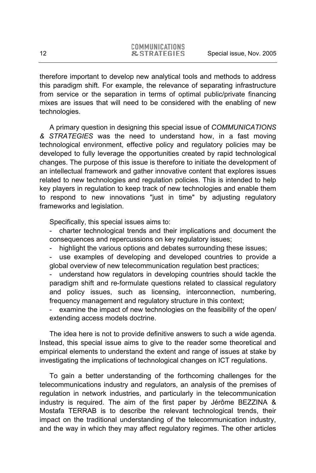therefore important to develop new analytical tools and methods to address this paradigm shift. For example, the relevance of separating infrastructure from service or the separation in terms of optimal public/private financing mixes are issues that will need to be considered with the enabling of new technologies.

A primary question in designing this special issue of *COMMUNICATIONS & STRATEGIES* was the need to understand how, in a fast moving technological environment, effective policy and regulatory policies may be developed to fully leverage the opportunities created by rapid technological changes. The purpose of this issue is therefore to initiate the development of an intellectual framework and gather innovative content that explores issues related to new technologies and regulation policies. This is intended to help key players in regulation to keep track of new technologies and enable them to respond to new innovations "just in time" by adjusting regulatory frameworks and legislation.

Specifically, this special issues aims to:

- charter technological trends and their implications and document the consequences and repercussions on key regulatory issues;

highlight the various options and debates surrounding these issues;

use examples of developing and developed countries to provide a global overview of new telecommunication regulation best practices;

understand how regulators in developing countries should tackle the paradigm shift and re-formulate questions related to classical regulatory and policy issues, such as licensing, interconnection, numbering, frequency management and regulatory structure in this context;

examine the impact of new technologies on the feasibility of the open/ extending access models doctrine.

The idea here is not to provide definitive answers to such a wide agenda. Instead, this special issue aims to give to the reader some theoretical and empirical elements to understand the extent and range of issues at stake by investigating the implications of technological changes on ICT regulations.

To gain a better understanding of the forthcoming challenges for the telecommunications industry and regulators, an analysis of the premises of regulation in network industries, and particularly in the telecommunication industry is required. The aim of the first paper by Jérôme BEZZINA & Mostafa TERRAB is to describe the relevant technological trends, their impact on the traditional understanding of the telecommunication industry, and the way in which they may affect regulatory regimes. The other articles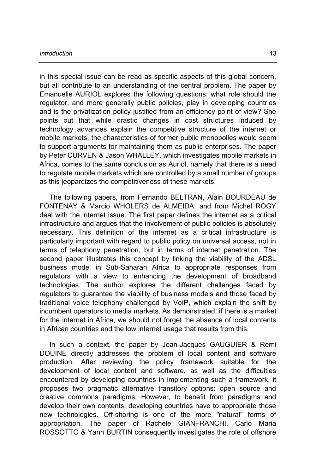#### *Introduction* 13

in this special issue can be read as specific aspects of this global concern, but all contribute to an understanding of the central problem. The paper by Emanuelle AURIOL explores the following questions: what role should the regulator, and more generally public policies, play in developing countries and is the privatization policy justified from an efficiency point of view? She points out that while drastic changes in cost structures induced by technology advances explain the competitive structure of the internet or mobile markets, the characteristics of former public monopolies would seem to support arguments for maintaining them as public enterprises. The paper by Peter CURVEN & Jason WHALLEY, which investigates mobile markets in Africa, comes to the same conclusion as Auriol, namely that there is a need to regulate mobile markets which are controlled by a small number of groups as this jeopardizes the competitiveness of these markets.

The following papers, from Fernando BELTRAN, Alain BOURDEAU de FONTENAY & Marcio WHOLERS de ALMEIDA, and from Michel ROGY deal with the internet issue. The first paper defines the internet as a critical infrastructure and argues that the involvement of public policies is absolutely necessary. This definition of the internet as a critical infrastructure is particularly important with regard to public policy on universal access, not in terms of telephony penetration, but in terms of internet penetration. The second paper illustrates this concept by linking the viability of the ADSL business model in Sub-Saharan Africa to appropriate responses from regulators with a view to enhancing the development of broadband technologies. The author explores the different challenges faced by regulators to guarantee the viability of business models and those faced by traditional voice telephony challenged by VoIP, which explain the shift by incumbent operators to media markets. As demonstrated, if there is a market for the internet in Africa, we should not forget the absence of local contents in African countries and the low internet usage that results from this.

In such a context, the paper by Jean-Jacques GAUGUIER & Rémi DOUINE directly addresses the problem of local content and software production. After reviewing the policy framework suitable for the development of local content and software, as well as the difficulties encountered by developing countries in implementing such a framework, it proposes two pragmatic alternative transitory options: open source and creative commons paradigms. However, to benefit from paradigms and develop their own contents, developing countries have to appropriate those new technologies. Off-shoring is one of the more "natural" forms of appropriation. The paper of Rachele GIANFRANCHI, Carlo Maria ROSSOTTO & Yann BURTIN consequently investigates the role of offshore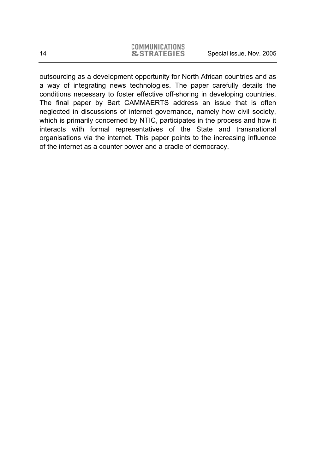|  | COMMUNICATIONS          |  |
|--|-------------------------|--|
|  | <b>&amp; STRATEGIES</b> |  |

outsourcing as a development opportunity for North African countries and as a way of integrating news technologies. The paper carefully details the conditions necessary to foster effective off-shoring in developing countries. The final paper by Bart CAMMAERTS address an issue that is often neglected in discussions of internet governance, namely how civil society, which is primarily concerned by NTIC, participates in the process and how it interacts with formal representatives of the State and transnational organisations via the internet. This paper points to the increasing influence of the internet as a counter power and a cradle of democracy.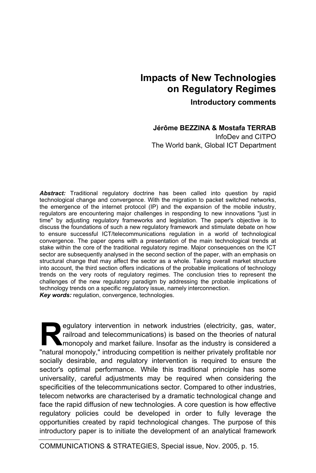## **Impacts of New Technologies on Regulatory Regimes**

**Introductory comments** 

**Jérôme BEZZINA & Mostafa TERRAB** 

InfoDev and CITPO The World bank, Global ICT Department

*Abstract:* Traditional regulatory doctrine has been called into question by rapid technological change and convergence. With the migration to packet switched networks, the emergence of the internet protocol (IP) and the expansion of the mobile industry, regulators are encountering major challenges in responding to new innovations "just in time" by adjusting regulatory frameworks and legislation. The paper's objective is to discuss the foundations of such a new regulatory framework and stimulate debate on how to ensure successful ICT/telecommunications regulation in a world of technological convergence. The paper opens with a presentation of the main technological trends at stake within the core of the traditional regulatory regime. Major consequences on the ICT sector are subsequently analysed in the second section of the paper, with an emphasis on structural change that may affect the sector as a whole. Taking overall market structure into account, the third section offers indications of the probable implications of technology trends on the very roots of regulatory regimes. The conclusion tries to represent the challenges of the new regulatory paradigm by addressing the probable implications of technology trends on a specific regulatory issue, namely interconnection. *Key words:* regulation, convergence, technologies.

equiatory intervention in network industries (electricity, gas, water, railroad and telecommunications) is based on the theories of natural monopoly and market failure. Insofar as the industry is considered a egulatory intervention in network industries (electricity, gas, water, railroad and telecommunications) is based on the theories of natural monopoly and market failure. Insofar as the industry is considered a "natural mono socially desirable, and regulatory intervention is required to ensure the sector's optimal performance. While this traditional principle has some universality, careful adjustments may be required when considering the specificities of the telecommunications sector. Compared to other industries, telecom networks are characterised by a dramatic technological change and face the rapid diffusion of new technologies. A core question is how effective regulatory policies could be developed in order to fully leverage the opportunities created by rapid technological changes. The purpose of this introductory paper is to initiate the development of an analytical framework

COMMUNICATIONS & STRATEGIES, Special issue, Nov. 2005, p. 15.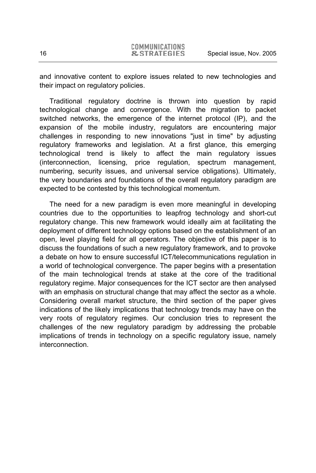and innovative content to explore issues related to new technologies and their impact on regulatory policies.

Traditional regulatory doctrine is thrown into question by rapid technological change and convergence. With the migration to packet switched networks, the emergence of the internet protocol (IP), and the expansion of the mobile industry, regulators are encountering major challenges in responding to new innovations "just in time" by adjusting regulatory frameworks and legislation. At a first glance, this emerging technological trend is likely to affect the main regulatory issues (interconnection, licensing, price regulation, spectrum management, numbering, security issues, and universal service obligations). Ultimately, the very boundaries and foundations of the overall regulatory paradigm are expected to be contested by this technological momentum.

The need for a new paradigm is even more meaningful in developing countries due to the opportunities to leapfrog technology and short-cut regulatory change. This new framework would ideally aim at facilitating the deployment of different technology options based on the establishment of an open, level playing field for all operators. The objective of this paper is to discuss the foundations of such a new regulatory framework, and to provoke a debate on how to ensure successful ICT/telecommunications regulation in a world of technological convergence. The paper begins with a presentation of the main technological trends at stake at the core of the traditional regulatory regime. Major consequences for the ICT sector are then analysed with an emphasis on structural change that may affect the sector as a whole. Considering overall market structure, the third section of the paper gives indications of the likely implications that technology trends may have on the very roots of regulatory regimes. Our conclusion tries to represent the challenges of the new regulatory paradigm by addressing the probable implications of trends in technology on a specific regulatory issue, namely interconnection.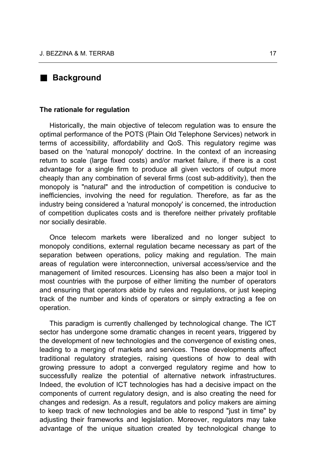#### **Background**

#### **The rationale for regulation**

Historically, the main objective of telecom regulation was to ensure the optimal performance of the POTS (Plain Old Telephone Services) network in terms of accessibility, affordability and QoS. This regulatory regime was based on the 'natural monopoly' doctrine. In the context of an increasing return to scale (large fixed costs) and/or market failure, if there is a cost advantage for a single firm to produce all given vectors of output more cheaply than any combination of several firms (cost sub-additivity), then the monopoly is "natural" and the introduction of competition is conducive to inefficiencies, involving the need for regulation. Therefore, as far as the industry being considered a 'natural monopoly' is concerned, the introduction of competition duplicates costs and is therefore neither privately profitable nor socially desirable.

Once telecom markets were liberalized and no longer subject to monopoly conditions, external regulation became necessary as part of the separation between operations, policy making and regulation. The main areas of regulation were interconnection, universal access/service and the management of limited resources. Licensing has also been a major tool in most countries with the purpose of either limiting the number of operators and ensuring that operators abide by rules and regulations, or just keeping track of the number and kinds of operators or simply extracting a fee on operation.

This paradigm is currently challenged by technological change. The ICT sector has undergone some dramatic changes in recent years, triggered by the development of new technologies and the convergence of existing ones, leading to a merging of markets and services. These developments affect traditional regulatory strategies, raising questions of how to deal with growing pressure to adopt a converged regulatory regime and how to successfully realize the potential of alternative network infrastructures. Indeed, the evolution of ICT technologies has had a decisive impact on the components of current regulatory design, and is also creating the need for changes and redesign. As a result, regulators and policy makers are aiming to keep track of new technologies and be able to respond "just in time" by adjusting their frameworks and legislation. Moreover, regulators may take advantage of the unique situation created by technological change to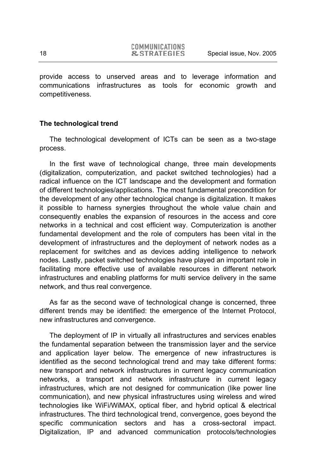provide access to unserved areas and to leverage information and communications infrastructures as tools for economic growth and competitiveness.

#### **The technological trend**

The technological development of ICTs can be seen as a two-stage process.

In the first wave of technological change, three main developments (digitalization, computerization, and packet switched technologies) had a radical influence on the ICT landscape and the development and formation of different technologies/applications. The most fundamental precondition for the development of any other technological change is digitalization. It makes it possible to harness synergies throughout the whole value chain and consequently enables the expansion of resources in the access and core networks in a technical and cost efficient way. Computerization is another fundamental development and the role of computers has been vital in the development of infrastructures and the deployment of network nodes as a replacement for switches and as devices adding intelligence to network nodes. Lastly, packet switched technologies have played an important role in facilitating more effective use of available resources in different network infrastructures and enabling platforms for multi service delivery in the same network, and thus real convergence.

As far as the second wave of technological change is concerned, three different trends may be identified: the emergence of the Internet Protocol, new infrastructures and convergence.

The deployment of IP in virtually all infrastructures and services enables the fundamental separation between the transmission layer and the service and application layer below. The emergence of new infrastructures is identified as the second technological trend and may take different forms: new transport and network infrastructures in current legacy communication networks, a transport and network infrastructure in current legacy infrastructures, which are not designed for communication (like power line communication), and new physical infrastructures using wireless and wired technologies like WiFi/WiMAX, optical fiber, and hybrid optical & electrical infrastructures. The third technological trend, convergence, goes beyond the specific communication sectors and has a cross-sectoral impact. Digitalization, IP and advanced communication protocols/technologies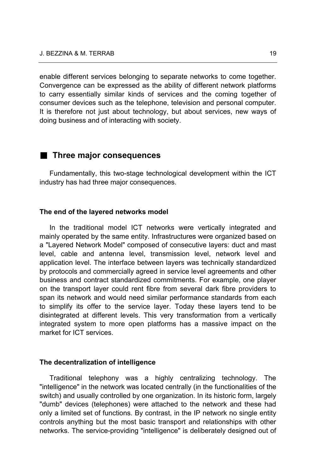enable different services belonging to separate networks to come together. Convergence can be expressed as the ability of different network platforms to carry essentially similar kinds of services and the coming together of consumer devices such as the telephone, television and personal computer. It is therefore not just about technology, but about services, new ways of doing business and of interacting with society.

#### **Three major consequences**

Fundamentally, this two-stage technological development within the ICT industry has had three major consequences.

#### **The end of the layered networks model**

In the traditional model ICT networks were vertically integrated and mainly operated by the same entity. Infrastructures were organized based on a "Layered Network Model" composed of consecutive layers: duct and mast level, cable and antenna level, transmission level, network level and application level. The interface between layers was technically standardized by protocols and commercially agreed in service level agreements and other business and contract standardized commitments. For example, one player on the transport layer could rent fibre from several dark fibre providers to span its network and would need similar performance standards from each to simplify its offer to the service layer. Today these layers tend to be disintegrated at different levels. This very transformation from a vertically integrated system to more open platforms has a massive impact on the market for ICT services.

#### **The decentralization of intelligence**

Traditional telephony was a highly centralizing technology. The "intelligence" in the network was located centrally (in the functionalities of the switch) and usually controlled by one organization. In its historic form, largely "dumb" devices (telephones) were attached to the network and these had only a limited set of functions. By contrast, in the IP network no single entity controls anything but the most basic transport and relationships with other networks. The service-providing "intelligence" is deliberately designed out of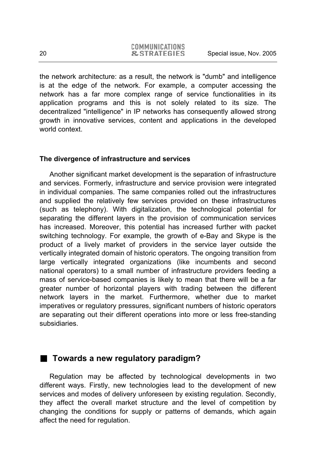the network architecture: as a result, the network is "dumb" and intelligence is at the edge of the network. For example, a computer accessing the network has a far more complex range of service functionalities in its application programs and this is not solely related to its size. The decentralized "intelligence" in IP networks has consequently allowed strong growth in innovative services, content and applications in the developed world context.

#### **The divergence of infrastructure and services**

Another significant market development is the separation of infrastructure and services. Formerly, infrastructure and service provision were integrated in individual companies. The same companies rolled out the infrastructures and supplied the relatively few services provided on these infrastructures (such as telephony). With digitalization, the technological potential for separating the different layers in the provision of communication services has increased. Moreover, this potential has increased further with packet switching technology. For example, the growth of e-Bay and Skype is the product of a lively market of providers in the service layer outside the vertically integrated domain of historic operators. The ongoing transition from large vertically integrated organizations (like incumbents and second national operators) to a small number of infrastructure providers feeding a mass of service-based companies is likely to mean that there will be a far greater number of horizontal players with trading between the different network layers in the market. Furthermore, whether due to market imperatives or regulatory pressures, significant numbers of historic operators are separating out their different operations into more or less free-standing subsidiaries.

#### **Towards a new regulatory paradigm?**

Regulation may be affected by technological developments in two different ways. Firstly, new technologies lead to the development of new services and modes of delivery unforeseen by existing regulation. Secondly, they affect the overall market structure and the level of competition by changing the conditions for supply or patterns of demands, which again affect the need for regulation.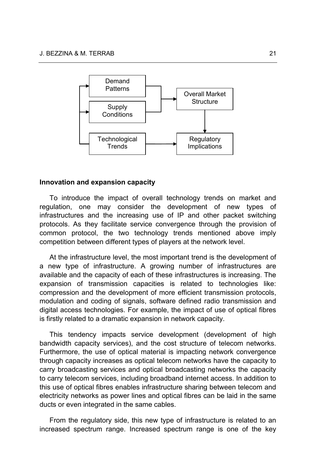

#### **Innovation and expansion capacity**

To introduce the impact of overall technology trends on market and regulation, one may consider the development of new types of infrastructures and the increasing use of IP and other packet switching protocols. As they facilitate service convergence through the provision of common protocol, the two technology trends mentioned above imply competition between different types of players at the network level.

At the infrastructure level, the most important trend is the development of a new type of infrastructure. A growing number of infrastructures are available and the capacity of each of these infrastructures is increasing. The expansion of transmission capacities is related to technologies like: compression and the development of more efficient transmission protocols, modulation and coding of signals, software defined radio transmission and digital access technologies. For example, the impact of use of optical fibres is firstly related to a dramatic expansion in network capacity.

This tendency impacts service development (development of high bandwidth capacity services), and the cost structure of telecom networks. Furthermore, the use of optical material is impacting network convergence through capacity increases as optical telecom networks have the capacity to carry broadcasting services and optical broadcasting networks the capacity to carry telecom services, including broadband internet access. In addition to this use of optical fibres enables infrastructure sharing between telecom and electricity networks as power lines and optical fibres can be laid in the same ducts or even integrated in the same cables.

From the regulatory side, this new type of infrastructure is related to an increased spectrum range. Increased spectrum range is one of the key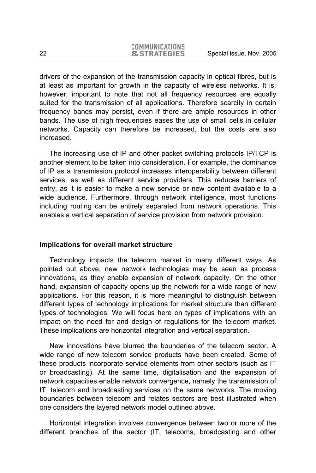drivers of the expansion of the transmission capacity in optical fibres, but is at least as important for growth in the capacity of wireless networks. It is, however, important to note that not all frequency resources are equally suited for the transmission of all applications. Therefore scarcity in certain frequency bands may persist, even if there are ample resources in other bands. The use of high frequencies eases the use of small cells in cellular networks. Capacity can therefore be increased, but the costs are also increased.

The increasing use of IP and other packet switching protocols IP/TCP is another element to be taken into consideration. For example, the dominance of IP as a transmission protocol increases interoperability between different services, as well as different service providers. This reduces barriers of entry, as it is easier to make a new service or new content available to a wide audience. Furthermore, through network intelligence, most functions including routing can be entirely separated from network operations. This enables a vertical separation of service provision from network provision.

#### **Implications for overall market structure**

Technology impacts the telecom market in many different ways. As pointed out above, new network technologies may be seen as process innovations, as they enable expansion of network capacity. On the other hand, expansion of capacity opens up the network for a wide range of new applications. For this reason, it is more meaningful to distinguish between different types of technology implications for market structure than different types of technologies. We will focus here on types of implications with an impact on the need for and design of regulations for the telecom market. These implications are horizontal integration and vertical separation.

New innovations have blurred the boundaries of the telecom sector. A wide range of new telecom service products have been created. Some of these products incorporate service elements from other sectors (such as IT or broadcasting). At the same time, digitalisation and the expansion of network capacities enable network convergence, namely the transmission of IT, telecom and broadcasting services on the same networks. The moving boundaries between telecom and relates sectors are best illustrated when one considers the layered network model outlined above.

Horizontal integration involves convergence between two or more of the different branches of the sector (IT, telecoms, broadcasting and other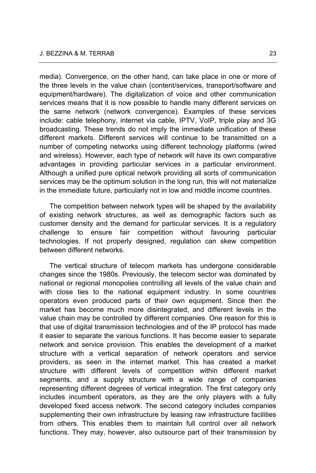media). Convergence, on the other hand, can take place in one or more of the three levels in the value chain (content/services, transport/software and equipment/hardware). The digitalization of voice and other communication services means that it is now possible to handle many different services on the same network (network convergence). Examples of these services include: cable telephony, internet via cable, IPTV, VoIP, triple play and 3G broadcasting. These trends do not imply the immediate unification of these different markets. Different services will continue to be transmitted on a number of competing networks using different technology platforms (wired and wireless). However, each type of network will have its own comparative advantages in providing particular services in a particular environment. Although a unified pure optical network providing all sorts of communication services may be the optimum solution in the long run, this will not materialize in the immediate future, particularly not in low and middle income countries.

The competition between network types will be shaped by the availability of existing network structures, as well as demographic factors such as customer density and the demand for particular services. It is a regulatory challenge to ensure fair competition without favouring particular technologies. If not properly designed, regulation can skew competition between different networks.

The vertical structure of telecom markets has undergone considerable changes since the 1980s. Previously, the telecom sector was dominated by national or regional monopolies controlling all levels of the value chain and with close ties to the national equipment industry. In some countries operators even produced parts of their own equipment. Since then the market has become much more disintegrated, and different levels in the value chain may be controlled by different companies. One reason for this is that use of digital transmission technologies and of the IP protocol has made it easier to separate the various functions. It has become easier to separate network and service provision. This enables the development of a market structure with a vertical separation of network operators and service providers, as seen in the internet market. This has created a market structure with different levels of competition within different market segments, and a supply structure with a wide range of companies representing different degrees of vertical integration. The first category only includes incumbent operators, as they are the only players with a fully developed fixed access network. The second category includes companies supplementing their own infrastructure by leasing raw infrastructure facilities from others. This enables them to maintain full control over all network functions. They may, however, also outsource part of their transmission by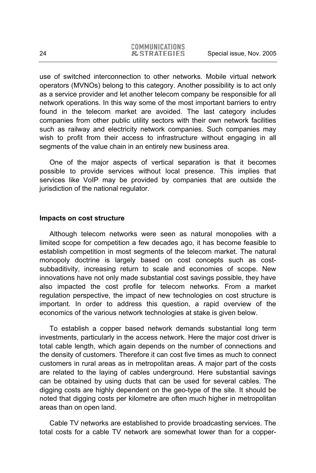use of switched interconnection to other networks. Mobile virtual network operators (MVNOs) belong to this category. Another possibility is to act only as a service provider and let another telecom company be responsible for all network operations. In this way some of the most important barriers to entry found in the telecom market are avoided. The last category includes companies from other public utility sectors with their own network facilities such as railway and electricity network companies. Such companies may wish to profit from their access to infrastructure without engaging in all segments of the value chain in an entirely new business area.

One of the major aspects of vertical separation is that it becomes possible to provide services without local presence. This implies that services like VoIP may be provided by companies that are outside the jurisdiction of the national regulator.

#### **Impacts on cost structure**

Although telecom networks were seen as natural monopolies with a limited scope for competition a few decades ago, it has become feasible to establish competition in most segments of the telecom market. The natural monopoly doctrine is largely based on cost concepts such as costsubbaditivity, increasing return to scale and economies of scope. New innovations have not only made substantial cost savings possible, they have also impacted the cost profile for telecom networks. From a market regulation perspective, the impact of new technologies on cost structure is important. In order to address this question, a rapid overview of the economics of the various network technologies at stake is given below.

To establish a copper based network demands substantial long term investments, particularly in the access network. Here the major cost driver is total cable length, which again depends on the number of connections and the density of customers. Therefore it can cost five times as much to connect customers in rural areas as in metropolitan areas. A major part of the costs are related to the laying of cables underground. Here substantial savings can be obtained by using ducts that can be used for several cables. The digging costs are highly dependent on the geo-type of the site. It should be noted that digging costs per kilometre are often much higher in metropolitan areas than on open land.

Cable TV networks are established to provide broadcasting services. The total costs for a cable TV network are somewhat lower than for a copper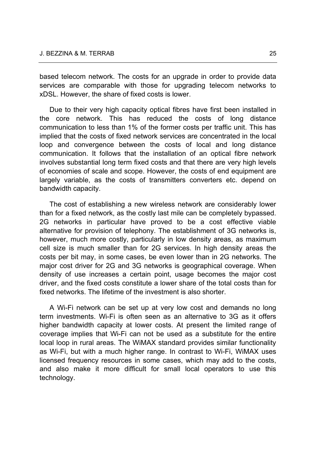based telecom network. The costs for an upgrade in order to provide data services are comparable with those for upgrading telecom networks to xDSL. However, the share of fixed costs is lower.

Due to their very high capacity optical fibres have first been installed in the core network. This has reduced the costs of long distance communication to less than 1% of the former costs per traffic unit. This has implied that the costs of fixed network services are concentrated in the local loop and convergence between the costs of local and long distance communication. It follows that the installation of an optical fibre network involves substantial long term fixed costs and that there are very high levels of economies of scale and scope. However, the costs of end equipment are largely variable, as the costs of transmitters converters etc. depend on bandwidth capacity.

The cost of establishing a new wireless network are considerably lower than for a fixed network, as the costly last mile can be completely bypassed. 2G networks in particular have proved to be a cost effective viable alternative for provision of telephony. The establishment of 3G networks is, however, much more costly, particularly in low density areas, as maximum cell size is much smaller than for 2G services. In high density areas the costs per bit may, in some cases, be even lower than in 2G networks. The major cost driver for 2G and 3G networks is geographical coverage. When density of use increases a certain point, usage becomes the major cost driver, and the fixed costs constitute a lower share of the total costs than for fixed networks. The lifetime of the investment is also shorter

A Wi-Fi network can be set up at very low cost and demands no long term investments. Wi-Fi is often seen as an alternative to 3G as it offers higher bandwidth capacity at lower costs. At present the limited range of coverage implies that Wi-Fi can not be used as a substitute for the entire local loop in rural areas. The WiMAX standard provides similar functionality as Wi-Fi, but with a much higher range. In contrast to Wi-Fi, WiMAX uses licensed frequency resources in some cases, which may add to the costs, and also make it more difficult for small local operators to use this technology.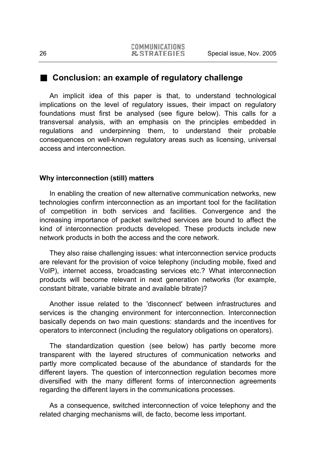#### **Conclusion: an example of regulatory challenge**

An implicit idea of this paper is that, to understand technological implications on the level of regulatory issues, their impact on regulatory foundations must first be analysed (see figure below). This calls for a transversal analysis, with an emphasis on the principles embedded in regulations and underpinning them, to understand their probable consequences on well-known regulatory areas such as licensing, universal access and interconnection.

#### **Why interconnection (still) matters**

In enabling the creation of new alternative communication networks, new technologies confirm interconnection as an important tool for the facilitation of competition in both services and facilities. Convergence and the increasing importance of packet switched services are bound to affect the kind of interconnection products developed. These products include new network products in both the access and the core network.

They also raise challenging issues: what interconnection service products are relevant for the provision of voice telephony (including mobile, fixed and VoIP), internet access, broadcasting services etc.? What interconnection products will become relevant in next generation networks (for example, constant bitrate, variable bitrate and available bitrate)?

Another issue related to the 'disconnect' between infrastructures and services is the changing environment for interconnection. Interconnection basically depends on two main questions: standards and the incentives for operators to interconnect (including the regulatory obligations on operators).

The standardization question (see below) has partly become more transparent with the layered structures of communication networks and partly more complicated because of the abundance of standards for the different layers. The question of interconnection regulation becomes more diversified with the many different forms of interconnection agreements regarding the different layers in the communications processes.

As a consequence, switched interconnection of voice telephony and the related charging mechanisms will, de facto, become less important.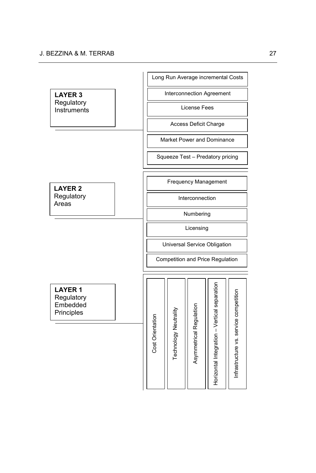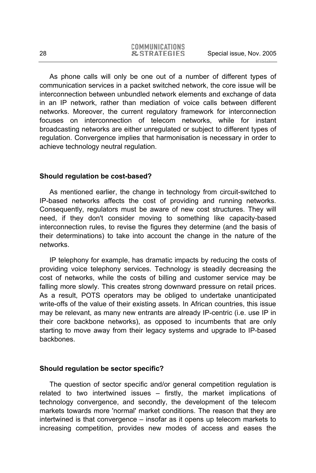As phone calls will only be one out of a number of different types of communication services in a packet switched network, the core issue will be interconnection between unbundled network elements and exchange of data in an IP network, rather than mediation of voice calls between different networks. Moreover, the current regulatory framework for interconnection focuses on interconnection of telecom networks, while for instant broadcasting networks are either unregulated or subject to different types of regulation. Convergence implies that harmonisation is necessary in order to achieve technology neutral regulation.

#### **Should regulation be cost-based?**

As mentioned earlier, the change in technology from circuit-switched to IP-based networks affects the cost of providing and running networks. Consequently, regulators must be aware of new cost structures. They will need, if they don't consider moving to something like capacity-based interconnection rules, to revise the figures they determine (and the basis of their determinations) to take into account the change in the nature of the networks.

IP telephony for example, has dramatic impacts by reducing the costs of providing voice telephony services. Technology is steadily decreasing the cost of networks, while the costs of billing and customer service may be falling more slowly. This creates strong downward pressure on retail prices. As a result, POTS operators may be obliged to undertake unanticipated write-offs of the value of their existing assets. In African countries, this issue may be relevant, as many new entrants are already IP-centric (i.e. use IP in their core backbone networks), as opposed to incumbents that are only starting to move away from their legacy systems and upgrade to IP-based backbones.

#### **Should regulation be sector specific?**

The question of sector specific and/or general competition regulation is related to two intertwined issues – firstly, the market implications of technology convergence, and secondly, the development of the telecom markets towards more 'normal' market conditions. The reason that they are intertwined is that convergence – insofar as it opens up telecom markets to increasing competition, provides new modes of access and eases the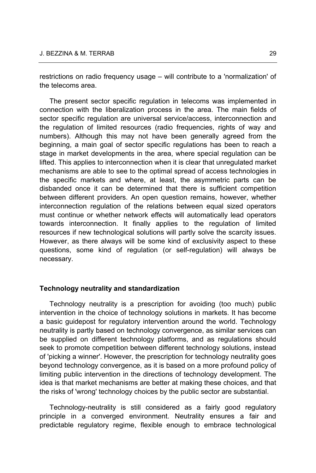restrictions on radio frequency usage – will contribute to a 'normalization' of the telecoms area.

The present sector specific regulation in telecoms was implemented in connection with the liberalization process in the area. The main fields of sector specific regulation are universal service/access, interconnection and the regulation of limited resources (radio frequencies, rights of way and numbers). Although this may not have been generally agreed from the beginning, a main goal of sector specific regulations has been to reach a stage in market developments in the area, where special regulation can be lifted. This applies to interconnection when it is clear that unregulated market mechanisms are able to see to the optimal spread of access technologies in the specific markets and where, at least, the asymmetric parts can be disbanded once it can be determined that there is sufficient competition between different providers. An open question remains, however, whether interconnection regulation of the relations between equal sized operators must continue or whether network effects will automatically lead operators towards interconnection. It finally applies to the regulation of limited resources if new technological solutions will partly solve the scarcity issues. However, as there always will be some kind of exclusivity aspect to these questions, some kind of regulation (or self-regulation) will always be necessary.

#### **Technology neutrality and standardization**

Technology neutrality is a prescription for avoiding (too much) public intervention in the choice of technology solutions in markets. It has become a basic guidepost for regulatory intervention around the world. Technology neutrality is partly based on technology convergence, as similar services can be supplied on different technology platforms, and as regulations should seek to promote competition between different technology solutions, instead of 'picking a winner'. However, the prescription for technology neutrality goes beyond technology convergence, as it is based on a more profound policy of limiting public intervention in the directions of technology development. The idea is that market mechanisms are better at making these choices, and that the risks of 'wrong' technology choices by the public sector are substantial.

Technology-neutrality is still considered as a fairly good regulatory principle in a converged environment. Neutrality ensures a fair and predictable regulatory regime, flexible enough to embrace technological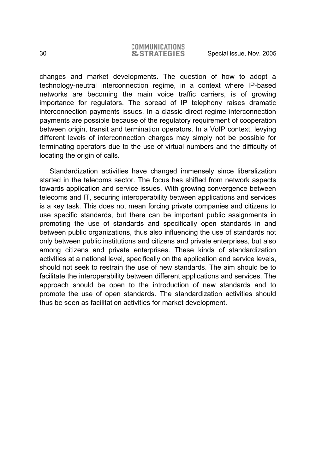changes and market developments. The question of how to adopt a technology-neutral interconnection regime, in a context where IP-based networks are becoming the main voice traffic carriers, is of growing importance for regulators. The spread of IP telephony raises dramatic interconnection payments issues. In a classic direct regime interconnection payments are possible because of the regulatory requirement of cooperation between origin, transit and termination operators. In a VoIP context, levying different levels of interconnection charges may simply not be possible for terminating operators due to the use of virtual numbers and the difficulty of locating the origin of calls.

Standardization activities have changed immensely since liberalization started in the telecoms sector. The focus has shifted from network aspects towards application and service issues. With growing convergence between telecoms and IT, securing interoperability between applications and services is a key task. This does not mean forcing private companies and citizens to use specific standards, but there can be important public assignments in promoting the use of standards and specifically open standards in and between public organizations, thus also influencing the use of standards not only between public institutions and citizens and private enterprises, but also among citizens and private enterprises. These kinds of standardization activities at a national level, specifically on the application and service levels, should not seek to restrain the use of new standards. The aim should be to facilitate the interoperability between different applications and services. The approach should be open to the introduction of new standards and to promote the use of open standards. The standardization activities should thus be seen as facilitation activities for market development.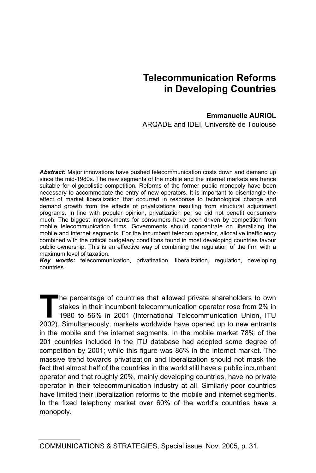# **Telecommunication Reforms in Developing Countries**

#### **Emmanuelle AURIOL**

ARQADE and IDEI, Université de Toulouse

*Abstract:* Major innovations have pushed telecommunication costs down and demand up since the mid-1980s. The new segments of the mobile and the internet markets are hence suitable for oligopolistic competition. Reforms of the former public monopoly have been necessary to accommodate the entry of new operators. It is important to disentangle the effect of market liberalization that occurred in response to technological change and demand growth from the effects of privatizations resulting from structural adjustment programs. In line with popular opinion, privatization per se did not benefit consumers much. The biggest improvements for consumers have been driven by competition from mobile telecommunication firms. Governments should concentrate on liberalizing the mobile and internet segments. For the incumbent telecom operator, allocative inefficiency combined with the critical budgetary conditions found in most developing countries favour public ownership. This is an effective way of combining the regulation of the firm with a maximum level of taxation.

*Key words:* telecommunication, privatization, liberalization, regulation, developing countries.

he percentage of countries that allowed private shareholders to own stakes in their incumbent telecommunication operator rose from 2% in 1980 to 56% in 2001 (International Telecommunication Union, ITU The percentage of countries that allowed private shareholders to own stakes in their incumbent telecommunication operator rose from 2% in 1980 to 56% in 2001 (International Telecommunication Union, ITU 2002). Simultaneousl in the mobile and the internet segments. In the mobile market 78% of the 201 countries included in the ITU database had adopted some degree of competition by 2001; while this figure was 86% in the internet market. The massive trend towards privatization and liberalization should not mask the fact that almost half of the countries in the world still have a public incumbent operator and that roughly 20%, mainly developing countries, have no private operator in their telecommunication industry at all. Similarly poor countries have limited their liberalization reforms to the mobile and internet segments. In the fixed telephony market over 60% of the world's countries have a monopoly.

COMMUNICATIONS & STRATEGIES, Special issue, Nov. 2005, p. 31.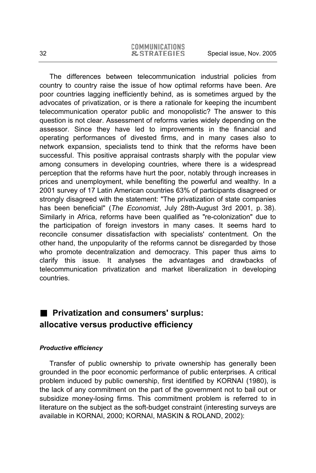The differences between telecommunication industrial policies from country to country raise the issue of how optimal reforms have been. Are poor countries lagging inefficiently behind, as is sometimes argued by the advocates of privatization, or is there a rationale for keeping the incumbent telecommunication operator public and monopolistic? The answer to this question is not clear. Assessment of reforms varies widely depending on the assessor. Since they have led to improvements in the financial and operating performances of divested firms, and in many cases also to network expansion, specialists tend to think that the reforms have been successful. This positive appraisal contrasts sharply with the popular view among consumers in developing countries, where there is a widespread perception that the reforms have hurt the poor, notably through increases in prices and unemployment, while benefiting the powerful and wealthy. In a 2001 survey of 17 Latin American countries 63% of participants disagreed or strongly disagreed with the statement: "The privatization of state companies has been beneficial" (*The Economist*, July 28th-August 3rd 2001, p. 38). Similarly in Africa, reforms have been qualified as "re-colonization" due to the participation of foreign investors in many cases. It seems hard to reconcile consumer dissatisfaction with specialists' contentment. On the other hand, the unpopularity of the reforms cannot be disregarded by those who promote decentralization and democracy. This paper thus aims to clarify this issue. It analyses the advantages and drawbacks of telecommunication privatization and market liberalization in developing countries.

### **Privatization and consumers' surplus: allocative versus productive efficiency**

#### *Productive efficiency*

Transfer of public ownership to private ownership has generally been grounded in the poor economic performance of public enterprises. A critical problem induced by public ownership, first identified by KORNAI (1980), is the lack of any commitment on the part of the government not to bail out or subsidize money-losing firms. This commitment problem is referred to in literature on the subject as the soft-budget constraint (interesting surveys are available in KORNAI, 2000; KORNAI, MASKIN & ROLAND, 2002):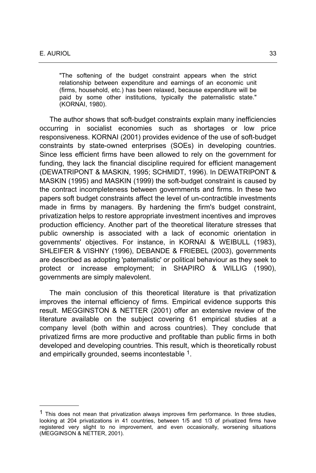$\overline{a}$ 

"The softening of the budget constraint appears when the strict relationship between expenditure and earnings of an economic unit (firms, household, etc.) has been relaxed, because expenditure will be paid by some other institutions, typically the paternalistic state." (KORNAI, 1980).

The author shows that soft-budget constraints explain many inefficiencies occurring in socialist economies such as shortages or low price responsiveness. KORNAI (2001) provides evidence of the use of soft-budget constraints by state-owned enterprises (SOEs) in developing countries. Since less efficient firms have been allowed to rely on the government for funding, they lack the financial discipline required for efficient management (DEWATRIPONT & MASKIN, 1995; SCHMIDT, 1996). In DEWATRIPONT & MASKIN (1995) and MASKIN (1999) the soft-budget constraint is caused by the contract incompleteness between governments and firms. In these two papers soft budget constraints affect the level of un-contractible investments made in firms by managers. By hardening the firm's budget constraint, privatization helps to restore appropriate investment incentives and improves production efficiency. Another part of the theoretical literature stresses that public ownership is associated with a lack of economic orientation in governments' objectives. For instance, in KORNAI & WEIBULL (1983), SHLEIFER & VISHNY (1996), DEBANDE & FRIEBEL (2003), governments are described as adopting 'paternalistic' or political behaviour as they seek to protect or increase employment; in SHAPIRO & WILLIG (1990), governments are simply malevolent.

The main conclusion of this theoretical literature is that privatization improves the internal efficiency of firms. Empirical evidence supports this result. MEGGINSTON & NETTER (2001) offer an extensive review of the literature available on the subject covering 61 empirical studies at a company level (both within and across countries). They conclude that privatized firms are more productive and profitable than public firms in both developed and developing countries. This result, which is theoretically robust and empirically grounded, seems incontestable <sup>1</sup>.

 $<sup>1</sup>$  This does not mean that privatization always improves firm performance. In three studies,</sup> looking at 204 privatizations in 41 countries, between 1/5 and 1/3 of privatized firms have registered very slight to no improvement, and even occasionally, worsening situations (MEGGINSON & NETTER, 2001).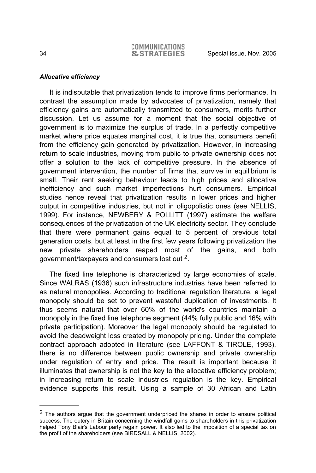#### *Allocative efficiency*

It is indisputable that privatization tends to improve firms performance. In contrast the assumption made by advocates of privatization, namely that efficiency gains are automatically transmitted to consumers, merits further discussion. Let us assume for a moment that the social objective of government is to maximize the surplus of trade. In a perfectly competitive market where price equates marginal cost, it is true that consumers benefit from the efficiency gain generated by privatization. However, in increasing return to scale industries, moving from public to private ownership does not offer a solution to the lack of competitive pressure. In the absence of government intervention, the number of firms that survive in equilibrium is small. Their rent seeking behaviour leads to high prices and allocative inefficiency and such market imperfections hurt consumers. Empirical studies hence reveal that privatization results in lower prices and higher output in competitive industries, but not in oligopolistic ones (see NELLIS, 1999). For instance, NEWBERY & POLLITT (1997) estimate the welfare consequences of the privatization of the UK electricity sector. They conclude that there were permanent gains equal to 5 percent of previous total generation costs, but at least in the first few years following privatization the new private shareholders reaped most of the gains, and both government/taxpayers and consumers lost out 2.

The fixed line telephone is characterized by large economies of scale. Since WALRAS (1936) such infrastructure industries have been referred to as natural monopolies. According to traditional regulation literature, a legal monopoly should be set to prevent wasteful duplication of investments. It thus seems natural that over 60% of the world's countries maintain a monopoly in the fixed line telephone segment (44% fully public and 16% with private participation). Moreover the legal monopoly should be regulated to avoid the deadweight loss created by monopoly pricing. Under the complete contract approach adopted in literature (see LAFFONT & TIROLE, 1993), there is no difference between public ownership and private ownership under regulation of entry and price. The result is important because it illuminates that ownership is not the key to the allocative efficiency problem; in increasing return to scale industries regulation is the key. Empirical evidence supports this result. Using a sample of 30 African and Latin

 $\overline{a}$ 

<sup>&</sup>lt;sup>2</sup> The authors argue that the government underpriced the shares in order to ensure political success. The outcry in Britain concerning the windfall gains to shareholders in this privatization helped Tony Blair's Labour party regain power. It also led to the imposition of a special tax on the profit of the shareholders (see BIRDSALL & NELLIS, 2002).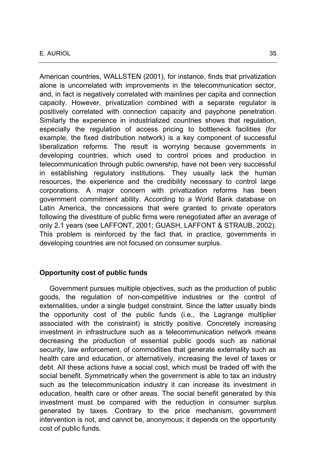American countries, WALLSTEN (2001), for instance, finds that privatization alone is uncorrelated with improvements in the telecommunication sector, and, in fact is negatively correlated with mainlines per capita and connection capacity. However, privatization combined with a separate regulator is positively correlated with connection capacity and payphone penetration. Similarly the experience in industrialized countries shows that regulation, especially the regulation of access pricing to bottleneck facilities (for example, the fixed distribution network) is a key component of successful liberalization reforms. The result is worrying because governments in developing countries, which used to control prices and production in telecommunication through public ownership, have not been very successful in establishing regulatory institutions. They usually lack the human resources, the experience and the credibility necessary to control large corporations. A major concern with privatization reforms has been government commitment ability. According to a World Bank database on Latin America, the concessions that were granted to private operators following the divestiture of public firms were renegotiated after an average of only 2.1 years (see LAFFONT, 2001; GUASH, LAFFONT & STRAUB, 2002). This problem is reinforced by the fact that, in practice, governments in developing countries are not focused on consumer surplus.

#### **Opportunity cost of public funds**

Government pursues multiple objectives, such as the production of public goods, the regulation of non-competitive industries or the control of externalities, under a single budget constraint. Since the latter usually binds the opportunity cost of the public funds (i.e., the Lagrange multiplier associated with the constraint) is strictly positive. Concretely increasing investment in infrastructure such as a telecommunication network means decreasing the production of essential public goods such as national security, law enforcement, of commodities that generate externality such as health care and education, or alternatively, increasing the level of taxes or debt. All these actions have a social cost, which must be traded off with the social benefit. Symmetrically when the government is able to tax an industry such as the telecommunication industry it can increase its investment in education, health care or other areas. The social benefit generated by this investment must be compared with the reduction in consumer surplus generated by taxes. Contrary to the price mechanism, government intervention is not, and cannot be, anonymous; it depends on the opportunity cost of public funds.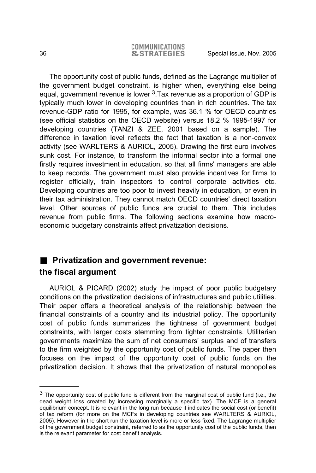The opportunity cost of public funds, defined as the Lagrange multiplier of the government budget constraint, is higher when, everything else being equal, government revenue is lower  $3.7$ ax revenue as a proportion of GDP is typically much lower in developing countries than in rich countries. The tax revenue-GDP ratio for 1995, for example, was 36.1 % for OECD countries (see official statistics on the OECD website) versus 18.2 % 1995-1997 for developing countries (TANZI & ZEE, 2001 based on a sample). The difference in taxation level reflects the fact that taxation is a non-convex activity (see WARLTERS & AURIOL, 2005). Drawing the first euro involves sunk cost. For instance, to transform the informal sector into a formal one firstly requires investment in education, so that all firms' managers are able to keep records. The government must also provide incentives for firms to register officially, train inspectors to control corporate activities etc. Developing countries are too poor to invest heavily in education, or even in their tax administration. They cannot match OECD countries' direct taxation level. Other sources of public funds are crucial to them. This includes revenue from public firms. The following sections examine how macroeconomic budgetary constraints affect privatization decisions.

## **Privatization and government revenue: the fiscal argument**

AURIOL & PICARD (2002) study the impact of poor public budgetary conditions on the privatization decisions of infrastructures and public utilities. Their paper offers a theoretical analysis of the relationship between the financial constraints of a country and its industrial policy. The opportunity cost of public funds summarizes the tightness of government budget constraints, with larger costs stemming from tighter constraints. Utilitarian governments maximize the sum of net consumers' surplus and of transfers to the firm weighted by the opportunity cost of public funds. The paper then focuses on the impact of the opportunity cost of public funds on the privatization decision. It shows that the privatization of natural monopolies

l

 $3$  The opportunity cost of public fund is different from the marginal cost of public fund (i.e., the dead weight loss created by increasing marginally a specific tax). The MCF is a general equilibrium concept. It is relevant in the long run because it indicates the social cost (or benefit) of tax reform (for more on the MCFs in developing countries see WARLTERS & AURIOL, 2005). However in the short run the taxation level is more or less fixed. The Lagrange multiplier of the government budget constraint, referred to as the opportunity cost of the public funds, then is the relevant parameter for cost benefit analysis.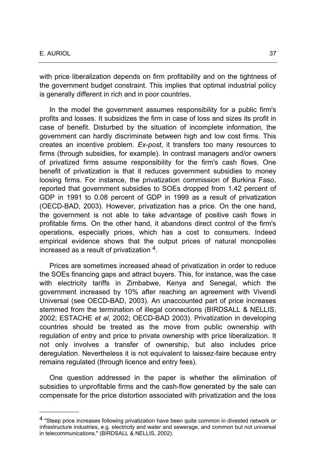#### E. AURIOL 37

l

with price liberalization depends on firm profitability and on the tightness of the government budget constraint. This implies that optimal industrial policy is generally different in rich and in poor countries.

In the model the government assumes responsibility for a public firm's profits and losses. It subsidizes the firm in case of loss and sizes its profit in case of benefit. Disturbed by the situation of incomplete information, the government can hardly discriminate between high and low cost firms. This creates an incentive problem. *Ex-post*, it transfers too many resources to firms (through subsidies, for example). In contrast managers and/or owners of privatized firms assume responsibility for the firm's cash flows. One benefit of privatization is that it reduces government subsidies to money loosing firms. For instance, the privatization commission of Burkina Faso, reported that government subsidies to SOEs dropped from 1.42 percent of GDP in 1991 to 0.08 percent of GDP in 1999 as a result of privatization (OECD-BAD, 2003). However, privatization has a price. On the one hand, the government is not able to take advantage of positive cash flows in profitable firms. On the other hand, it abandons direct control of the firm's operations, especially prices, which has a cost to consumers. Indeed empirical evidence shows that the output prices of natural monopolies increased as a result of privatization 4.

Prices are sometimes increased ahead of privatization in order to reduce the SOEs financing gaps and attract buyers. This, for instance, was the case with electricity tariffs in Zimbabwe, Kenya and Senegal, which the government increased by 10% after reaching an agreement with Vivendi Universal (see OECD-BAD, 2003). An unaccounted part of price increases stemmed from the termination of illegal connections (BIRDSALL & NELLIS, 2002; ESTACHE *et al*, 2002; OECD-BAD 2003). Privatization in developing countries should be treated as the move from public ownership with regulation of entry and price to private ownership with price liberalization. It not only involves a transfer of ownership, but also includes price deregulation. Nevertheless it is not equivalent to laissez-faire because entry remains regulated (through licence and entry fees).

One question addressed in the paper is whether the elimination of subsidies to unprofitable firms and the cash-flow generated by the sale can compensate for the price distortion associated with privatization and the loss

<sup>4 &</sup>quot;Steep price increases following privatization have been quite common in divested network or infrastructure industries, e.g. electricity and water and sewerage, and common but not universal in telecommunications." (BIRDSALL & NELLIS, 2002).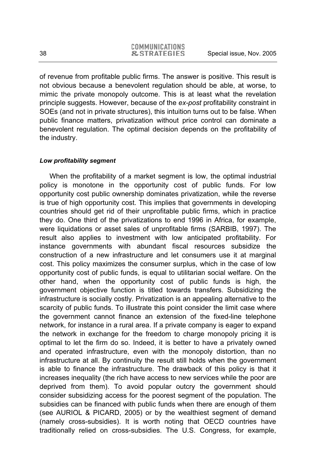of revenue from profitable public firms. The answer is positive. This result is not obvious because a benevolent regulation should be able, at worse, to mimic the private monopoly outcome. This is at least what the revelation principle suggests. However, because of the *ex-post* profitability constraint in SOEs (and not in private structures), this intuition turns out to be false. When public finance matters, privatization without price control can dominate a benevolent regulation. The optimal decision depends on the profitability of the industry.

#### *Low profitability segment*

When the profitability of a market segment is low, the optimal industrial policy is monotone in the opportunity cost of public funds. For low opportunity cost public ownership dominates privatization, while the reverse is true of high opportunity cost. This implies that governments in developing countries should get rid of their unprofitable public firms, which in practice they do. One third of the privatizations to end 1996 in Africa, for example, were liquidations or asset sales of unprofitable firms (SARBIB, 1997). The result also applies to investment with low anticipated profitability. For instance governments with abundant fiscal resources subsidize the construction of a new infrastructure and let consumers use it at marginal cost. This policy maximizes the consumer surplus, which in the case of low opportunity cost of public funds, is equal to utilitarian social welfare. On the other hand, when the opportunity cost of public funds is high, the government objective function is titled towards transfers. Subsidizing the infrastructure is socially costly. Privatization is an appealing alternative to the scarcity of public funds. To illustrate this point consider the limit case where the government cannot finance an extension of the fixed-line telephone network, for instance in a rural area. If a private company is eager to expand the network in exchange for the freedom to charge monopoly pricing it is optimal to let the firm do so. Indeed, it is better to have a privately owned and operated infrastructure, even with the monopoly distortion, than no infrastructure at all. By continuity the result still holds when the government is able to finance the infrastructure. The drawback of this policy is that it increases inequality (the rich have access to new services while the poor are deprived from them). To avoid popular outcry the government should consider subsidizing access for the poorest segment of the population. The subsidies can be financed with public funds when there are enough of them (see AURIOL & PICARD, 2005) or by the wealthiest segment of demand (namely cross-subsidies). It is worth noting that OECD countries have traditionally relied on cross-subsidies. The U.S. Congress, for example,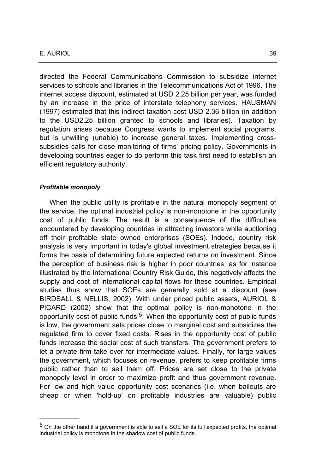directed the Federal Communications Commission to subsidize internet services to schools and libraries in the Telecommunications Act of 1996. The internet access discount, estimated at USD 2.25 billion per year, was funded by an increase in the price of interstate telephony services. HAUSMAN (1997) estimated that this indirect taxation cost USD 2.36 billion (in addition to the USD2.25 billion granted to schools and libraries). Taxation by regulation arises because Congress wants to implement social programs, but is unwilling (unable) to increase general taxes. Implementing crosssubsidies calls for close monitoring of firms' pricing policy. Governments in developing countries eager to do perform this task first need to establish an efficient regulatory authority.

#### *Profitable monopoly*

l

When the public utility is profitable in the natural monopoly segment of the service, the optimal industrial policy is non-monotone in the opportunity cost of public funds. The result is a consequence of the difficulties encountered by developing countries in attracting investors while auctioning off their profitable state owned enterprises (SOEs). Indeed, country risk analysis is very important in today's global investment strategies because it forms the basis of determining future expected returns on investment. Since the perception of business risk is higher in poor countries, as for instance illustrated by the International Country Risk Guide, this negatively affects the supply and cost of international capital flows for these countries. Empirical studies thus show that SOEs are generally sold at a discount (see BIRDSALL & NELLIS, 2002). With under priced public assets, AURIOL & PICARD (2002) show that the optimal policy is non-monotone in the opportunity cost of public funds 5. When the opportunity cost of public funds is low, the government sets prices close to marginal cost and subsidizes the regulated firm to cover fixed costs. Rises in the opportunity cost of public funds increase the social cost of such transfers. The government prefers to let a private firm take over for intermediate values. Finally, for large values the government, which focuses on revenue, prefers to keep profitable firms public rather than to sell them off. Prices are set close to the private monopoly level in order to maximize profit and thus government revenue. For low and high value opportunity cost scenarios (i.e. when bailouts are cheap or when 'hold-up' on profitable industries are valuable) public

<sup>5</sup> On the other hand if a government is able to sell a SOE for its full expected profits, the optimal industrial policy is monotone in the shadow cost of public funds.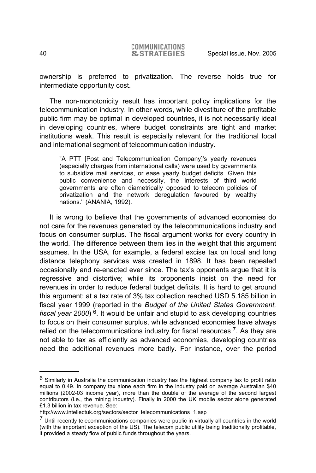ownership is preferred to privatization. The reverse holds true for intermediate opportunity cost.

The non-monotonicity result has important policy implications for the telecommunication industry. In other words, while divestiture of the profitable public firm may be optimal in developed countries, it is not necessarily ideal in developing countries, where budget constraints are tight and market institutions weak. This result is especially relevant for the traditional local and international segment of telecommunication industry.

"A PTT [Post and Telecommunication Company]'s yearly revenues (especially charges from international calls) were used by governments to subsidize mail services, or ease yearly budget deficits. Given this public convenience and necessity, the interests of third world governments are often diametrically opposed to telecom policies of privatization and the network deregulation favoured by wealthy nations.'' (ANANIA, 1992).

It is wrong to believe that the governments of advanced economies do not care for the revenues generated by the telecommunications industry and focus on consumer surplus. The fiscal argument works for every country in the world. The difference between them lies in the weight that this argument assumes. In the USA, for example, a federal excise tax on local and long distance telephony services was created in 1898. It has been repealed occasionally and re-enacted ever since. The tax's opponents argue that it is regressive and distortive; while its proponents insist on the need for revenues in order to reduce federal budget deficits. It is hard to get around this argument: at a tax rate of 3% tax collection reached USD 5.185 billion in fiscal year 1999 (reported in the *Budget of the United States Government, fiscal year 2000*) 6. It would be unfair and stupid to ask developing countries to focus on their consumer surplus, while advanced economies have always relied on the telecommunications industry for fiscal resources  $<sup>7</sup>$ . As they are</sup> not able to tax as efficiently as advanced economies, developing countries need the additional revenues more badly. For instance, over the period

-

<sup>6</sup> Similarly in Australia the communication industry has the highest company tax to profit ratio equal to 0.49. In company tax alone each firm in the industry paid on average Australian \$40 millions (2002-03 income year), more than the double of the average of the second largest contributors (i.e., the mining industry). Finally in 2000 the UK mobile sector alone generated £1.3 billion in tax revenue. See:

http://www.intellectuk.org/sectors/sector\_telecommunications\_1.asp

<sup>&</sup>lt;sup>7</sup> Until recently telecommunications companies were public in virtually all countries in the world (with the important exception of the US). The telecom public utility being traditionally profitable, it provided a steady flow of public funds throughout the years.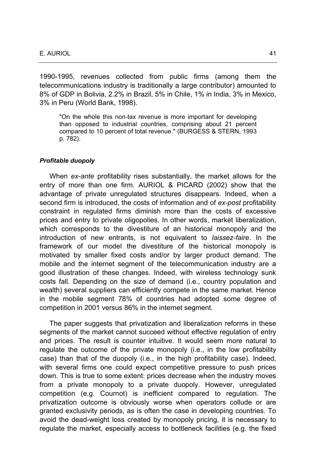1990-1995, revenues collected from public firms (among them the telecommunications industry is traditionally a large contributor) amounted to 8% of GDP in Bolivia, 2.2% in Brazil, 5% in Chile, 1% in India, 3% in Mexico, 3% in Peru (World Bank, 1998).

"On the whole this non-tax revenue is more important for developing than opposed to industrial countries, comprising about 21 percent compared to 10 percent of total revenue.'' (BURGESS & STERN, 1993 p. 782).

#### *Profitable duopoly*

When *ex-ante* profitability rises substantially, the market allows for the entry of more than one firm. AURIOL & PICARD (2002) show that the advantage of private unregulated structures disappears. Indeed, when a second firm is introduced, the costs of information and of *ex-post* profitability constraint in regulated firms diminish more than the costs of excessive prices and entry to private oligopolies. In other words, market liberalization, which corresponds to the divestiture of an historical monopoly and the introduction of new entrants, is not equivalent to *laissez-faire*. In the framework of our model the divestiture of the historical monopoly is motivated by smaller fixed costs and/or by larger product demand. The mobile and the internet segment of the telecommunication industry are a good illustration of these changes. Indeed, with wireless technology sunk costs fall. Depending on the size of demand (i.e., country population and wealth) several suppliers can efficiently compete in the same market. Hence in the mobile segment 78% of countries had adopted some degree of competition in 2001 versus 86% in the internet segment.

The paper suggests that privatization and liberalization reforms in these segments of the market cannot succeed without effective regulation of entry and prices. The result is counter intuitive. It would seem more natural to regulate the outcome of the private monopoly (i.e., in the low profitability case) than that of the duopoly (i.e., in the high profitability case). Indeed, with several firms one could expect competitive pressure to push prices down. This is true to some extent: prices decrease when the industry moves from a private monopoly to a private duopoly. However, unregulated competition (e.g. Cournot) is inefficient compared to regulation. The privatization outcome is obviously worse when operators collude or are granted exclusivity periods, as is often the case in developing countries. To avoid the dead-weight loss created by monopoly pricing, it is necessary to regulate the market, especially access to bottleneck facilities (e.g. the fixed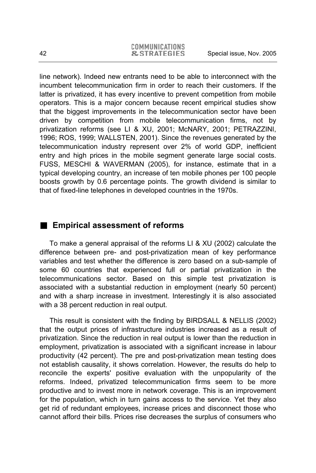line network). Indeed new entrants need to be able to interconnect with the incumbent telecommunication firm in order to reach their customers. If the latter is privatized, it has every incentive to prevent competition from mobile operators. This is a major concern because recent empirical studies show that the biggest improvements in the telecommunication sector have been driven by competition from mobile telecommunication firms, not by privatization reforms (see LI & XU, 2001; McNARY, 2001; PETRAZZINI, 1996; ROS, 1999; WALLSTEN, 2001). Since the revenues generated by the telecommunication industry represent over 2% of world GDP, inefficient entry and high prices in the mobile segment generate large social costs. FUSS, MESCHI & WAVERMAN (2005), for instance, estimate that in a typical developing country, an increase of ten mobile phones per 100 people boosts growth by 0.6 percentage points. The growth dividend is similar to that of fixed-line telephones in developed countries in the 1970s.

## **Empirical assessment of reforms**

To make a general appraisal of the reforms LI & XU (2002) calculate the difference between pre- and post-privatization mean of key performance variables and test whether the difference is zero based on a sub-sample of some 60 countries that experienced full or partial privatization in the telecommunications sector. Based on this simple test privatization is associated with a substantial reduction in employment (nearly 50 percent) and with a sharp increase in investment. Interestingly it is also associated with a 38 percent reduction in real output.

This result is consistent with the finding by BIRDSALL & NELLIS (2002) that the output prices of infrastructure industries increased as a result of privatization. Since the reduction in real output is lower than the reduction in employment, privatization is associated with a significant increase in labour productivity (42 percent). The pre and post-privatization mean testing does not establish causality, it shows correlation. However, the results do help to reconcile the experts' positive evaluation with the unpopularity of the reforms. Indeed, privatized telecommunication firms seem to be more productive and to invest more in network coverage. This is an improvement for the population, which in turn gains access to the service. Yet they also get rid of redundant employees, increase prices and disconnect those who cannot afford their bills. Prices rise decreases the surplus of consumers who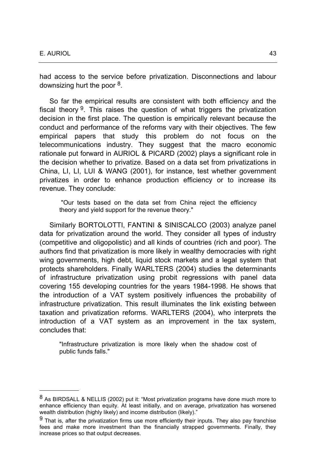l

had access to the service before privatization. Disconnections and labour downsizing hurt the poor 8.

So far the empirical results are consistent with both efficiency and the fiscal theory  $9$ . This raises the question of what triggers the privatization decision in the first place. The question is empirically relevant because the conduct and performance of the reforms vary with their objectives. The few empirical papers that study this problem do not focus on the telecommunications industry. They suggest that the macro economic rationale put forward in AURIOL & PICARD (2002) plays a significant role in the decision whether to privatize. Based on a data set from privatizations in China, LI, LI, LUI & WANG (2001), for instance, test whether government privatizes in order to enhance production efficiency or to increase its revenue. They conclude:

 "Our tests based on the data set from China reject the efficiency theory and yield support for the revenue theory."

Similarly BORTOLOTTI, FANTINI & SINISCALCO (2003) analyze panel data for privatization around the world. They consider all types of industry (competitive and oligopolistic) and all kinds of countries (rich and poor). The authors find that privatization is more likely in wealthy democracies with right wing governments, high debt, liquid stock markets and a legal system that protects shareholders. Finally WARLTERS (2004) studies the determinants of infrastructure privatization using probit regressions with panel data covering 155 developing countries for the years 1984-1998. He shows that the introduction of a VAT system positively influences the probability of infrastructure privatization. This result illuminates the link existing between taxation and privatization reforms. WARLTERS (2004), who interprets the introduction of a VAT system as an improvement in the tax system, concludes that:

"Infrastructure privatization is more likely when the shadow cost of public funds falls."

<sup>8</sup> As BIRDSALL & NELLIS (2002) put it: "Most privatization programs have done much more to enhance efficiency than equity. At least initially, and on average, privatization has worsened wealth distribution (highly likely) and income distribution (likely)."

 $9$  That is, after the privatization firms use more efficiently their inputs. They also pay franchise fees and make more investment than the financially strapped governments. Finally, they increase prices so that output decreases.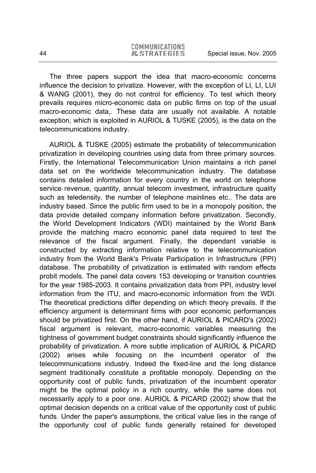The three papers support the idea that macro-economic concerns influence the decision to privatize. However, with the exception of LI, LI, LUI & WANG (2001), they do not control for efficiency. To test which theory prevails requires micro-economic data on public firms on top of the usual macro-economic data,. These data are usually not available. A notable exception, which is exploited in AURIOL & TUSKE (2005), is the data on the telecommunications industry.

AURIOL & TUSKE (2005) estimate the probability of telecommunication privatization in developing countries using data from three primary sources. Firstly, the International Telecommunication Union maintains a rich panel data set on the worldwide telecommunication industry. The database contains detailed information for every country in the world on telephone service revenue, quantity, annual telecom investment, infrastructure quality such as teledensity, the number of telephone mainlines etc.. The data are industry based. Since the public firm used to be in a monopoly position, the data provide detailed company information before privatization. Secondly, the World Development Indicators (WDI) maintained by the World Bank provide the matching macro economic panel data required to test the relevance of the fiscal argument. Finally, the dependant variable is constructed by extracting information relative to the telecommunication industry from the World Bank's Private Participation in Infrastructure (PPI) database. The probability of privatization is estimated with random effects probit models. The panel data covers 153 developing or transition countries for the year 1985-2003. It contains privatization data from PPI, industry level information from the ITU, and macro-economic information from the WDI. The theoretical predictions differ depending on which theory prevails. If the efficiency argument is determinant firms with poor economic performances should be privatized first. On the other hand, if AURIOL & PICARD's (2002) fiscal argument is relevant, macro-economic variables measuring the tightness of government budget constraints should significantly influence the probability of privatization. A more subtle implication of AURIOL & PICARD (2002) arises while focusing on the incumbent operator of the telecommunications industry. Indeed the fixed-line and the long distance segment traditionally constitute a profitable monopoly. Depending on the opportunity cost of public funds, privatization of the incumbent operator might be the optimal policy in a rich country, while the same does not necessarily apply to a poor one. AURIOL & PICARD (2002) show that the optimal decision depends on a critical value of the opportunity cost of public funds. Under the paper's assumptions, the critical value lies in the range of the opportunity cost of public funds generally retained for developed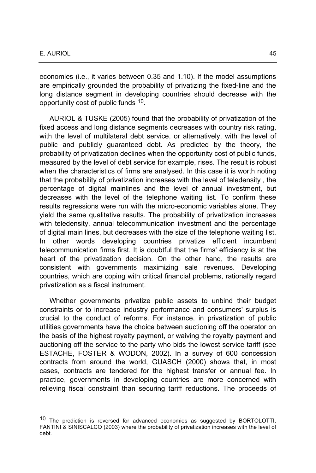l

economies (i.e., it varies between 0.35 and 1.10). If the model assumptions are empirically grounded the probability of privatizing the fixed-line and the long distance segment in developing countries should decrease with the opportunity cost of public funds 10.

AURIOL & TUSKE (2005) found that the probability of privatization of the fixed access and long distance segments decreases with country risk rating, with the level of multilateral debt service, or alternatively, with the level of public and publicly guaranteed debt. As predicted by the theory, the probability of privatization declines when the opportunity cost of public funds, measured by the level of debt service for example, rises. The result is robust when the characteristics of firms are analysed. In this case it is worth noting that the probability of privatization increases with the level of teledensity , the percentage of digital mainlines and the level of annual investment, but decreases with the level of the telephone waiting list. To confirm these results regressions were run with the micro-economic variables alone. They yield the same qualitative results. The probability of privatization increases with teledensity, annual telecommunication investment and the percentage of digital main lines, but decreases with the size of the telephone waiting list. In other words developing countries privatize efficient incumbent telecommunication firms first. It is doubtful that the firms' efficiency is at the heart of the privatization decision. On the other hand, the results are consistent with governments maximizing sale revenues. Developing countries, which are coping with critical financial problems, rationally regard privatization as a fiscal instrument.

Whether governments privatize public assets to unbind their budget constraints or to increase industry performance and consumers' surplus is crucial to the conduct of reforms. For instance, in privatization of public utilities governments have the choice between auctioning off the operator on the basis of the highest royalty payment, or waiving the royalty payment and auctioning off the service to the party who bids the lowest service tariff (see ESTACHE, FOSTER & WODON, 2002). In a survey of 600 concession contracts from around the world, GUASCH (2000) shows that, in most cases, contracts are tendered for the highest transfer or annual fee. In practice, governments in developing countries are more concerned with relieving fiscal constraint than securing tariff reductions. The proceeds of

<sup>&</sup>lt;sup>10</sup> The prediction is reversed for advanced economies as suggested by BORTOLOTTI, FANTINI & SINISCALCO (2003) where the probability of privatization increases with the level of debt.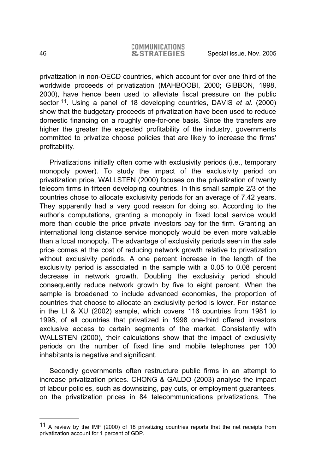privatization in non-OECD countries, which account for over one third of the worldwide proceeds of privatization (MAHBOOBI, 2000; GIBBON, 1998, 2000), have hence been used to alleviate fiscal pressure on the public sector 11. Using a panel of 18 developing countries, DAVIS *et al*. (2000) show that the budgetary proceeds of privatization have been used to reduce domestic financing on a roughly one-for-one basis. Since the transfers are higher the greater the expected profitability of the industry, governments committed to privatize choose policies that are likely to increase the firms' profitability.

Privatizations initially often come with exclusivity periods (i.e., temporary monopoly power). To study the impact of the exclusivity period on privatization price, WALLSTEN (2000) focuses on the privatization of twenty telecom firms in fifteen developing countries. In this small sample 2/3 of the countries chose to allocate exclusivity periods for an average of 7.42 years. They apparently had a very good reason for doing so. According to the author's computations, granting a monopoly in fixed local service would more than double the price private investors pay for the firm. Granting an international long distance service monopoly would be even more valuable than a local monopoly. The advantage of exclusivity periods seen in the sale price comes at the cost of reducing network growth relative to privatization without exclusivity periods. A one percent increase in the length of the exclusivity period is associated in the sample with a 0.05 to 0.08 percent decrease in network growth. Doubling the exclusivity period should consequently reduce network growth by five to eight percent. When the sample is broadened to include advanced economies, the proportion of countries that choose to allocate an exclusivity period is lower. For instance in the LI & XU (2002) sample, which covers 116 countries from 1981 to 1998, of all countries that privatized in 1998 one-third offered investors exclusive access to certain segments of the market. Consistently with WALLSTEN (2000), their calculations show that the impact of exclusivity periods on the number of fixed line and mobile telephones per 100 inhabitants is negative and significant.

Secondly governments often restructure public firms in an attempt to increase privatization prices. CHONG & GALDO (2003) analyse the impact of labour policies, such as downsizing, pay cuts, or employment guarantees, on the privatization prices in 84 telecommunications privatizations. The

l

<sup>&</sup>lt;sup>11</sup> A review by the IMF (2000) of 18 privatizing countries reports that the net receipts from privatization account for 1 percent of GDP.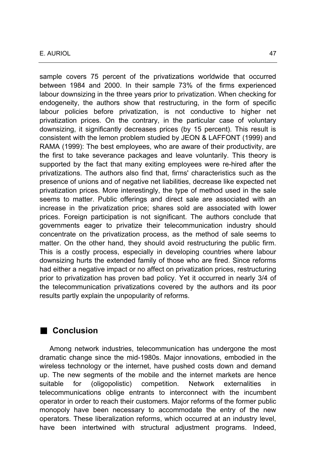sample covers 75 percent of the privatizations worldwide that occurred between 1984 and 2000. In their sample 73% of the firms experienced labour downsizing in the three years prior to privatization. When checking for endogeneity, the authors show that restructuring, in the form of specific labour policies before privatization, is not conductive to higher net privatization prices. On the contrary, in the particular case of voluntary downsizing, it significantly decreases prices (by 15 percent). This result is consistent with the lemon problem studied by JEON & LAFFONT (1999) and RAMA (1999): The best employees, who are aware of their productivity, are the first to take severance packages and leave voluntarily. This theory is supported by the fact that many exiting employees were re-hired after the privatizations. The authors also find that, firms' characteristics such as the presence of unions and of negative net liabilities, decrease like expected net privatization prices. More interestingly, the type of method used in the sale seems to matter. Public offerings and direct sale are associated with an increase in the privatization price; shares sold are associated with lower prices. Foreign participation is not significant. The authors conclude that governments eager to privatize their telecommunication industry should concentrate on the privatization process, as the method of sale seems to matter. On the other hand, they should avoid restructuring the public firm. This is a costly process, especially in developing countries where labour downsizing hurts the extended family of those who are fired. Since reforms had either a negative impact or no affect on privatization prices, restructuring prior to privatization has proven bad policy. Yet it occurred in nearly 3/4 of the telecommunication privatizations covered by the authors and its poor results partly explain the unpopularity of reforms.

## **Conclusion**

Among network industries, telecommunication has undergone the most dramatic change since the mid-1980s. Major innovations, embodied in the wireless technology or the internet, have pushed costs down and demand up. The new segments of the mobile and the internet markets are hence suitable for (oligopolistic) competition. Network externalities in telecommunications oblige entrants to interconnect with the incumbent operator in order to reach their customers. Major reforms of the former public monopoly have been necessary to accommodate the entry of the new operators. These liberalization reforms, which occurred at an industry level, have been intertwined with structural adjustment programs. Indeed,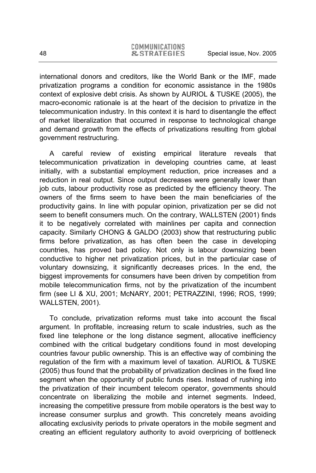international donors and creditors, like the World Bank or the IMF, made privatization programs a condition for economic assistance in the 1980s context of explosive debt crisis. As shown by AURIOL & TUSKE (2005), the macro-economic rationale is at the heart of the decision to privatize in the telecommunication industry. In this context it is hard to disentangle the effect of market liberalization that occurred in response to technological change and demand growth from the effects of privatizations resulting from global government restructuring.

A careful review of existing empirical literature reveals that telecommunication privatization in developing countries came, at least initially, with a substantial employment reduction, price increases and a reduction in real output. Since output decreases were generally lower than job cuts, labour productivity rose as predicted by the efficiency theory. The owners of the firms seem to have been the main beneficiaries of the productivity gains. In line with popular opinion, privatization per se did not seem to benefit consumers much. On the contrary, WALLSTEN (2001) finds it to be negatively correlated with mainlines per capita and connection capacity. Similarly CHONG & GALDO (2003) show that restructuring public firms before privatization, as has often been the case in developing countries, has proved bad policy. Not only is labour downsizing been conductive to higher net privatization prices, but in the particular case of voluntary downsizing, it significantly decreases prices. In the end, the biggest improvements for consumers have been driven by competition from mobile telecommunication firms, not by the privatization of the incumbent firm (see LI & XU, 2001; McNARY, 2001; PETRAZZINI, 1996; ROS, 1999; WALLSTEN, 2001).

To conclude, privatization reforms must take into account the fiscal argument. In profitable, increasing return to scale industries, such as the fixed line telephone or the long distance segment, allocative inefficiency combined with the critical budgetary conditions found in most developing countries favour public ownership. This is an effective way of combining the regulation of the firm with a maximum level of taxation. AURIOL & TUSKE (2005) thus found that the probability of privatization declines in the fixed line segment when the opportunity of public funds rises. Instead of rushing into the privatization of their incumbent telecom operator, governments should concentrate on liberalizing the mobile and internet segments. Indeed, increasing the competitive pressure from mobile operators is the best way to increase consumer surplus and growth. This concretely means avoiding allocating exclusivity periods to private operators in the mobile segment and creating an efficient regulatory authority to avoid overpricing of bottleneck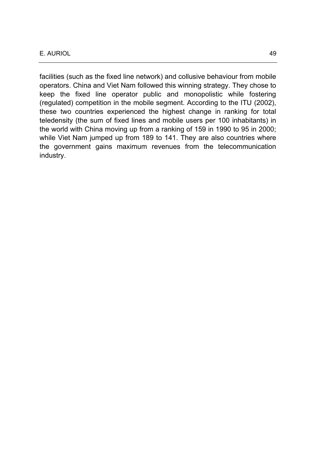facilities (such as the fixed line network) and collusive behaviour from mobile operators. China and Viet Nam followed this winning strategy. They chose to keep the fixed line operator public and monopolistic while fostering (regulated) competition in the mobile segment. According to the ITU (2002), these two countries experienced the highest change in ranking for total teledensity (the sum of fixed lines and mobile users per 100 inhabitants) in the world with China moving up from a ranking of 159 in 1990 to 95 in 2000; while Viet Nam jumped up from 189 to 141. They are also countries where the government gains maximum revenues from the telecommunication industry.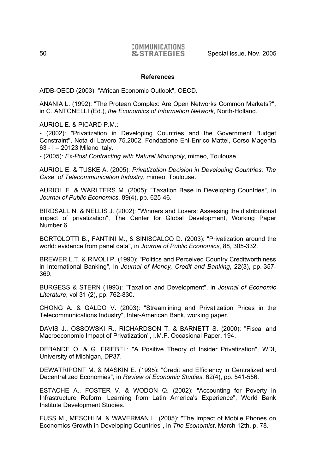#### **References**

AfDB-OECD (2003): "African Economic Outlook", OECD.

ANANIA L. (1992): "The Protean Complex: Are Open Networks Common Markets?'', in C. ANTONELLI (Ed.), *the Economics of Information Network*, North-Holland.

AURIOL E. & PICARD P.M.:

- (2002): "Privatization in Developing Countries and the Government Budget Constraint'', Nota di Lavoro 75.2002, Fondazione Eni Enrico Mattei, Corso Magenta 63 - I – 20123 Milano Italy.

- (2005): *Ex-Post Contracting with Natural Monopoly*, mimeo, Toulouse.

AURIOL E. & TUSKE A. (2005): *Privatization Decision in Developing Countries: The Case of Telecommunication Industry*, mimeo, Toulouse.

AURIOL E. & WARLTERS M. (2005): "Taxation Base in Developing Countries", in *Journal of Public Economics*, 89(4), pp. 625-46.

BIRDSALL N. & NELLIS J. (2002): "Winners and Losers: Assessing the distributional impact of privatization", The Center for Global Development, Working Paper Number 6.

BORTOLOTTI B., FANTINI M., & SINISCALCO D. (2003): "Privatization around the world: evidence from panel data", in *Journal of Public Economics*, 88, 305-332.

BREWER L.T. & RIVOLI P. (1990): "Politics and Perceived Country Creditworthiness in International Banking", in *Journal of Money, Credit and Banking*, 22(3), pp. 357- 369.

BURGESS & STERN (1993): "Taxation and Development", in *Journal of Economic Literature*, vol 31 (2), pp. 762-830.

CHONG A. & GALDO V. (2003): "Streamlining and Privatization Prices in the Telecommunications Industry", Inter-American Bank, working paper.

DAVIS J., OSSOWSKI R., RICHARDSON T. & BARNETT S. (2000): "Fiscal and Macroeconomic Impact of Privatization'', I.M.F. Occasional Paper, 194.

DEBANDE O. & G. FRIEBEL: "A Positive Theory of Insider Privatization", WDI, University of Michigan, DP37.

DEWATRIPONT M. & MASKIN E. (1995): "Credit and Efficiency in Centralized and Decentralized Economies", in *Review of Economic Studies*, 62(4), pp. 541-556.

ESTACHE A., FOSTER V. & WODON Q. (2002): "Accounting for Poverty in Infrastructure Reform, Learning from Latin America's Experience", World Bank Institute Development Studies.

FUSS M., MESCHI M. & WAVERMAN L. (2005): "The Impact of Mobile Phones on Economics Growth in Developing Countries", in *The Economist*, March 12th, p. 78.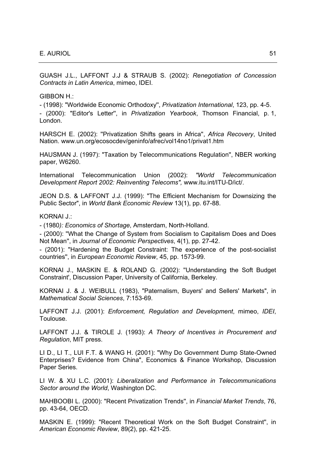GUASH J.L., LAFFONT J.J & STRAUB S. (2002): *Renegotiation of Concession Contracts in Latin America*, mimeo, IDEI.

GIBBON H.:

- (1998): "Worldwide Economic Orthodoxy'', *Privatization International*, 123, pp. 4-5.

- (2000): "Editor's Letter'', in *Privatization Yearbook*, Thomson Financial, p. 1, London.

HARSCH E. (2002): ''Privatization Shifts gears in Africa'', *Africa Recovery*, United Nation. www.un.org/ecosocdev/geninfo/afrec/vol14no1/privat1.htm

HAUSMAN J. (1997): "Taxation by Telecommunications Regulation'', NBER working paper, W6260.

International Telecommunication Union (2002): *"World Telecommunication Development Report 2002: Reinventing Telecoms",* www.itu.int/ITU-D/ict/.

JEON D.S. & LAFFONT J.J. (1999): "The Efficient Mechanism for Downsizing the Public Sector", in *World Bank Economic Review* 13(1), pp. 67-88.

KORNAI J.:

- (1980*): Economics of Shortage*, Amsterdam, North-Holland.

- (2000): ''What the Change of System from Socialism to Capitalism Does and Does Not Mean'', in *Journal of Economic Perspectives*, 4(1), pp. 27-42.

- (2001): "Hardening the Budget Constraint: The experience of the post-socialist countries'', in *European Economic Review*, 45, pp. 1573-99.

KORNAI J., MASKIN E. & ROLAND G. (2002): ''Understanding the Soft Budget Constraint', Discussion Paper, University of California, Berkeley.

KORNAI J. & J. WEIBULL (1983), "Paternalism, Buyers' and Sellers' Markets", in *Mathematical Social Sciences*, 7:153-69.

LAFFONT J.J. (2001): *Enforcement, Regulation and Development*, mimeo, *IDEI*, Toulouse.

LAFFONT J.J. & TIROLE J. (1993): *A Theory of Incentives in Procurement and Regulation*, MIT press.

LI D., LI T., LUI F.T. & WANG H. (2001): "Why Do Government Dump State-Owned Enterprises? Evidence from China", Economics & Finance Workshop, Discussion Paper Series.

LI W. & XU L.C. (2001): *Liberalization and Performance in Telecommunications Sector around the World*, Washington DC.

MAHBOOBI L. (2000): "Recent Privatization Trends'', in *Financial Market Trends*, 76, pp. 43-64, OECD.

MASKIN E. (1999): "Recent Theoretical Work on the Soft Budget Constraint'', in *American Economic Review*, 89(2), pp. 421-25.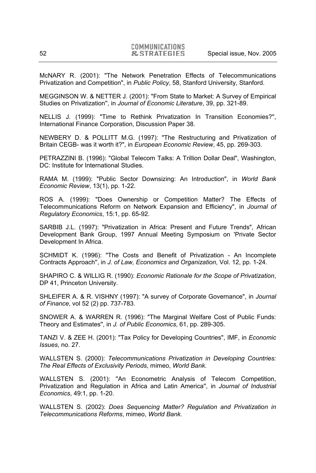McNARY R. (2001): "The Network Penetration Effects of Telecommunications Privatization and Competition", in *Public Policy*, 58, Stanford University, Stanford.

MEGGINSON W. & NETTER J. (2001): "From State to Market: A Survey of Empirical Studies on Privatization'', in *Journal of Economic Literature*, 39, pp. 321-89.

NELLIS J. (1999): "Time to Rethink Privatization In Transition Economies?'', International Finance Corporation, Discussion Paper 38.

NEWBERY D. & POLLITT M.G. (1997): "The Restructuring and Privatization of Britain CEGB- was it worth it?", in *European Economic Review*, 45, pp. 269-303.

PETRAZZINI B. (1996): "Global Telecom Talks: A Trillion Dollar Deal", Washington, DC: Institute for International Studies.

RAMA M. (1999): "Public Sector Downsizing: An Introduction", in *World Bank Economic Review*, 13(1), pp. 1-22.

ROS A. (1999): "Does Ownership or Competition Matter? The Effects of Telecommunications Reform on Network Expansion and Efficiency", in *Journal of Regulatory Economics*, 15:1, pp. 65-92.

SARBIB J.L. (1997): "Privatization in Africa: Present and Future Trends", African Development Bank Group, 1997 Annual Meeting Symposium on 'Private Sector Development In Africa.

SCHMIDT K. (1996): "The Costs and Benefit of Privatization - An Incomplete Contracts Approach'', in *J. of Law, Economics and Organization*, Vol. 12, pp. 1-24.

SHAPIRO C. & WILLIG R. (1990): *Economic Rationale for the Scope of Privatization*, DP 41, Princeton University.

SHLEIFER A. & R. VISHNY (1997): "A survey of Corporate Governance", in *Journal of Finance*, vol 52 (2) pp. 737-783.

SNOWER A. & WARREN R. (1996): "The Marginal Welfare Cost of Public Funds: Theory and Estimates'', in *J. of Public Economics*, 61, pp. 289-305.

TANZI V. & ZEE H. (2001): "Tax Policy for Developing Countries", IMF, in *Economic Issues*, no. 27.

WALLSTEN S. (2000): *Telecommunications Privatization in Developing Countries: The Real Effects of Exclusivity Periods*, mimeo, *World Bank*.

WALLSTEN S. (2001): ''An Econometric Analysis of Telecom Competition, Privatization and Regulation in Africa and Latin America'', in *Journal of Industrial Economics*, 49:1, pp. 1-20.

WALLSTEN S. (2002): *Does Sequencing Matter? Regulation and Privatization in Telecommunications Reforms*, mimeo, *World Bank*.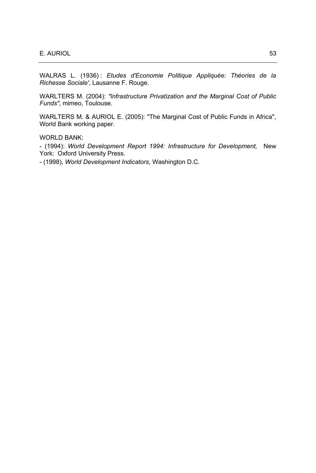WALRAS L. (1936) : *Etudes d'Economie Politique Appliquée: Théories de la Richesse Sociale'*, Lausanne F. Rouge.

WARLTERS M. (2004): *"Infrastructure Privatization and the Marginal Cost of Public Funds"*, mimeo, Toulouse.

WARLTERS M. & AURIOL E. (2005): "The Marginal Cost of Public Funds in Africa", World Bank working paper.

WORLD BANK:

- (1994): *World Development Report 1994: Infrastructure for Development,* New York: Oxford University Press.

- (1998), *World Development Indicators*, Washington D.C.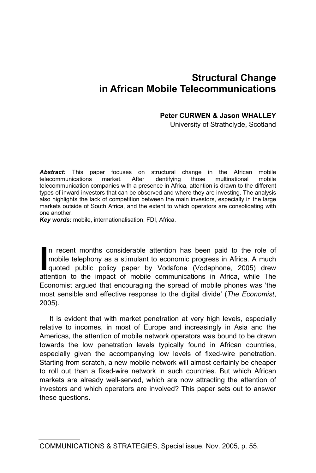# **Structural Change in African Mobile Telecommunications**

## **Peter CURWEN & Jason WHALLEY**

University of Strathclyde, Scotland

**Abstract:** This paper focuses on structural change in the African mobile telecommunications market. After identifying those multinational mobile telecommunications telecommunication companies with a presence in Africa, attention is drawn to the different types of inward investors that can be observed and where they are investing. The analysis also highlights the lack of competition between the main investors, especially in the large markets outside of South Africa, and the extent to which operators are consolidating with one another.

*Key words:* mobile, internationalisation, FDI, Africa.

In recent months considerable attention has been paid to the role of mobile telephony as a stimulant to economic progress in Africa. A much quoted public policy paper by Vodafone (Vodaphone, 2005) drew In recent months considerable attention has been paid to the role of mobile telephony as a stimulant to economic progress in Africa. A much quoted public policy paper by Vodafone (Vodaphone, 2005) drew attention to the imp Economist argued that encouraging the spread of mobile phones was 'the most sensible and effective response to the digital divide' (*The Economist*, 2005).

It is evident that with market penetration at very high levels, especially relative to incomes, in most of Europe and increasingly in Asia and the Americas, the attention of mobile network operators was bound to be drawn towards the low penetration levels typically found in African countries, especially given the accompanying low levels of fixed-wire penetration. Starting from scratch, a new mobile network will almost certainly be cheaper to roll out than a fixed-wire network in such countries. But which African markets are already well-served, which are now attracting the attention of investors and which operators are involved? This paper sets out to answer these questions.

COMMUNICATIONS & STRATEGIES, Special issue, Nov. 2005, p. 55.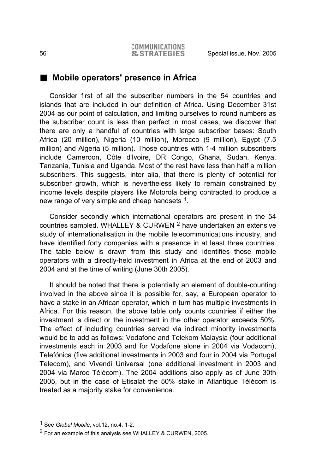## **Mobile operators' presence in Africa**

Consider first of all the subscriber numbers in the 54 countries and islands that are included in our definition of Africa. Using December 31st 2004 as our point of calculation, and limiting ourselves to round numbers as the subscriber count is less than perfect in most cases, we discover that there are only a handful of countries with large subscriber bases: South Africa (20 million), Nigeria (10 million), Morocco (9 million), Egypt (7.5 million) and Algeria (5 million). Those countries with 1-4 million subscribers include Cameroon, Côte d'Ivoire, DR Congo, Ghana, Sudan, Kenya, Tanzania, Tunisia and Uganda. Most of the rest have less than half a million subscribers. This suggests, inter alia, that there is plenty of potential for subscriber growth, which is nevertheless likely to remain constrained by income levels despite players like Motorola being contracted to produce a new range of very simple and cheap handsets 1.

Consider secondly which international operators are present in the 54 countries sampled. WHALLEY & CURWEN 2 have undertaken an extensive study of internationalisation in the mobile telecommunications industry, and have identified forty companies with a presence in at least three countries. The table below is drawn from this study and identifies those mobile operators with a directly-held investment in Africa at the end of 2003 and 2004 and at the time of writing (June 30th 2005).

It should be noted that there is potentially an element of double-counting involved in the above since it is possible for, say, a European operator to have a stake in an African operator, which in turn has multiple investments in Africa. For this reason, the above table only counts countries if either the investment is direct or the investment in the other operator exceeds 50%. The effect of including countries served via indirect minority investments would be to add as follows: Vodafone and Telekom Malaysia (four additional investments each in 2003 and for Vodafone alone in 2004 via Vodacom), Telefónica (five additional investments in 2003 and four in 2004 via Portugal Telecom), and Vivendi Universal (one additional investment in 2003 and 2004 via Maroc Télécom). The 2004 additions also apply as of June 30th 2005, but in the case of Etisalat the 50% stake in Atlantique Télécom is treated as a majority stake for convenience.

l

<sup>1</sup> See *Global Mobile*, vol.12, no.4, 1-2.

<sup>&</sup>lt;sup>2</sup> For an example of this analysis see WHALLEY & CURWEN, 2005.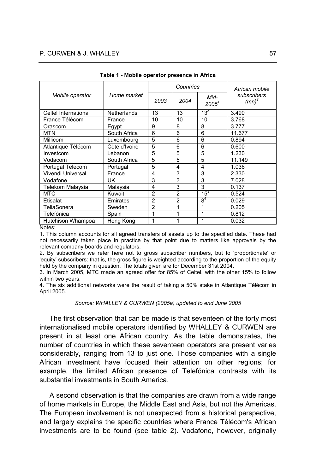### P. CURWEN & J. WHALLEY 57

|                      |               |                | Countries      | African mobile            |                         |  |  |
|----------------------|---------------|----------------|----------------|---------------------------|-------------------------|--|--|
| Mobile operator      | Home market   | 2003           | 2004           | Mid-<br>2005 <sup>1</sup> | subscribers<br>$(mn)^2$ |  |  |
| Celtel International | Netherlands   | 13             | 13             | $13^{3}$                  | 3.490                   |  |  |
| France Télécom       | France        | 10             | 10             | 10                        | 3.768                   |  |  |
| Orascom              | Egypt         | 9              |                | 8                         | 3.777                   |  |  |
| <b>MTN</b>           | South Africa  | 6              | 6              | 6                         | 11.677                  |  |  |
| Millicom             | Luxembourg    | 5              | 6              | 6                         | 0.894                   |  |  |
| Atlantique Télécom   | Côte d'Ivoire | 5              | 6              | 6                         | 0.600                   |  |  |
| Investcom            | Lebanon       | 5              | 5              | 5                         | 1.230                   |  |  |
| Vodacom              | South Africa  | 5              | 5              | 5                         | 11.149                  |  |  |
| Portugal Telecom     | Portugal      | 5              | 4              | 4                         | 1.036                   |  |  |
| Vivendi Universal    | France        | 4              | 3              | 3                         | 2.330                   |  |  |
| Vodafone             | UK            | 3              | 3              | 3                         | 7.028                   |  |  |
| Telekom Malaysia     | Malaysia      | 4              | 3              | 3                         | 0.137                   |  |  |
| <b>MTC</b>           | Kuwait        | $\overline{2}$ | $\overline{2}$ | $15^3$                    | 0.524                   |  |  |
| Etisalat             | Emirates      | $\overline{2}$ | $\overline{2}$ | 8 <sup>4</sup>            | 0.029                   |  |  |
| TeliaSonera          | Sweden        | $\overline{2}$ | 1              | 1                         | 0.205                   |  |  |
| Telefónica           | Spain         | 1              | 1              | 1                         | 0.812                   |  |  |
| Hutchison Whampoa    | Hong Kong     | 1              | 1              | 1                         | 0.032                   |  |  |

**Table 1 - Mobile operator presence in Africa** 

Notes:

1. This column accounts for all agreed transfers of assets up to the specified date. These had not necessarily taken place in practice by that point due to matters like approvals by the relevant company boards and regulators.

2. By subscribers we refer here not to gross subscriber numbers, but to 'proportionate' or 'equity' subscribers: that is, the gross figure is weighted according to the proportion of the equity held by the company in question. The totals given are for December 31st 2004.

3. In March 2005, MTC made an agreed offer for 85% of Celtel, with the other 15% to follow within two years.

4. The six additional networks were the result of taking a 50% stake in Atlantique Télécom in April 2005.

#### *Source: WHALLEY & CURWEN (2005a) updated to end June 2005*

The first observation that can be made is that seventeen of the forty most internationalised mobile operators identified by WHALLEY & CURWEN are present in at least one African country. As the table demonstrates, the number of countries in which these seventeen operators are present varies considerably, ranging from 13 to just one. Those companies with a single African investment have focused their attention on other regions; for example, the limited African presence of Telefónica contrasts with its substantial investments in South America.

A second observation is that the companies are drawn from a wide range of home markets in Europe, the Middle East and Asia, but not the Americas. The European involvement is not unexpected from a historical perspective, and largely explains the specific countries where France Télécom's African investments are to be found (see table 2). Vodafone, however, originally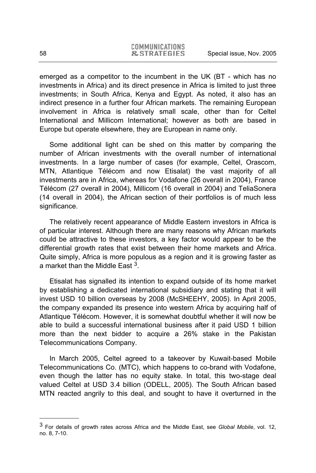emerged as a competitor to the incumbent in the UK (BT - which has no investments in Africa) and its direct presence in Africa is limited to just three investments; in South Africa, Kenya and Egypt. As noted, it also has an indirect presence in a further four African markets. The remaining European involvement in Africa is relatively small scale, other than for Celtel International and Millicom International; however as both are based in Europe but operate elsewhere, they are European in name only.

Some additional light can be shed on this matter by comparing the number of African investments with the overall number of international investments. In a large number of cases (for example, Celtel, Orascom, MTN, Atlantique Télécom and now Etisalat) the vast majority of all investments are in Africa, whereas for Vodafone (26 overall in 2004), France Télécom (27 overall in 2004), Millicom (16 overall in 2004) and TeliaSonera (14 overall in 2004), the African section of their portfolios is of much less significance.

The relatively recent appearance of Middle Eastern investors in Africa is of particular interest. Although there are many reasons why African markets could be attractive to these investors, a key factor would appear to be the differential growth rates that exist between their home markets and Africa. Quite simply, Africa is more populous as a region and it is growing faster as a market than the Middle East 3.

Etisalat has signalled its intention to expand outside of its home market by establishing a dedicated international subsidiary and stating that it will invest USD 10 billion overseas by 2008 (McSHEEHY, 2005). In April 2005, the company expanded its presence into western Africa by acquiring half of Atlantique Télécom. However, it is somewhat doubtful whether it will now be able to build a successful international business after it paid USD 1 billion more than the next bidder to acquire a 26% stake in the Pakistan Telecommunications Company.

In March 2005, Celtel agreed to a takeover by Kuwait-based Mobile Telecommunications Co. (MTC), which happens to co-brand with Vodafone, even though the latter has no equity stake. In total, this two-stage deal valued Celtel at USD 3.4 billion (ODELL, 2005). The South African based MTN reacted angrily to this deal, and sought to have it overturned in the

l

<sup>3</sup> For details of growth rates across Africa and the Middle East, see *Global Mobile*, vol. 12, no. 8, 7-10.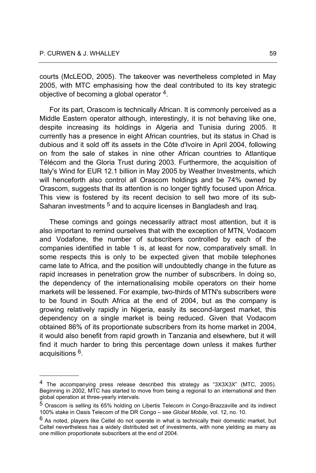l

courts (McLEOD, 2005). The takeover was nevertheless completed in May 2005, with MTC emphasising how the deal contributed to its key strategic objective of becoming a global operator 4.

For its part, Orascom is technically African. It is commonly perceived as a Middle Eastern operator although, interestingly, it is not behaving like one, despite increasing its holdings in Algeria and Tunisia during 2005. It currently has a presence in eight African countries, but its status in Chad is dubious and it sold off its assets in the Côte d'Ivoire in April 2004, following on from the sale of stakes in nine other African countries to Atlantique Télécom and the Gloria Trust during 2003. Furthermore, the acquisition of Italy's Wind for EUR 12.1 billion in May 2005 by Weather Investments, which will henceforth also control all Orascom holdings and be 74% owned by Orascom, suggests that its attention is no longer tightly focused upon Africa. This view is fostered by its recent decision to sell two more of its sub-Saharan investments <sup>5</sup> and to acquire licenses in Bangladesh and Iraq.

These comings and goings necessarily attract most attention, but it is also important to remind ourselves that with the exception of MTN, Vodacom and Vodafone, the number of subscribers controlled by each of the companies identified in table 1 is, at least for now, comparatively small. In some respects this is only to be expected given that mobile telephones came late to Africa, and the position will undoubtedly change in the future as rapid increases in penetration grow the number of subscribers. In doing so, the dependency of the internationalising mobile operators on their home markets will be lessened. For example, two-thirds of MTN's subscribers were to be found in South Africa at the end of 2004, but as the company is growing relatively rapidly in Nigeria, easily its second-largest market, this dependency on a single market is being reduced. Given that Vodacom obtained 86% of its proportionate subscribers from its home market in 2004, it would also benefit from rapid growth in Tanzania and elsewhere, but it will find it much harder to bring this percentage down unless it makes further acquisitions 6.

 $4$  The accompanying press release described this strategy as "3X3X3X" (MTC, 2005). Beginning in 2002, MTC has started to move from being a regional to an international and then global operation at three-yearly intervals.

<sup>5</sup> Orascom is selling its 65% holding on Libertis Telecom in Congo-Brazzaville and its indirect 100% stake in Oasis Telecom of the DR Congo – see *Global Mobile*, vol. 12, no. 10.

 $6$  As noted, players like Celtel do not operate in what is technically their domestic market, but Celtel nevertheless has a widely distributed set of investments, with none yielding as many as one million proportionate subscribers at the end of 2004.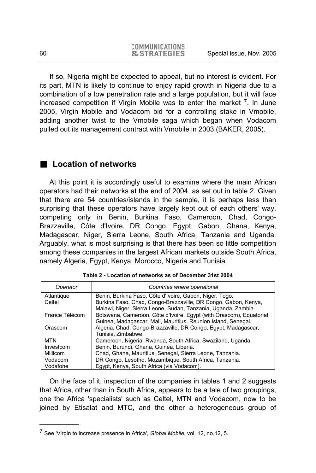If so, Nigeria might be expected to appeal, but no interest is evident. For its part, MTN is likely to continue to enjoy rapid growth in Nigeria due to a combination of a low penetration rate and a large population, but it will face increased competition if Virgin Mobile was to enter the market  $<sup>7</sup>$ . In June</sup> 2005, Virgin Mobile and Vodacom bid for a controlling stake in Vmobile, adding another twist to the Vmobile saga which began when Vodacom pulled out its management contract with Vmobile in 2003 (BAKER, 2005).

## ■ Location of networks

At this point it is accordingly useful to examine where the main African operators had their networks at the end of 2004, as set out in table 2. Given that there are 54 countries/islands in the sample, it is perhaps less than surprising that these operators have largely kept out of each others' way, competing only in Benin, Burkina Faso, Cameroon, Chad, Congo-Brazzaville, Côte d'Ivoire, DR Congo, Egypt, Gabon, Ghana, Kenya, Madagascar, Niger, Sierra Leone, South Africa, Tanzania and Uganda. Arguably, what is most surprising is that there has been so little competition among these companies in the largest African markets outside South Africa, namely Algeria, Egypt, Kenya, Morocco, Nigeria and Tunisia.

| Operator        | Countries where operational                                         |
|-----------------|---------------------------------------------------------------------|
| Atlantique      | Benin, Burkina Faso, Côte d'Ivoire, Gabon, Niger, Togo.             |
| Celtel          | Burkina Faso, Chad, Congo-Brazzaville, DR Congo, Gabon, Kenya,      |
|                 | Malawi, Niger, Sierra Leone, Sudan, Tanzania, Uganda, Zambia.       |
| France Télécom  | Botswana, Cameroon, Côte d'Ivoire, Egypt (with Orascom), Equatorial |
|                 | Guinea, Madagascar, Mali, Mauritius, Reunion Island, Senegal.       |
| Orascom         | Algeria, Chad, Congo-Brazzaville, DR Congo, Egypt, Madagascar,      |
|                 | Tunisia. Zimbabwe.                                                  |
| <b>MTN</b>      | Cameroon, Nigeria, Rwanda, South Africa, Swaziland, Uganda.         |
| Investcom       | Benin, Burundi, Ghana, Guinea, Liberia.                             |
| <b>Millicom</b> | Chad, Ghana, Mauritius, Senegal, Sierra Leone, Tanzania.            |
| Vodacom         | DR Congo, Lesotho, Mozambigue, South Africa, Tanzania.              |
| Vodafone        | Egypt, Kenya, South Africa (via Vodacom).                           |

|  |  |  | Table 2 - Location of networks as of December 31st 2004 |  |
|--|--|--|---------------------------------------------------------|--|
|  |  |  |                                                         |  |

On the face of it, inspection of the companies in tables 1 and 2 suggests that Africa, other than in South Africa, appears to be a tale of two groupings, one the Africa 'specialists' such as Celtel, MTN and Vodacom, now to be joined by Etisalat and MTC, and the other a heterogeneous group of

l

<sup>7</sup> See 'Virgin to increase presence in Africa', *Global Mobile*, vol. 12, no.12, 5.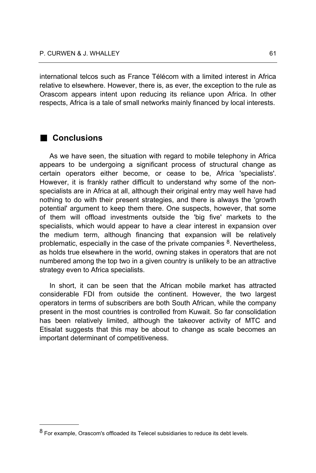international telcos such as France Télécom with a limited interest in Africa relative to elsewhere. However, there is, as ever, the exception to the rule as Orascom appears intent upon reducing its reliance upon Africa. In other respects, Africa is a tale of small networks mainly financed by local interests.

## **Conclusions**

l

As we have seen, the situation with regard to mobile telephony in Africa appears to be undergoing a significant process of structural change as certain operators either become, or cease to be, Africa 'specialists'. However, it is frankly rather difficult to understand why some of the nonspecialists are in Africa at all, although their original entry may well have had nothing to do with their present strategies, and there is always the 'growth potential' argument to keep them there. One suspects, however, that some of them will offload investments outside the 'big five' markets to the specialists, which would appear to have a clear interest in expansion over the medium term, although financing that expansion will be relatively problematic, especially in the case of the private companies  $8$ . Nevertheless, as holds true elsewhere in the world, owning stakes in operators that are not numbered among the top two in a given country is unlikely to be an attractive strategy even to Africa specialists.

In short, it can be seen that the African mobile market has attracted considerable FDI from outside the continent. However, the two largest operators in terms of subscribers are both South African, while the company present in the most countries is controlled from Kuwait. So far consolidation has been relatively limited, although the takeover activity of MTC and Etisalat suggests that this may be about to change as scale becomes an important determinant of competitiveness.

<sup>&</sup>lt;sup>8</sup> For example, Orascom's offloaded its Telecel subsidiaries to reduce its debt levels.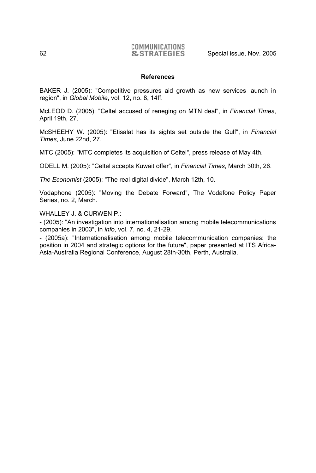#### **References**

BAKER J. (2005): "Competitive pressures aid growth as new services launch in region", in *Global Mobile*, vol. 12, no. 8, 14ff.

McLEOD D. (2005): "Celtel accused of reneging on MTN deal", in *Financial Times*, April 19th, 27.

McSHEEHY W. (2005): "Etisalat has its sights set outside the Gulf", in *Financial Times*, June 22nd, 27.

MTC (2005): "MTC completes its acquisition of Celtel", press release of May 4th.

ODELL M. (2005): "Celtel accepts Kuwait offer", in *Financial Times*, March 30th, 26.

*The Economist* (2005): "The real digital divide", March 12th, 10.

Vodaphone (2005): "Moving the Debate Forward", The Vodafone Policy Paper Series, no. 2, March.

WHALLEY J. & CURWEN P.:

- (2005): "An investigation into internationalisation among mobile telecommunications companies in 2003", in *info*, vol. 7, no. 4, 21-29.

- (2005a): "Internationalisation among mobile telecommunication companies: the position in 2004 and strategic options for the future", paper presented at ITS Africa-Asia-Australia Regional Conference, August 28th-30th, Perth, Australia.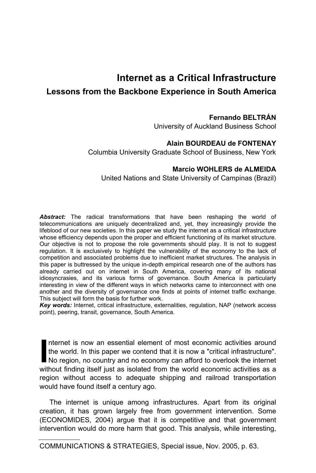# **Internet as a Critical Infrastructure**

## **Lessons from the Backbone Experience in South America**

### **Fernando BELTRÁN**

University of Auckland Business School

### **Alain BOURDEAU de FONTENAY**

Columbia University Graduate School of Business, New York

### **Marcio WOHLERS de ALMEIDA**

United Nations and State University of Campinas (Brazil)

*Abstract:* The radical transformations that have been reshaping the world of telecommunications are uniquely decentralized and, yet, they increasingly provide the lifeblood of our new societies. In this paper we study the internet as a critical infrastructure whose efficiency depends upon the proper and efficient functioning of its market structure. Our objective is not to propose the role governments should play. It is not to suggest regulation. It is exclusively to highlight the vulnerability of the economy to the lack of competition and associated problems due to inefficient market structures. The analysis in this paper is buttressed by the unique in-depth empirical research one of the authors has already carried out on internet in South America, covering many of its national idiosyncrasies, and its various forms of governance. South America is particularly interesting in view of the different ways in which networks came to interconnect with one another and the diversity of governance one finds at points of internet traffic exchange. This subject will form the basis for further work.

*Key words:* Internet, critical infrastructure, externalities, regulation, NAP (network access point), peering, transit, governance, South America.

Internet is now an essential element of most economic activities around the world. In this paper we contend that it is now a "critical infrastructure". No region, no country and no economy can afford to overlook the internet Internet is now an essential element of most economic activities around the world. In this paper we contend that it is now a "critical infrastructure". No region, no country and no economy can afford to overlook the intern region without access to adequate shipping and railroad transportation would have found itself a century ago.

The internet is unique among infrastructures. Apart from its original creation, it has grown largely free from government intervention. Some (ECONOMIDES, 2004) argue that it is competitive and that government intervention would do more harm that good. This analysis, while interesting,

COMMUNICATIONS & STRATEGIES, Special issue, Nov. 2005, p. 63.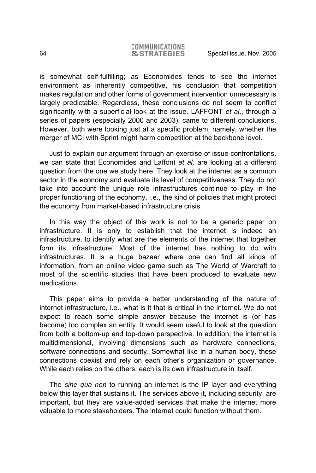is somewhat self-fulfilling; as Economides tends to see the internet environment as inherently competitive, his conclusion that competition makes regulation and other forms of government intervention unnecessary is largely predictable. Regardless, these conclusions do not seem to conflict significantly with a superficial look at the issue. LAFFONT *et al*., through a series of papers (especially 2000 and 2003), came to different conclusions. However, both were looking just at a specific problem, namely, whether the merger of MCI with Sprint might harm competition at the backbone level.

Just to explain our argument through an exercise of issue confrontations, we can state that Economides and Laffont *et al.* are looking at a different question from the one we study here. They look at the internet as a common sector in the economy and evaluate its level of competitiveness. They do not take into account the unique role infrastructures continue to play in the proper functioning of the economy, i.e., the kind of policies that might protect the economy from market-based infrastructure crisis.

In this way the object of this work is not to be a generic paper on infrastructure. It is only to establish that the internet is indeed an infrastructure, to identify what are the elements of the internet that together form its infrastructure. Most of the internet has nothing to do with infrastructures. It is a huge bazaar where one can find all kinds of information, from an online video game such as The World of Warcraft to most of the scientific studies that have been produced to evaluate new medications.

This paper aims to provide a better understanding of the nature of internet infrastructure, i.e., what is it that is critical in the internet. We do not expect to reach some simple answer because the internet is (or has become) too complex an entity. It would seem useful to look at the question from both a bottom-up and top-down perspective. In addition, the internet is multidimensional, involving dimensions such as hardware connections, software connections and security. Somewhat like in a human body, these connections coexist and rely on each other's organization or governance. While each relies on the others, each is its own infrastructure in itself.

The *sine qua non* to running an internet is the IP layer and everything below this layer that sustains it. The services above it, including security, are important, but they are value-added services that make the internet more valuable to more stakeholders. The internet could function without them.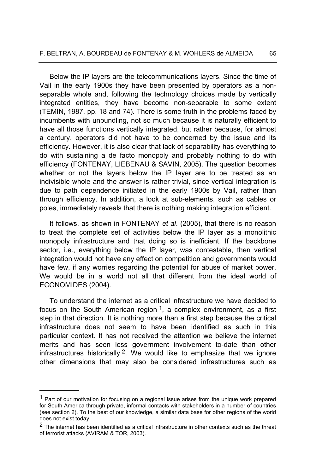Below the IP layers are the telecommunications layers. Since the time of Vail in the early 1900s they have been presented by operators as a nonseparable whole and, following the technology choices made by vertically integrated entities, they have become non-separable to some extent (TEMIN, 1987, pp. 18 and 74). There is some truth in the problems faced by incumbents with unbundling, not so much because it is naturally efficient to have all those functions vertically integrated, but rather because, for almost a century, operators did not have to be concerned by the issue and its efficiency. However, it is also clear that lack of separability has everything to do with sustaining a de facto monopoly and probably nothing to do with efficiency (FONTENAY, LIEBENAU & SAVIN, 2005). The question becomes whether or not the layers below the IP layer are to be treated as an indivisible whole and the answer is rather trivial, since vertical integration is due to path dependence initiated in the early 1900s by Vail, rather than through efficiency. In addition, a look at sub-elements, such as cables or poles, immediately reveals that there is nothing making integration efficient.

It follows, as shown in FONTENAY *et al*. (2005), that there is no reason to treat the complete set of activities below the IP layer as a monolithic monopoly infrastructure and that doing so is inefficient. If the backbone sector, i.e., everything below the IP layer, was contestable, then vertical integration would not have any effect on competition and governments would have few, if any worries regarding the potential for abuse of market power. We would be in a world not all that different from the ideal world of ECONOMIDES (2004).

To understand the internet as a critical infrastructure we have decided to focus on the South American region  $1$ , a complex environment, as a first step in that direction. It is nothing more than a first step because the critical infrastructure does not seem to have been identified as such in this particular context. It has not received the attention we believe the internet merits and has seen less government involvement to-date than other infrastructures historically  $2$ . We would like to emphasize that we ignore other dimensions that may also be considered infrastructures such as

l

<sup>&</sup>lt;sup>1</sup> Part of our motivation for focusing on a regional issue arises from the unique work prepared for South America through private, informal contacts with stakeholders in a number of countries (see section 2). To the best of our knowledge, a similar data base for other regions of the world does not exist today.

<sup>&</sup>lt;sup>2</sup> The internet has been identified as a critical infrastructure in other contexts such as the threat of terrorist attacks (AVIRAM & TOR, 2003).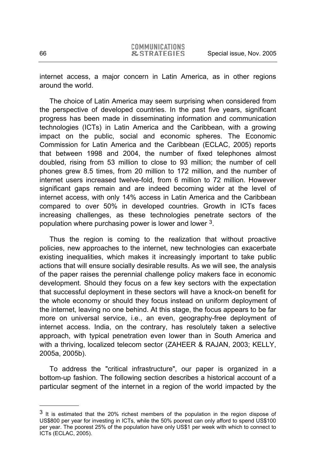internet access, a major concern in Latin America, as in other regions around the world.

The choice of Latin America may seem surprising when considered from the perspective of developed countries. In the past five years, significant progress has been made in disseminating information and communication technologies (ICTs) in Latin America and the Caribbean, with a growing impact on the public, social and economic spheres. The Economic Commission for Latin America and the Caribbean (ECLAC, 2005) reports that between 1998 and 2004, the number of fixed telephones almost doubled, rising from 53 million to close to 93 million; the number of cell phones grew 8.5 times, from 20 million to 172 million, and the number of internet users increased twelve-fold, from 6 million to 72 million. However significant gaps remain and are indeed becoming wider at the level of internet access, with only 14% access in Latin America and the Caribbean compared to over 50% in developed countries. Growth in ICTs faces increasing challenges, as these technologies penetrate sectors of the population where purchasing power is lower and lower 3.

Thus the region is coming to the realization that without proactive policies, new approaches to the internet, new technologies can exacerbate existing inequalities, which makes it increasingly important to take public actions that will ensure socially desirable results. As we will see, the analysis of the paper raises the perennial challenge policy makers face in economic development. Should they focus on a few key sectors with the expectation that successful deployment in these sectors will have a knock-on benefit for the whole economy or should they focus instead on uniform deployment of the internet, leaving no one behind. At this stage, the focus appears to be far more on universal service, i.e., an even, geography-free deployment of internet access. India, on the contrary, has resolutely taken a selective approach, with typical penetration even lower than in South America and with a thriving, localized telecom sector (ZAHEER & RAJAN, 2003; KELLY, 2005a, 2005b).

To address the "critical infrastructure", our paper is organized in a bottom-up fashion. The following section describes a historical account of a particular segment of the internet in a region of the world impacted by the

 $\overline{a}$ 

<sup>&</sup>lt;sup>3</sup> It is estimated that the 20% richest members of the population in the region dispose of US\$800 per year for investing in ICTs, while the 50% poorest can only afford to spend US\$100 per year. The poorest 25% of the population have only US\$1 per week with which to connect to ICTs (ECLAC, 2005).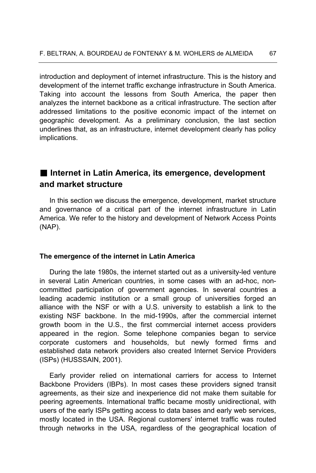introduction and deployment of internet infrastructure. This is the history and development of the internet traffic exchange infrastructure in South America. Taking into account the lessons from South America, the paper then analyzes the internet backbone as a critical infrastructure. The section after addressed limitations to the positive economic impact of the internet on geographic development. As a preliminary conclusion, the last section underlines that, as an infrastructure, internet development clearly has policy implications.

## ■ Internet in Latin America, its emergence, development **and market structure**

In this section we discuss the emergence, development, market structure and governance of a critical part of the internet infrastructure in Latin America. We refer to the history and development of Network Access Points (NAP).

#### **The emergence of the internet in Latin America**

During the late 1980s, the internet started out as a university-led venture in several Latin American countries, in some cases with an ad-hoc, noncommitted participation of government agencies. In several countries a leading academic institution or a small group of universities forged an alliance with the NSF or with a U.S. university to establish a link to the existing NSF backbone. In the mid-1990s, after the commercial internet growth boom in the U.S., the first commercial internet access providers appeared in the region. Some telephone companies began to service corporate customers and households, but newly formed firms and established data network providers also created Internet Service Providers (ISPs) (HUSSSAIN, 2001).

Early provider relied on international carriers for access to Internet Backbone Providers (IBPs). In most cases these providers signed transit agreements, as their size and inexperience did not make them suitable for peering agreements. International traffic became mostly unidirectional, with users of the early ISPs getting access to data bases and early web services, mostly located in the USA. Regional customers' internet traffic was routed through networks in the USA, regardless of the geographical location of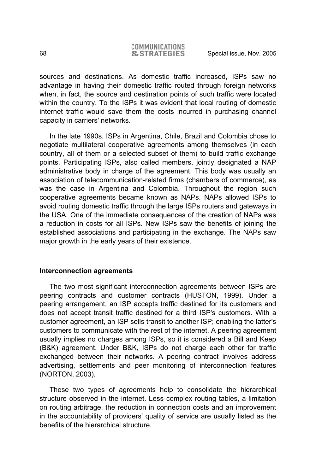sources and destinations. As domestic traffic increased, ISPs saw no advantage in having their domestic traffic routed through foreign networks when, in fact, the source and destination points of such traffic were located within the country. To the ISPs it was evident that local routing of domestic internet traffic would save them the costs incurred in purchasing channel capacity in carriers' networks.

In the late 1990s, ISPs in Argentina, Chile, Brazil and Colombia chose to negotiate multilateral cooperative agreements among themselves (in each country, all of them or a selected subset of them) to build traffic exchange points. Participating ISPs, also called members, jointly designated a NAP administrative body in charge of the agreement. This body was usually an association of telecommunication-related firms (chambers of commerce), as was the case in Argentina and Colombia. Throughout the region such cooperative agreements became known as NAPs. NAPs allowed ISPs to avoid routing domestic traffic through the large ISPs routers and gateways in the USA. One of the immediate consequences of the creation of NAPs was a reduction in costs for all ISPs. New ISPs saw the benefits of joining the established associations and participating in the exchange. The NAPs saw major growth in the early years of their existence.

#### **Interconnection agreements**

The two most significant interconnection agreements between ISPs are peering contracts and customer contracts (HUSTON, 1999). Under a peering arrangement, an ISP accepts traffic destined for its customers and does not accept transit traffic destined for a third ISP's customers. With a customer agreement, an ISP sells transit to another ISP; enabling the latter's customers to communicate with the rest of the internet. A peering agreement usually implies no charges among ISPs, so it is considered a Bill and Keep (B&K) agreement. Under B&K, ISPs do not charge each other for traffic exchanged between their networks. A peering contract involves address advertising, settlements and peer monitoring of interconnection features (NORTON, 2003).

These two types of agreements help to consolidate the hierarchical structure observed in the internet. Less complex routing tables, a limitation on routing arbitrage, the reduction in connection costs and an improvement in the accountability of providers' quality of service are usually listed as the benefits of the hierarchical structure.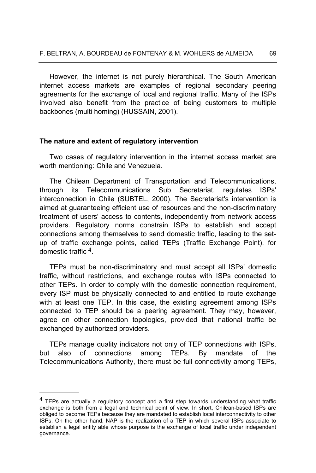However, the internet is not purely hierarchical. The South American internet access markets are examples of regional secondary peering agreements for the exchange of local and regional traffic. Many of the ISPs involved also benefit from the practice of being customers to multiple backbones (multi homing) (HUSSAIN, 2001).

#### **The nature and extent of regulatory intervention**

Two cases of regulatory intervention in the internet access market are worth mentioning: Chile and Venezuela.

The Chilean Department of Transportation and Telecommunications, through its Telecommunications Sub Secretariat, regulates ISPs' interconnection in Chile (SUBTEL, 2000). The Secretariat's intervention is aimed at guaranteeing efficient use of resources and the non-discriminatory treatment of users' access to contents, independently from network access providers. Regulatory norms constrain ISPs to establish and accept connections among themselves to send domestic traffic, leading to the setup of traffic exchange points, called TEPs (Traffic Exchange Point), for domestic traffic 4.

TEPs must be non-discriminatory and must accept all ISPs' domestic traffic, without restrictions, and exchange routes with ISPs connected to other TEPs. In order to comply with the domestic connection requirement, every ISP must be physically connected to and entitled to route exchange with at least one TEP. In this case, the existing agreement among ISPs connected to TEP should be a peering agreement. They may, however, agree on other connection topologies, provided that national traffic be exchanged by authorized providers.

TEPs manage quality indicators not only of TEP connections with ISPs, but also of connections among TEPs. By mandate of the Telecommunications Authority, there must be full connectivity among TEPs,

l

<sup>&</sup>lt;sup>4</sup> TEPs are actually a regulatory concept and a first step towards understanding what traffic exchange is both from a legal and technical point of view. In short, Chilean-based ISPs are obliged to become TEPs because they are mandated to establish local interconnectivity to other ISPs. On the other hand, NAP is the realization of a TEP in which several ISPs associate to establish a legal entity able whose purpose is the exchange of local traffic under independent governance.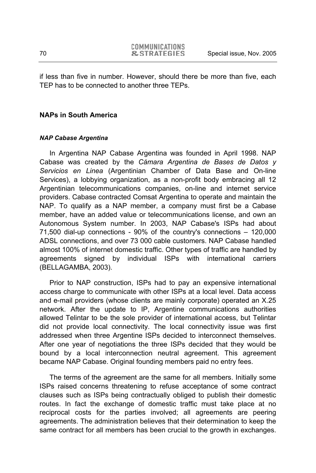if less than five in number. However, should there be more than five, each TEP has to be connected to another three TEPs.

### **NAPs in South America**

#### *NAP Cabase Argentina*

In Argentina NAP Cabase Argentina was founded in April 1998. NAP Cabase was created by the *Cámara Argentina de Bases de Datos y Servicios en Linea* (Argentinian Chamber of Data Base and On-line Services), a lobbying organization, as a non-profit body embracing all 12 Argentinian telecommunications companies, on-line and internet service providers. Cabase contracted Comsat Argentina to operate and maintain the NAP. To qualify as a NAP member, a company must first be a Cabase member, have an added value or telecommunications license, and own an Autonomous System number. In 2003, NAP Cabase's ISPs had about 71,500 dial-up connections - 90% of the country's connections – 120,000 ADSL connections, and over 73 000 cable customers. NAP Cabase handled almost 100% of internet domestic traffic. Other types of traffic are handled by agreements signed by individual ISPs with international carriers (BELLAGAMBA, 2003).

Prior to NAP construction, ISPs had to pay an expensive international access charge to communicate with other ISPs at a local level. Data access and e-mail providers (whose clients are mainly corporate) operated an X.25 network. After the update to IP, Argentine communications authorities allowed Telintar to be the sole provider of international access, but Telintar did not provide local connectivity. The local connectivity issue was first addressed when three Argentine ISPs decided to interconnect themselves. After one year of negotiations the three ISPs decided that they would be bound by a local interconnection neutral agreement. This agreement became NAP Cabase. Original founding members paid no entry fees.

The terms of the agreement are the same for all members. Initially some ISPs raised concerns threatening to refuse acceptance of some contract clauses such as ISPs being contractually obliged to publish their domestic routes. In fact the exchange of domestic traffic must take place at no reciprocal costs for the parties involved; all agreements are peering agreements. The administration believes that their determination to keep the same contract for all members has been crucial to the growth in exchanges.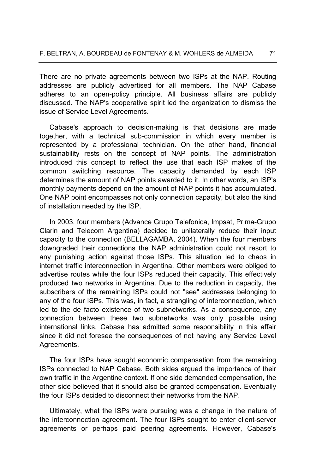There are no private agreements between two ISPs at the NAP. Routing addresses are publicly advertised for all members. The NAP Cabase adheres to an open-policy principle. All business affairs are publicly discussed. The NAP's cooperative spirit led the organization to dismiss the issue of Service Level Agreements.

Cabase's approach to decision-making is that decisions are made together, with a technical sub-commission in which every member is represented by a professional technician. On the other hand, financial sustainability rests on the concept of NAP points. The administration introduced this concept to reflect the use that each ISP makes of the common switching resource. The capacity demanded by each ISP determines the amount of NAP points awarded to it. In other words, an ISP's monthly payments depend on the amount of NAP points it has accumulated. One NAP point encompasses not only connection capacity, but also the kind of installation needed by the ISP.

In 2003, four members (Advance Grupo Telefonica, Impsat, Prima-Grupo Clarin and Telecom Argentina) decided to unilaterally reduce their input capacity to the connection (BELLAGAMBA, 2004). When the four members downgraded their connections the NAP administration could not resort to any punishing action against those ISPs. This situation led to chaos in internet traffic interconnection in Argentina. Other members were obliged to advertise routes while the four ISPs reduced their capacity. This effectively produced two networks in Argentina. Due to the reduction in capacity, the subscribers of the remaining ISPs could not "see" addresses belonging to any of the four ISPs. This was, in fact, a strangling of interconnection, which led to the de facto existence of two subnetworks. As a consequence, any connection between these two subnetworks was only possible using international links. Cabase has admitted some responsibility in this affair since it did not foresee the consequences of not having any Service Level Agreements.

The four ISPs have sought economic compensation from the remaining ISPs connected to NAP Cabase. Both sides argued the importance of their own traffic in the Argentine context. If one side demanded compensation, the other side believed that it should also be granted compensation. Eventually the four ISPs decided to disconnect their networks from the NAP.

Ultimately, what the ISPs were pursuing was a change in the nature of the interconnection agreement. The four ISPs sought to enter client-server agreements or perhaps paid peering agreements. However, Cabase's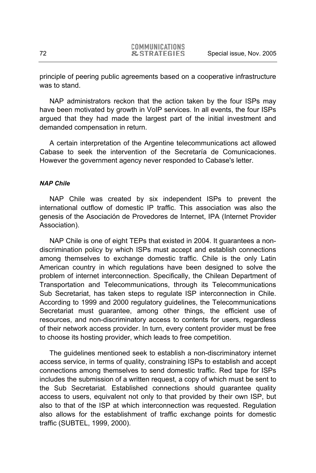principle of peering public agreements based on a cooperative infrastructure was to stand.

NAP administrators reckon that the action taken by the four ISPs may have been motivated by growth in VoIP services. In all events, the four ISPs argued that they had made the largest part of the initial investment and demanded compensation in return.

A certain interpretation of the Argentine telecommunications act allowed Cabase to seek the intervention of the Secretaría de Comunicaciones. However the government agency never responded to Cabase's letter.

#### *NAP Chile*

NAP Chile was created by six independent ISPs to prevent the international outflow of domestic IP traffic. This association was also the genesis of the Asociación de Provedores de Internet, IPA (Internet Provider Association).

NAP Chile is one of eight TEPs that existed in 2004. It guarantees a nondiscrimination policy by which ISPs must accept and establish connections among themselves to exchange domestic traffic. Chile is the only Latin American country in which regulations have been designed to solve the problem of internet interconnection. Specifically, the Chilean Department of Transportation and Telecommunications, through its Telecommunications Sub Secretariat, has taken steps to regulate ISP interconnection in Chile. According to 1999 and 2000 regulatory guidelines, the Telecommunications Secretariat must guarantee, among other things, the efficient use of resources, and non-discriminatory access to contents for users, regardless of their network access provider. In turn, every content provider must be free to choose its hosting provider, which leads to free competition.

The guidelines mentioned seek to establish a non-discriminatory internet access service, in terms of quality, constraining ISPs to establish and accept connections among themselves to send domestic traffic. Red tape for ISPs includes the submission of a written request, a copy of which must be sent to the Sub Secretariat. Established connections should guarantee quality access to users, equivalent not only to that provided by their own ISP, but also to that of the ISP at which interconnection was requested. Regulation also allows for the establishment of traffic exchange points for domestic traffic (SUBTEL, 1999, 2000).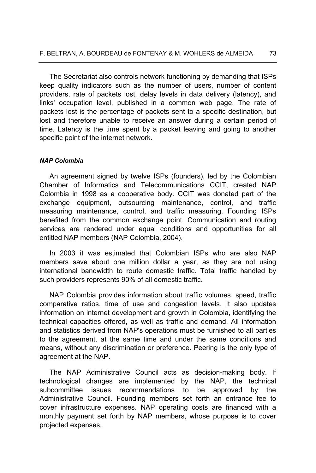The Secretariat also controls network functioning by demanding that ISPs keep quality indicators such as the number of users, number of content providers, rate of packets lost, delay levels in data delivery (latency), and links' occupation level, published in a common web page. The rate of packets lost is the percentage of packets sent to a specific destination, but lost and therefore unable to receive an answer during a certain period of time. Latency is the time spent by a packet leaving and going to another specific point of the internet network.

### *NAP Colombia*

An agreement signed by twelve ISPs (founders), led by the Colombian Chamber of Informatics and Telecommunications CCIT, created NAP Colombia in 1998 as a cooperative body. CCIT was donated part of the exchange equipment, outsourcing maintenance, control, and traffic measuring maintenance, control, and traffic measuring. Founding ISPs benefited from the common exchange point. Communication and routing services are rendered under equal conditions and opportunities for all entitled NAP members (NAP Colombia, 2004).

In 2003 it was estimated that Colombian ISPs who are also NAP members save about one million dollar a year, as they are not using international bandwidth to route domestic traffic. Total traffic handled by such providers represents 90% of all domestic traffic.

NAP Colombia provides information about traffic volumes, speed, traffic comparative ratios, time of use and congestion levels. It also updates information on internet development and growth in Colombia, identifying the technical capacities offered, as well as traffic and demand. All information and statistics derived from NAP's operations must be furnished to all parties to the agreement, at the same time and under the same conditions and means, without any discrimination or preference. Peering is the only type of agreement at the NAP.

The NAP Administrative Council acts as decision-making body. If technological changes are implemented by the NAP, the technical subcommittee issues recommendations to be approved by the Administrative Council. Founding members set forth an entrance fee to cover infrastructure expenses. NAP operating costs are financed with a monthly payment set forth by NAP members, whose purpose is to cover projected expenses.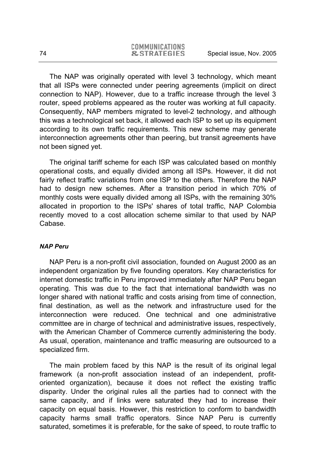The NAP was originally operated with level 3 technology, which meant that all ISPs were connected under peering agreements (implicit on direct connection to NAP). However, due to a traffic increase through the level 3 router, speed problems appeared as the router was working at full capacity. Consequently, NAP members migrated to level-2 technology, and although this was a technological set back, it allowed each ISP to set up its equipment according to its own traffic requirements. This new scheme may generate interconnection agreements other than peering, but transit agreements have not been signed yet.

The original tariff scheme for each ISP was calculated based on monthly operational costs, and equally divided among all ISPs. However, it did not fairly reflect traffic variations from one ISP to the others. Therefore the NAP had to design new schemes. After a transition period in which 70% of monthly costs were equally divided among all ISPs, with the remaining 30% allocated in proportion to the ISPs' shares of total traffic, NAP Colombia recently moved to a cost allocation scheme similar to that used by NAP Cabase.

### *NAP Peru*

NAP Peru is a non-profit civil association, founded on August 2000 as an independent organization by five founding operators. Key characteristics for internet domestic traffic in Peru improved immediately after NAP Peru began operating. This was due to the fact that international bandwidth was no longer shared with national traffic and costs arising from time of connection, final destination, as well as the network and infrastructure used for the interconnection were reduced. One technical and one administrative committee are in charge of technical and administrative issues, respectively, with the American Chamber of Commerce currently administering the body. As usual, operation, maintenance and traffic measuring are outsourced to a specialized firm.

The main problem faced by this NAP is the result of its original legal framework (a non-profit association instead of an independent, profitoriented organization), because it does not reflect the existing traffic disparity. Under the original rules all the parties had to connect with the same capacity, and if links were saturated they had to increase their capacity on equal basis. However, this restriction to conform to bandwidth capacity harms small traffic operators. Since NAP Peru is currently saturated, sometimes it is preferable, for the sake of speed, to route traffic to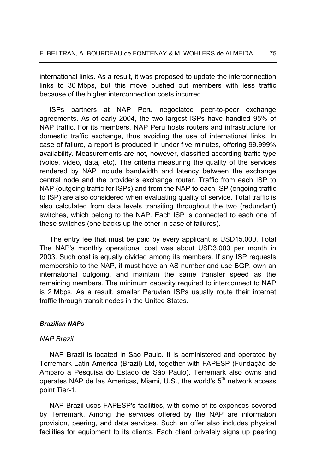international links. As a result, it was proposed to update the interconnection links to 30 Mbps, but this move pushed out members with less traffic because of the higher interconnection costs incurred.

ISPs partners at NAP Peru negociated peer-to-peer exchange agreements. As of early 2004, the two largest ISPs have handled 95% of NAP traffic. For its members, NAP Peru hosts routers and infrastructure for domestic traffic exchange, thus avoiding the use of international links. In case of failure, a report is produced in under five minutes, offering 99.999% availability. Measurements are not, however, classified according traffic type (voice, video, data, etc). The criteria measuring the quality of the services rendered by NAP include bandwidth and latency between the exchange central node and the provider's exchange router. Traffic from each ISP to NAP (outgoing traffic for ISPs) and from the NAP to each ISP (ongoing traffic to ISP) are also considered when evaluating quality of service. Total traffic is also calculated from data levels transiting throughout the two (redundant) switches, which belong to the NAP. Each ISP is connected to each one of these switches (one backs up the other in case of failures).

The entry fee that must be paid by every applicant is USD15,000. Total The NAP's monthly operational cost was about USD3,000 per month in 2003. Such cost is equally divided among its members. If any ISP requests membership to the NAP, it must have an AS number and use BGP, own an international outgoing, and maintain the same transfer speed as the remaining members. The minimum capacity required to interconnect to NAP is 2 Mbps. As a result, smaller Peruvian ISPs usually route their internet traffic through transit nodes in the United States.

### *Brazilian NAPs*

#### *NAP Brazil*

NAP Brazil is located in Sao Paulo. It is administered and operated by Terremark Latin America (Brazil) Ltd, together with FAPESP (Fundaçáo de Amparo á Pesquisa do Estado de Sáo Paulo). Terremark also owns and operates NAP de las Americas, Miami, U.S., the world's  $5<sup>th</sup>$  network access point Tier-1.

NAP Brazil uses FAPESP's facilities, with some of its expenses covered by Terremark. Among the services offered by the NAP are information provision, peering, and data services. Such an offer also includes physical facilities for equipment to its clients. Each client privately signs up peering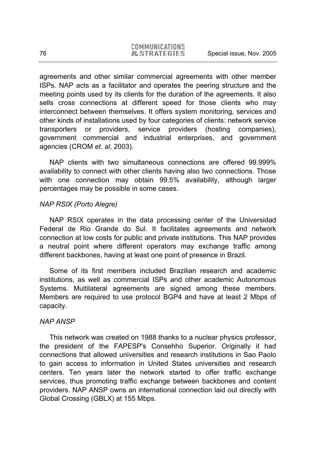agreements and other similar commercial agreements with other member ISPs. NAP acts as a facilitator and operates the peering structure and the meeting points used by its clients for the duration of the agreements. It also sells cross connections at different speed for those clients who may interconnect between themselves. It offers system monitoring, services and other kinds of installations used by four categories of clients: network service transporters or providers, service providers (hosting companies), government commercial and industrial enterprises, and government agencies (CROM *et. al*, 2003).

NAP clients with two simultaneous connections are offered 99.999% availability to connect with other clients having also two connections. Those with one connection may obtain 99.5% availability, although larger percentages may be possible in some cases.

## *NAP RSIX (Porto Alegre)*

NAP RSIX operates in the data processing center of the Universidad Federal de Rio Grande do Sul. It facilitates agreements and network connection at low costs for public and private institutions. This NAP provides a neutral point where different operators may exchange traffic among different backbones, having at least one point of presence in Brazil.

Some of its first members included Brazilian research and academic institutions, as well as commercial ISPs and other academic Autonomous Systems. Multilateral agreements are signed among these members. Members are required to use protocol BGP4 and have at least 2 Mbps of capacity.

### *NAP ANSP*

This network was created on 1988 thanks to a nuclear physics professor, the president of the FAPESP's Consehho Superior. Originally it had connections that allowed universities and research institutions in Sao Paolo to gain access to information in United States universities and research centers. Ten years later the network started to offer traffic exchange services, thus promoting traffic exchange between backbones and content providers. NAP ANSP owns an international connection laid out directly with Global Crossing (GBLX) at 155 Mbps.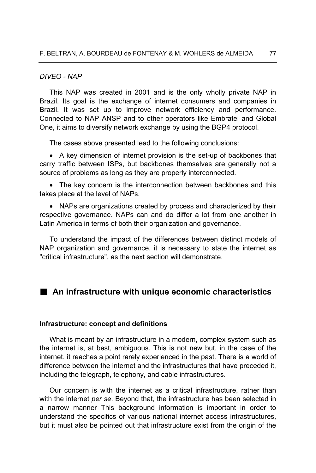### *DIVEO - NAP*

This NAP was created in 2001 and is the only wholly private NAP in Brazil. Its goal is the exchange of internet consumers and companies in Brazil. It was set up to improve network efficiency and performance. Connected to NAP ANSP and to other operators like Embratel and Global One, it aims to diversify network exchange by using the BGP4 protocol.

The cases above presented lead to the following conclusions:

• A key dimension of internet provision is the set-up of backbones that carry traffic between ISPs, but backbones themselves are generally not a source of problems as long as they are properly interconnected.

• The key concern is the interconnection between backbones and this takes place at the level of NAPs.

• NAPs are organizations created by process and characterized by their respective governance. NAPs can and do differ a lot from one another in Latin America in terms of both their organization and governance.

To understand the impact of the differences between distinct models of NAP organization and governance, it is necessary to state the internet as "critical infrastructure", as the next section will demonstrate.

# **An infrastructure with unique economic characteristics**

### **Infrastructure: concept and definitions**

What is meant by an infrastructure in a modern, complex system such as the internet is, at best, ambiguous. This is not new but, in the case of the internet, it reaches a point rarely experienced in the past. There is a world of difference between the internet and the infrastructures that have preceded it, including the telegraph, telephony, and cable infrastructures.

Our concern is with the internet as a critical infrastructure, rather than with the internet *per se*. Beyond that, the infrastructure has been selected in a narrow manner This background information is important in order to understand the specifics of various national internet access infrastructures, but it must also be pointed out that infrastructure exist from the origin of the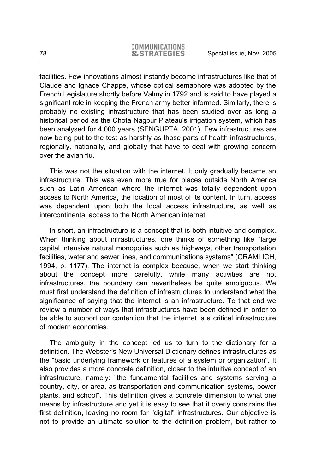facilities. Few innovations almost instantly become infrastructures like that of Claude and Ignace Chappe, whose optical semaphore was adopted by the French Legislature shortly before Valmy in 1792 and is said to have played a significant role in keeping the French army better informed. Similarly, there is probably no existing infrastructure that has been studied over as long a historical period as the Chota Nagpur Plateau's irrigation system, which has been analysed for 4,000 years (SENGUPTA, 2001). Few infrastructures are now being put to the test as harshly as those parts of health infrastructures, regionally, nationally, and globally that have to deal with growing concern over the avian flu.

This was not the situation with the internet. It only gradually became an infrastructure. This was even more true for places outside North America such as Latin American where the internet was totally dependent upon access to North America, the location of most of its content. In turn, access was dependent upon both the local access infrastructure, as well as intercontinental access to the North American internet.

In short, an infrastructure is a concept that is both intuitive and complex. When thinking about infrastructures, one thinks of something like "large capital intensive natural monopolies such as highways, other transportation facilities, water and sewer lines, and communications systems" (GRAMLICH, 1994, p. 1177). The internet is complex because, when we start thinking about the concept more carefully, while many activities are not infrastructures, the boundary can nevertheless be quite ambiguous. We must first understand the definition of infrastructures to understand what the significance of saying that the internet is an infrastructure. To that end we review a number of ways that infrastructures have been defined in order to be able to support our contention that the internet is a critical infrastructure of modern economies.

The ambiguity in the concept led us to turn to the dictionary for a definition. The Webster's New Universal Dictionary defines infrastructures as the "basic underlying framework or features of a system or organization". It also provides a more concrete definition, closer to the intuitive concept of an infrastructure, namely: "the fundamental facilities and systems serving a country, city, or area, as transportation and communication systems, power plants, and school". This definition gives a concrete dimension to what one means by infrastructure and yet it is easy to see that it overly constrains the first definition, leaving no room for "digital" infrastructures. Our objective is not to provide an ultimate solution to the definition problem, but rather to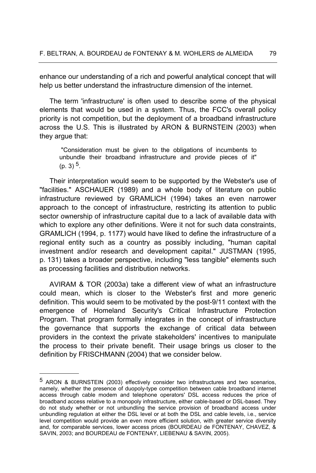enhance our understanding of a rich and powerful analytical concept that will help us better understand the infrastructure dimension of the internet.

The term 'infrastructure' is often used to describe some of the physical elements that would be used in a system. Thus, the FCC's overall policy priority is not competition, but the deployment of a broadband infrastructure across the U.S. This is illustrated by ARON & BURNSTEIN (2003) when they argue that:

 "Consideration must be given to the obligations of incumbents to unbundle their broadband infrastructure and provide pieces of it"  $(p, 3)$ <sup>5</sup>.

Their interpretation would seem to be supported by the Webster's use of "facilities." ASCHAUER (1989) and a whole body of literature on public infrastructure reviewed by GRAMLICH (1994) takes an even narrower approach to the concept of infrastructure, restricting its attention to public sector ownership of infrastructure capital due to a lack of available data with which to explore any other definitions. Were it not for such data constraints, GRAMLICH (1994, p. 1177) would have liked to define the infrastructure of a regional entity such as a country as possibly including, "human capital investment and/or research and development capital." JUSTMAN (1995, p. 131) takes a broader perspective, including "less tangible" elements such as processing facilities and distribution networks.

AVIRAM & TOR (2003a) take a different view of what an infrastructure could mean, which is closer to the Webster's first and more generic definition. This would seem to be motivated by the post-9/11 context with the emergence of Homeland Security's Critical Infrastructure Protection Program. That program formally integrates in the concept of infrastructure the governance that supports the exchange of critical data between providers in the context the private stakeholders' incentives to manipulate the process to their private benefit. Their usage brings us closer to the definition by FRISCHMANN (2004) that we consider below.

-

<sup>5</sup> ARON & BURNSTEIN (2003) effectively consider two infrastructures and two scenarios, namely, whether the presence of duopoly-type competition between cable broadband internet access through cable modem and telephone operators' DSL access reduces the price of broadband access relative to a monopoly infrastructure, either cable-based or DSL-based. They do not study whether or not unbundling the service provision of broadband access under unbundling regulation at either the DSL level or at both the DSL and cable levels, i.e., service level competition would provide an even more efficient solution, with greater service diversity and, for comparable services, lower access prices (BOURDEAU de FONTENAY, CHAVEZ, & SAVIN, 2003; and BOURDEAU de FONTENAY, LIEBENAU & SAVIN, 2005).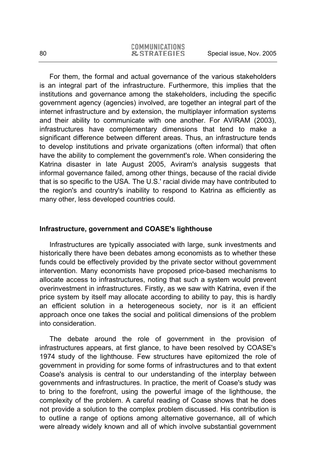For them, the formal and actual governance of the various stakeholders is an integral part of the infrastructure. Furthermore, this implies that the institutions and governance among the stakeholders, including the specific government agency (agencies) involved, are together an integral part of the internet infrastructure and by extension, the multiplayer information systems and their ability to communicate with one another. For AVIRAM (2003), infrastructures have complementary dimensions that tend to make a significant difference between different areas. Thus, an infrastructure tends to develop institutions and private organizations (often informal) that often have the ability to complement the government's role. When considering the Katrina disaster in late August 2005, Aviram's analysis suggests that informal governance failed, among other things, because of the racial divide that is so specific to the USA. The U.S.' racial divide may have contributed to the region's and country's inability to respond to Katrina as efficiently as many other, less developed countries could.

## **Infrastructure, government and COASE's lighthouse**

Infrastructures are typically associated with large, sunk investments and historically there have been debates among economists as to whether these funds could be effectively provided by the private sector without government intervention. Many economists have proposed price-based mechanisms to allocate access to infrastructures, noting that such a system would prevent overinvestment in infrastructures. Firstly, as we saw with Katrina, even if the price system by itself may allocate according to ability to pay, this is hardly an efficient solution in a heterogeneous society, nor is it an efficient approach once one takes the social and political dimensions of the problem into consideration.

The debate around the role of government in the provision of infrastructures appears, at first glance, to have been resolved by COASE's 1974 study of the lighthouse. Few structures have epitomized the role of government in providing for some forms of infrastructures and to that extent Coase's analysis is central to our understanding of the interplay between governments and infrastructures. In practice, the merit of Coase's study was to bring to the forefront, using the powerful image of the lighthouse, the complexity of the problem. A careful reading of Coase shows that he does not provide a solution to the complex problem discussed. His contribution is to outline a range of options among alternative governance, all of which were already widely known and all of which involve substantial government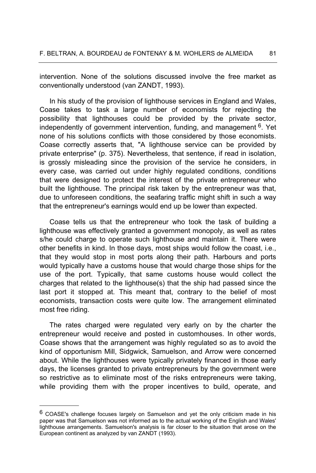intervention. None of the solutions discussed involve the free market as conventionally understood (van ZANDT, 1993).

In his study of the provision of lighthouse services in England and Wales, Coase takes to task a large number of economists for rejecting the possibility that lighthouses could be provided by the private sector, independently of government intervention, funding, and management  $6$ . Yet none of his solutions conflicts with those considered by those economists. Coase correctly asserts that, "A lighthouse service can be provided by private enterprise" (p. 375). Nevertheless, that sentence, if read in isolation, is grossly misleading since the provision of the service he considers, in every case, was carried out under highly regulated conditions, conditions that were designed to protect the interest of the private entrepreneur who built the lighthouse. The principal risk taken by the entrepreneur was that, due to unforeseen conditions, the seafaring traffic might shift in such a way that the entrepreneur's earnings would end up be lower than expected.

Coase tells us that the entrepreneur who took the task of building a lighthouse was effectively granted a government monopoly, as well as rates s/he could charge to operate such lighthouse and maintain it. There were other benefits in kind. In those days, most ships would follow the coast, i.e., that they would stop in most ports along their path. Harbours and ports would typically have a customs house that would charge those ships for the use of the port. Typically, that same customs house would collect the charges that related to the lighthouse(s) that the ship had passed since the last port it stopped at. This meant that, contrary to the belief of most economists, transaction costs were quite low. The arrangement eliminated most free riding.

The rates charged were regulated very early on by the charter the entrepreneur would receive and posted in customhouses. In other words, Coase shows that the arrangement was highly regulated so as to avoid the kind of opportunism Mill, Sidgwick, Samuelson, and Arrow were concerned about. While the lighthouses were typically privately financed in those early days, the licenses granted to private entrepreneurs by the government were so restrictive as to eliminate most of the risks entrepreneurs were taking, while providing them with the proper incentives to build, operate, and

 $\overline{a}$ 

<sup>6</sup> COASE's challenge focuses largely on Samuelson and yet the only criticism made in his paper was that Samuelson was not informed as to the actual working of the English and Wales' lighthouse arrangements. Samuelson's analysis is far closer to the situation that arose on the European continent as analyzed by van ZANDT (1993).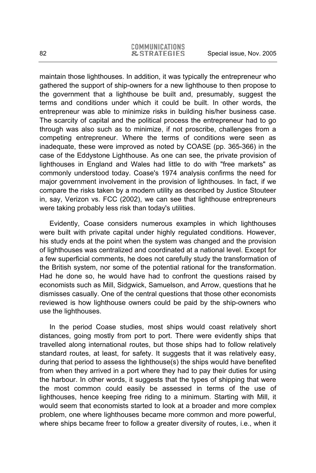maintain those lighthouses. In addition, it was typically the entrepreneur who gathered the support of ship-owners for a new lighthouse to then propose to the government that a lighthouse be built and, presumably, suggest the terms and conditions under which it could be built. In other words, the entrepreneur was able to minimize risks in building his/her business case. The scarcity of capital and the political process the entrepreneur had to go through was also such as to minimize, if not proscribe, challenges from a competing entrepreneur. Where the terms of conditions were seen as inadequate, these were improved as noted by COASE (pp. 365-366) in the case of the Eddystone Lighthouse. As one can see, the private provision of lighthouses in England and Wales had little to do with "free markets" as commonly understood today. Coase's 1974 analysis confirms the need for major government involvement in the provision of lighthouses. In fact, if we compare the risks taken by a modern utility as described by Justice Stouteer in, say, Verizon vs. FCC (2002), we can see that lighthouse entrepreneurs were taking probably less risk than today's utilities.

Evidently, Coase considers numerous examples in which lighthouses were built with private capital under highly regulated conditions. However, his study ends at the point when the system was changed and the provision of lighthouses was centralized and coordinated at a national level. Except for a few superficial comments, he does not carefully study the transformation of the British system, nor some of the potential rational for the transformation. Had he done so, he would have had to confront the questions raised by economists such as Mill, Sidgwick, Samuelson, and Arrow, questions that he dismisses casually. One of the central questions that those other economists reviewed is how lighthouse owners could be paid by the ship-owners who use the lighthouses.

In the period Coase studies, most ships would coast relatively short distances, going mostly from port to port. There were evidently ships that travelled along international routes, but those ships had to follow relatively standard routes, at least, for safety. It suggests that it was relatively easy, during that period to assess the lighthouse(s) the ships would have benefited from when they arrived in a port where they had to pay their duties for using the harbour. In other words, it suggests that the types of shipping that were the most common could easily be assessed in terms of the use of lighthouses, hence keeping free riding to a minimum. Starting with Mill, it would seem that economists started to look at a broader and more complex problem, one where lighthouses became more common and more powerful, where ships became freer to follow a greater diversity of routes, i.e., when it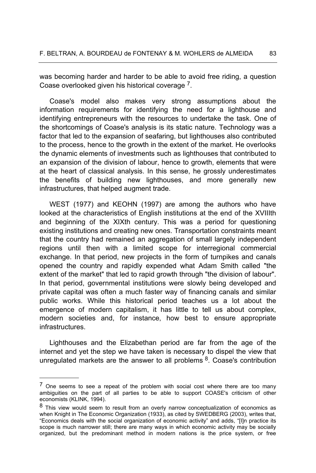was becoming harder and harder to be able to avoid free riding, a question Coase overlooked given his historical coverage 7.

Coase's model also makes very strong assumptions about the information requirements for identifying the need for a lighthouse and identifying entrepreneurs with the resources to undertake the task. One of the shortcomings of Coase's analysis is its static nature. Technology was a factor that led to the expansion of seafaring, but lighthouses also contributed to the process, hence to the growth in the extent of the market. He overlooks the dynamic elements of investments such as lighthouses that contributed to an expansion of the division of labour, hence to growth, elements that were at the heart of classical analysis. In this sense, he grossly underestimates the benefits of building new lighthouses, and more generally new infrastructures, that helped augment trade.

WEST (1977) and KEOHN (1997) are among the authors who have looked at the characteristics of English institutions at the end of the XVIIIth and beginning of the XIXth century. This was a period for questioning existing institutions and creating new ones. Transportation constraints meant that the country had remained an aggregation of small largely independent regions until then with a limited scope for interregional commercial exchange. In that period, new projects in the form of turnpikes and canals opened the country and rapidly expended what Adam Smith called "the extent of the market" that led to rapid growth through "the division of labour". In that period, governmental institutions were slowly being developed and private capital was often a much faster way of financing canals and similar public works. While this historical period teaches us a lot about the emergence of modern capitalism, it has little to tell us about complex, modern societies and, for instance, how best to ensure appropriate infrastructures.

Lighthouses and the Elizabethan period are far from the age of the internet and yet the step we have taken is necessary to dispel the view that unregulated markets are the answer to all problems  $8$ . Coase's contribution

<sup>&</sup>lt;sup>7</sup> One seems to see a repeat of the problem with social cost where there are too many ambiguities on the part of all parties to be able to support COASE's criticism of other economists (KLINK, 1994).

<sup>&</sup>lt;sup>8</sup> This view would seem to result from an overly narrow conceptualization of economics as when Knight in The Economic Organization (1933), as cited by SWEDBERG (2003), writes that, "Economics deals with the social organization of economic activity" and adds, "[I]n practice its scope is much narrower still; there are many ways in which economic activity may be socially organized, but the predominant method in modern nations is the price system, or free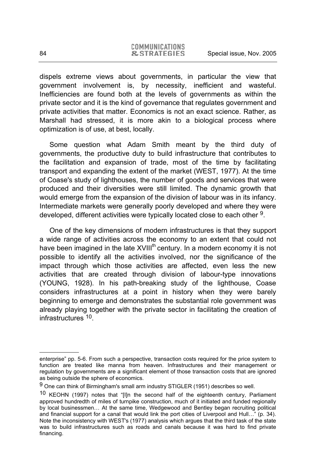dispels extreme views about governments, in particular the view that government involvement is, by necessity, inefficient and wasteful. Inefficiencies are found both at the levels of governments as within the private sector and it is the kind of governance that regulates government and private activities that matter. Economics is not an exact science. Rather, as Marshall had stressed, it is more akin to a biological process where optimization is of use, at best, locally.

Some question what Adam Smith meant by the third duty of governments, the productive duty to build infrastructure that contributes to the facilitation and expansion of trade, most of the time by facilitating transport and expanding the extent of the market (WEST, 1977). At the time of Coase's study of lighthouses, the number of goods and services that were produced and their diversities were still limited. The dynamic growth that would emerge from the expansion of the division of labour was in its infancy. Intermediate markets were generally poorly developed and where they were developed, different activities were typically located close to each other 9.

One of the key dimensions of modern infrastructures is that they support a wide range of activities across the economy to an extent that could not have been imagined in the late XVIII<sup>th</sup> century. In a modern economy it is not possible to identify all the activities involved, nor the significance of the impact through which those activities are affected, even less the new activities that are created through division of labour-type innovations (YOUNG, 1928). In his path-breaking study of the lighthouse, Coase considers infrastructures at a point in history when they were barely beginning to emerge and demonstrates the substantial role government was already playing together with the private sector in facilitating the creation of infrastructures 10.

enterprise" pp. 5-6. From such a perspective, transaction costs required for the price system to function are treated like manna from heaven. Infrastructures and their management or regulation by governments are a significant element of those transaction costs that are ignored as being outside the sphere of economics.

<sup>9</sup> One can think of Birmingham's small arm industry STIGLER (1951) describes so well.

<sup>&</sup>lt;sup>10</sup> KEOHN (1997) notes that "[I]n the second half of the eighteenth century, Parliament approved hundredth of miles of turnpike construction, much of it initiated and funded regionally by local businessmen… At the same time, Wedgewood and Bentley began recruiting political and financial support for a canal that would link the port cities of Liverpool and Hull…" (p. 34). Note the inconsistency with WEST's (1977) analysis which argues that the third task of the state was to build infrastructures such as roads and canals because it was hard to find private financing.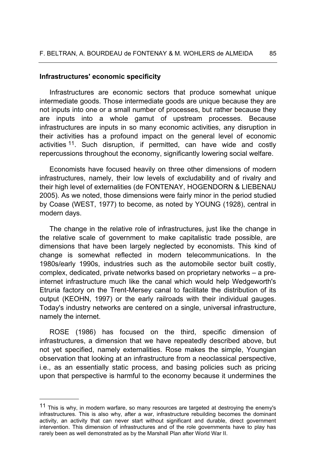### **Infrastructures' economic specificity**

Infrastructures are economic sectors that produce somewhat unique intermediate goods. Those intermediate goods are unique because they are not inputs into one or a small number of processes, but rather because they are inputs into a whole gamut of upstream processes. Because infrastructures are inputs in so many economic activities, any disruption in their activities has a profound impact on the general level of economic activities 11. Such disruption, if permitted, can have wide and costly repercussions throughout the economy, significantly lowering social welfare.

Economists have focused heavily on three other dimensions of modern infrastructures, namely, their low levels of excludability and of rivalry and their high level of externalities (de FONTENAY, HOGENDORN & LIEBENAU 2005). As we noted, those dimensions were fairly minor in the period studied by Coase (WEST, 1977) to become, as noted by YOUNG (1928), central in modern days.

The change in the relative role of infrastructures, just like the change in the relative scale of government to make capitalistic trade possible, are dimensions that have been largely neglected by economists. This kind of change is somewhat reflected in modern telecommunications. In the 1980s/early 1990s, industries such as the automobile sector built costly, complex, dedicated, private networks based on proprietary networks – a preinternet infrastructure much like the canal which would help Wedgeworth's Etruria factory on the Trent-Mersey canal to facilitate the distribution of its output (KEOHN, 1997) or the early railroads with their individual gauges. Today's industry networks are centered on a single, universal infrastructure, namely the internet.

ROSE (1986) has focused on the third, specific dimension of infrastructures, a dimension that we have repeatedly described above, but not yet specified, namely externalities. Rose makes the simple, Youngian observation that looking at an infrastructure from a neoclassical perspective, i.e., as an essentially static process, and basing policies such as pricing upon that perspective is harmful to the economy because it undermines the

<sup>&</sup>lt;sup>11</sup> This is why, in modern warfare, so many resources are targeted at destroying the enemy's infrastructures. This is also why, after a war, infrastructure rebuilding becomes the dominant activity, an activity that can never start without significant and durable, direct government intervention. This dimension of infrastructures and of the role governments have to play has rarely been as well demonstrated as by the Marshall Plan after World War II.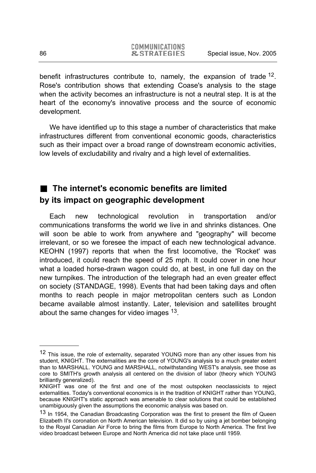benefit infrastructures contribute to, namely, the expansion of trade <sup>12</sup>. Rose's contribution shows that extending Coase's analysis to the stage when the activity becomes an infrastructure is not a neutral step. It is at the heart of the economy's innovative process and the source of economic development.

We have identified up to this stage a number of characteristics that make infrastructures different from conventional economic goods, characteristics such as their impact over a broad range of downstream economic activities, low levels of excludability and rivalry and a high level of externalities.

# ■ The internet's economic benefits are limited **by its impact on geographic development**

Each new technological revolution in transportation and/or communications transforms the world we live in and shrinks distances. One will soon be able to work from anywhere and "geography" will become irrelevant, or so we foresee the impact of each new technological advance. KEOHN (1997) reports that when the first locomotive, the 'Rocket' was introduced, it could reach the speed of 25 mph. It could cover in one hour what a loaded horse-drawn wagon could do, at best, in one full day on the new turnpikes. The introduction of the telegraph had an even greater effect on society (STANDAGE, 1998). Events that had been taking days and often months to reach people in major metropolitan centers such as London became available almost instantly. Later, television and satellites brought about the same changes for video images 13.

-

<sup>&</sup>lt;sup>12</sup> This issue, the role of externality, separated YOUNG more than any other issues from his student, KNIGHT. The externalities are the core of YOUNG's analysis to a much greater extent than to MARSHALL. YOUNG and MARSHALL, notwithstanding WEST's analysis, see those as core to SMITH's growth analysis all centered on the division of labor (theory which YOUNG brilliantly generalized).

KNIGHT was one of the first and one of the most outspoken neoclassicists to reject externalities. Today's conventional economics is in the tradition of KNIGHT rather than YOUNG, because KNIGHT's static approach was amenable to clear solutions that could be established unambiguously given the assumptions the economic analysis was based on.

<sup>&</sup>lt;sup>13</sup> In 1954, the Canadian Broadcasting Corporation was the first to present the film of Queen Elizabeth II's coronation on North American television. It did so by using a jet bomber belonging to the Royal Canadian Air Force to bring the films from Europe to North America. The first live video broadcast between Europe and North America did not take place until 1959.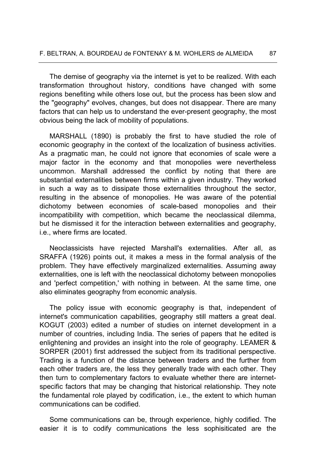The demise of geography via the internet is yet to be realized. With each transformation throughout history, conditions have changed with some regions benefiting while others lose out, but the process has been slow and the "geography" evolves, changes, but does not disappear. There are many factors that can help us to understand the ever-present geography, the most obvious being the lack of mobility of populations.

MARSHALL (1890) is probably the first to have studied the role of economic geography in the context of the localization of business activities. As a pragmatic man, he could not ignore that economies of scale were a major factor in the economy and that monopolies were nevertheless uncommon. Marshall addressed the conflict by noting that there are substantial externalities between firms within a given industry. They worked in such a way as to dissipate those externalities throughout the sector, resulting in the absence of monopolies. He was aware of the potential dichotomy between economies of scale-based monopolies and their incompatibility with competition, which became the neoclassical dilemma, but he dismissed it for the interaction between externalities and geography, i.e., where firms are located.

Neoclassicists have rejected Marshall's externalities. After all, as SRAFFA (1926) points out, it makes a mess in the formal analysis of the problem. They have effectively marginalized externalities. Assuming away externalities, one is left with the neoclassical dichotomy between monopolies and 'perfect competition,' with nothing in between. At the same time, one also eliminates geography from economic analysis.

The policy issue with economic geography is that, independent of internet's communication capabilities, geography still matters a great deal. KOGUT (2003) edited a number of studies on internet development in a number of countries, including India. The series of papers that he edited is enlightening and provides an insight into the role of geography. LEAMER & SORPER (2001) first addressed the subject from its traditional perspective. Trading is a function of the distance between traders and the further from each other traders are, the less they generally trade with each other. They then turn to complementary factors to evaluate whether there are internetspecific factors that may be changing that historical relationship. They note the fundamental role played by codification, i.e., the extent to which human communications can be codified.

Some communications can be, through experience, highly codified. The easier it is to codify communications the less sophisiticated are the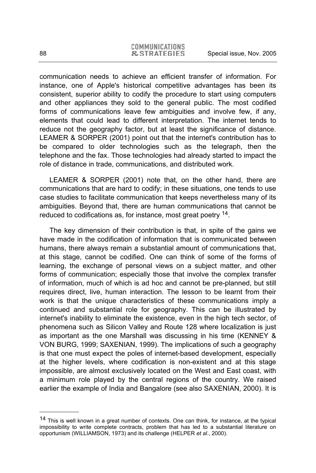communication needs to achieve an efficient transfer of information. For instance, one of Apple's historical competitive advantages has been its consistent, superior ability to codify the procedure to start using computers and other appliances they sold to the general public. The most codified forms of communications leave few ambiguities and involve few, if any, elements that could lead to different interpretation. The internet tends to reduce not the geography factor, but at least the significance of distance. LEAMER & SORPER (2001) point out that the internet's contribution has to be compared to older technologies such as the telegraph, then the telephone and the fax. Those technologies had already started to impact the role of distance in trade, communications, and distributed work.

LEAMER & SORPER (2001) note that, on the other hand, there are communications that are hard to codify; in these situations, one tends to use case studies to facilitate communication that keeps nevertheless many of its ambiguities. Beyond that, there are human communications that cannot be reduced to codifications as, for instance, most great poetry 14.

The key dimension of their contribution is that, in spite of the gains we have made in the codification of information that is communicated between humans, there always remain a substantial amount of communications that, at this stage, cannot be codified. One can think of some of the forms of learning, the exchange of personal views on a subject matter, and other forms of communication; especially those that involve the complex transfer of information, much of which is ad hoc and cannot be pre-planned, but still requires direct, live, human interaction. The lesson to be learnt from their work is that the unique characteristics of these communications imply a continued and substantial role for geography. This can be illustrated by internet's inability to eliminate the existence, even in the high tech sector, of phenomena such as Silicon Valley and Route 128 where localization is just as important as the one Marshall was discussing in his time (KENNEY & VON BURG, 1999; SAXENIAN, 1999). The implications of such a geography is that one must expect the poles of internet-based development, especially at the higher levels, where codification is non-existent and at this stage impossible, are almost exclusively located on the West and East coast, with a minimum role played by the central regions of the country. We raised earlier the example of India and Bangalore (see also SAXENIAN, 2000). It is

<sup>&</sup>lt;sup>14</sup> This is well known in a great number of contexts. One can think, for instance, at the typical impossibility to write complete contracts, problem that has led to a substantial literature on opportunism (WILLIAMSON, 1973) and its challenge (HELPER *et al*., 2000).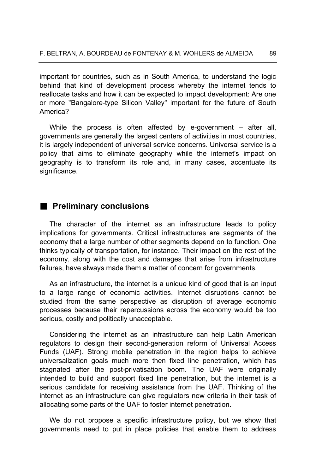important for countries, such as in South America, to understand the logic behind that kind of development process whereby the internet tends to reallocate tasks and how it can be expected to impact development: Are one or more "Bangalore-type Silicon Valley" important for the future of South America?

While the process is often affected by e-government – after all, governments are generally the largest centers of activities in most countries, it is largely independent of universal service concerns. Universal service is a policy that aims to eliminate geography while the internet's impact on geography is to transform its role and, in many cases, accentuate its significance.

# **Preliminary conclusions**

The character of the internet as an infrastructure leads to policy implications for governments. Critical infrastructures are segments of the economy that a large number of other segments depend on to function. One thinks typically of transportation, for instance. Their impact on the rest of the economy, along with the cost and damages that arise from infrastructure failures, have always made them a matter of concern for governments.

As an infrastructure, the internet is a unique kind of good that is an input to a large range of economic activities. Internet disruptions cannot be studied from the same perspective as disruption of average economic processes because their repercussions across the economy would be too serious, costly and politically unacceptable.

Considering the internet as an infrastructure can help Latin American regulators to design their second-generation reform of Universal Access Funds (UAF). Strong mobile penetration in the region helps to achieve universalization goals much more then fixed line penetration, which has stagnated after the post-privatisation boom. The UAF were originally intended to build and support fixed line penetration, but the internet is a serious candidate for receiving assistance from the UAF. Thinking of the internet as an infrastructure can give regulators new criteria in their task of allocating some parts of the UAF to foster internet penetration.

We do not propose a specific infrastructure policy, but we show that governments need to put in place policies that enable them to address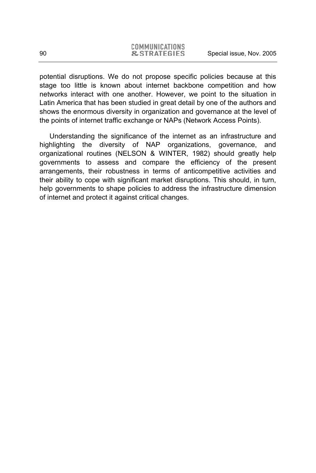potential disruptions. We do not propose specific policies because at this stage too little is known about internet backbone competition and how networks interact with one another. However, we point to the situation in Latin America that has been studied in great detail by one of the authors and shows the enormous diversity in organization and governance at the level of the points of internet traffic exchange or NAPs (Network Access Points).

Understanding the significance of the internet as an infrastructure and highlighting the diversity of NAP organizations, governance, and organizational routines (NELSON & WINTER, 1982) should greatly help governments to assess and compare the efficiency of the present arrangements, their robustness in terms of anticompetitive activities and their ability to cope with significant market disruptions. This should, in turn, help governments to shape policies to address the infrastructure dimension of internet and protect it against critical changes.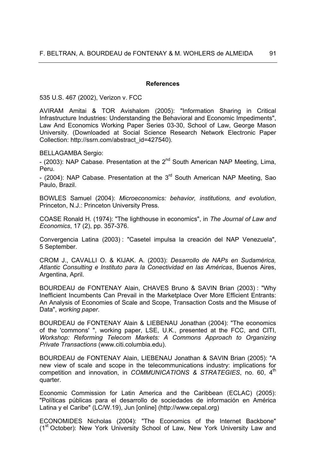#### **References**

535 U.S. 467 (2002), Verizon v. FCC

AVIRAM Amitai & TOR Avishalom (2005): "Information Sharing in Critical Infrastructure Industries: Understanding the Behavioral and Economic Impediments", Law And Economics Working Paper Series 03-30, School of Law, George Mason University. (Downloaded at Social Science Research Network Electronic Paper Collection: http://ssrn.com/abstract\_id=427540).

BELLAGAMBA Sergio:

- (2003): NAP Cabase. Presentation at the  $2^{nd}$  South American NAP Meeting, Lima, Peru.

- (2004): NAP Cabase. Presentation at the  $3<sup>rd</sup>$  South American NAP Meeting, Sao Paulo, Brazil.

BOWLES Samuel (2004): *Microeconomics: behavior, institutions, and evolution*, Princeton, N.J.: Princeton University Press.

COASE Ronald H. (1974): "The lighthouse in economics", in *The Journal of Law and Economics*, 17 (2), pp. 357-376.

Convergencia Latina (2003) : "Casetel impulsa la creación del NAP Venezuela", 5 September.

CROM J., CAVALLI O. & KIJAK. A. (2003): *Desarrollo de NAPs en Sudamérica, Atlantic Consulting e Instituto para la Conectividad en las Américas*, Buenos Aires, Argentina, April.

BOURDEAU de FONTENAY Alain, CHAVES Bruno & SAVIN Brian (2003) : "Why Inefficient Incumbents Can Prevail in the Marketplace Over More Efficient Entrants: An Analysis of Economies of Scale and Scope, Transaction Costs and the Misuse of Data", *working paper*.

BOURDEAU de FONTENAY Alain & LIEBENAU Jonathan (2004): "The economics of the 'commons' ", working paper, LSE, U.K., presented at the FCC, and CITI, *Workshop: Reforming Telecom Markets: A Commons Approach to Organizing Private Transactions* (www.citi.columbia.edu).

BOURDEAU de FONTENAY Alain, LIEBENAU Jonathan & SAVIN Brian (2005): "A new view of scale and scope in the telecommunications industry: implications for competition and innovation, in *COMMUNICATIONS & STRATEGIES*, no. 60, 4th quarter.

Economic Commission for Latin America and the Caribbean (ECLAC) (2005): "Políticas públicas para el desarrollo de sociedades de información en América Latina y el Caribe" (LC/W.19), Jun [online] (http://www.cepal.org)

ECONOMIDES Nicholas (2004): "The Economics of the Internet Backbone" (1<sup>st</sup> October): New York University School of Law, New York University Law and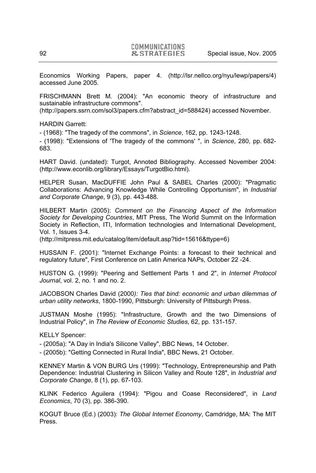Economics Working Papers, paper 4. (http://lsr.nellco.org/nyu/lewp/papers/4) accessed June 2005.

FRISCHMANN Brett M. (2004): "An economic theory of infrastructure and sustainable infrastructure commons".

(http://papers.ssrn.com/sol3/papers.cfm?abstract\_id=588424) accessed November.

HARDIN Garrett:

- (1968): "The tragedy of the commons", in *Science*, 162, pp. 1243-1248.

- (1998): "Extensions of 'The tragedy of the commons' ", in *Science*, 280, pp. 682- 683.

HART David. (undated): Turgot, Annoted Bibliography. Accessed November 2004: (http://www.econlib.org/library/Essays/TurgotBio.html).

HELPER Susan, MacDUFFIE John Paul & SABEL Charles (2000): "Pragmatic Collaborations: Advancing Knowledge While Controlling Opportunism", in *Industrial and Corporate Change*, 9 (3), pp. 443-488.

HILBERT Martin (2005): *Comment on the Financing Aspect of the Information Society for Developing Countries*, MIT Press, The World Summit on the Information Society in Reflection, ITI, Information technologies and International Development, Vol. 1, Issues 3-4.

(http://mitpress.mit.edu/catalog/item/default.asp?tid=15616&ttype=6)

HUSSAIN F. (2001): "Internet Exchange Points: a forecast to their technical and regulatory future", First Conference on Latin America NAPs, October 22 -24.

HUSTON G. (1999): "Peering and Settlement Parts 1 and 2", in *Internet Protocol Journal*, vol. 2, no. 1 and no. 2.

JACOBSON Charles David (2000*): Ties that bind: economic and urban dilemmas of urban utility networks*, 1800-1990, Pittsburgh: University of Pittsburgh Press.

JUSTMAN Moshe (1995): "Infrastructure, Growth and the two Dimensions of Industrial Policy", in *The Review of Economic Studies*, 62, pp. 131-157.

KELLY Spencer:

- (2005a): "A Day in India's Silicone Valley", BBC News, 14 October.

- (2005b): "Getting Connected in Rural India", BBC News, 21 October.

KENNEY Martin & VON BURG Urs (1999): "Technology, Entrepreneurship and Path Dependence: Industrial Clustering in Silicon Valley and Route 128", in *Industrial and Corporate Change*, 8 (1), pp. 67-103.

KLINK Federico Aguilera (1994): "Pigou and Coase Reconsidered", in *Land Economics*, 70 (3), pp. 386-390.

KOGUT Bruce (Ed.) (2003): *The Global Internet Economy*, Camdridge, MA: The MIT Press.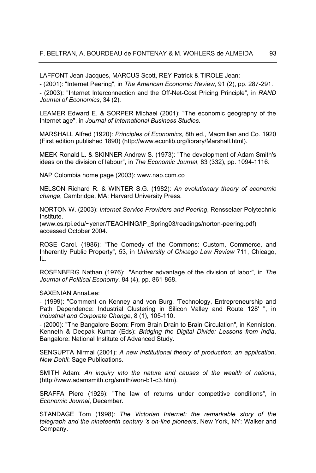LAFFONT Jean-Jacques, MARCUS Scott, REY Patrick & TIROLE Jean:

- (2001): "Internet Peering", in *The American Economic Review*, 91 (2), pp. 287-291.

- (2003): "Internet Interconnection and the Off-Net-Cost Pricing Principle", in *RAND Journal of Economics*, 34 (2).

LEAMER Edward E. & SORPER Michael (2001): "The economic geography of the Internet age", in *Journal of International Business Studies*.

MARSHALL Alfred (1920): *Principles of Economics*, 8th ed., Macmillan and Co. 1920 (First edition published 1890) (http://www.econlib.org/library/Marshall.html).

MEEK Ronald L. & SKINNER Andrew S. (1973): "The development of Adam Smith's ideas on the division of labour", in *The Economic Journal*, 83 (332), pp. 1094-1116.

NAP Colombia home page (2003): www.nap.com.co

NELSON Richard R. & WINTER S.G. (1982): *An evolutionary theory of economic change*, Cambridge, MA: Harvard University Press.

NORTON W. (2003): *Internet Service Providers and Peering*, Rensselaer Polytechnic Institute.

(www.cs.rpi.edu/~yener/TEACHING/IP\_Spring03/readings/norton-peering.pdf) accessed October 2004.

ROSE Carol. (1986): "The Comedy of the Commons: Custom, Commerce, and Inherently Public Property", 53, in *University of Chicago Law Review* 711, Chicago, IL.

ROSENBERG Nathan (1976):. "Another advantage of the division of labor", in *The Journal of Political Economy*, 84 (4), pp. 861-868.

SAXENIAN AnnaLee:

- (1999): "Comment on Kenney and von Burg, 'Technology, Entrepreneurship and Path Dependence: Industrial Clustering in Silicon Valley and Route 128' ", in *Industrial and Corporate Change*, 8 (1), 105-110.

- (2000): "The Bangalore Boom: From Brain Drain to Brain Circulation", in Kenniston, Kenneth & Deepak Kumar (Eds): *Bridging the Digital Divide: Lessons from India*, Bangalore: National Institute of Advanced Study.

SENGUPTA Nirmal (2001): *A new institutional theory of production: an application*. *New Dehli*: Sage Publications.

SMITH Adam: *An inquiry into the nature and causes of the wealth of nations*, (http://www.adamsmith.org/smith/won-b1-c3.htm).

SRAFFA Piero (1926): "The law of returns under competitive conditions", in *Economic Journal*, December.

STANDAGE Tom (1998): *The Victorian Internet: the remarkable story of the telegraph and the nineteenth century 's on-line pioneers*, New York, NY: Walker and Company.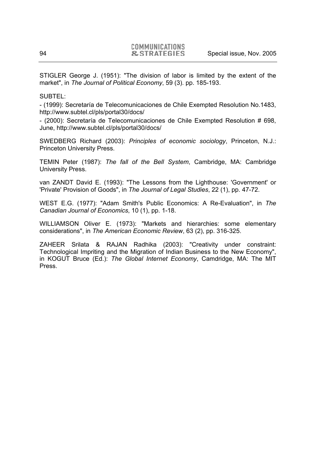STIGLER George J. (1951): "The division of labor is limited by the extent of the market", in *The Journal of Political Economy*, 59 (3). pp. 185-193.

SUBTEL:

- (1999): Secretaría de Telecomunicaciones de Chile Exempted Resolution No.1483, http://www.subtel.cl/pls/portal30/docs/

- (2000): Secretaría de Telecomunicaciones de Chile Exempted Resolution # 698, June, http://www.subtel.cl/pls/portal30/docs/

SWEDBERG Richard (2003): *Principles of economic sociology*, Princeton, N.J.: Princeton University Press.

TEMIN Peter (1987): *The fall of the Bell System*, Cambridge, MA: Cambridge University Press.

van ZANDT David E. (1993): "The Lessons from the Lighthouse: 'Government' or 'Private' Provision of Goods", in *The Journal of Legal Studies*, 22 (1), pp. 47-72.

WEST E.G. (1977): "Adam Smith's Public Economics: A Re-Evaluation", in *The Canadian Journal of Economics*, 10 (1), pp. 1-18.

WILLIAMSON Oliver E. (1973): "Markets and hierarchies: some elementary considerations", in *The American Economic Review*, 63 (2), pp. 316-325.

ZAHEER Srilata & RAJAN Radhika (2003): "Creativity under constraint: Technological Impriting and the Migration of Indian Business to the New Economy", in KOGUT Bruce (Ed.): *The Global Internet Economy*, Camdridge, MA: The MIT Press.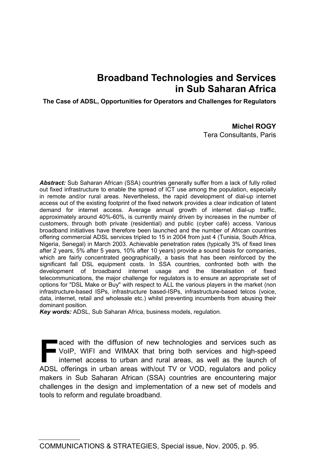# **Broadband Technologies and Services in Sub Saharan Africa**

**The Case of ADSL, Opportunities for Operators and Challenges for Regulators** 

### **Michel ROGY**

Tera Consultants, Paris

*Abstract:* Sub Saharan African (SSA) countries generally suffer from a lack of fully rolled out fixed infrastructure to enable the spread of ICT use among the population, especially in remote and/or rural areas. Nevertheless, the rapid development of dial-up internet access out of the existing footprint of the fixed network provides a clear indication of latent demand for internet access. Average annual growth of internet dial-up traffic, approximately around 40%-60%, is currently mainly driven by increases in the number of customers, through both private (residential) and public (cyber café) access. Various broadband initiatives have therefore been launched and the number of African countries offering commercial ADSL services tripled to 15 in 2004 from just 4 (Tunisia, South Africa, Nigeria, Senegal) in March 2003. Achievable penetration rates (typically 3% of fixed lines after 2 years, 5% after 5 years, 10% after 10 years) provide a sound basis for companies, which are fairly concentrated geographically, a basis that has been reinforced by the significant fall DSL equipment costs. In SSA countries, confronted both with the development of broadband internet usage and the liberalisation of fixed telecommunications, the major challenge for regulators is to ensure an appropriate set of options for "DSL Make or Buy" with respect to ALL the various players in the market (non infrastructure-based ISPs, infrastructure based-ISPs, infrastructure-based telcos (voice, data, internet, retail and wholesale etc.) whilst preventing incumbents from abusing their dominant position.

*Key words:* ADSL, Sub Saharan Africa, business models, regulation.

aced with the diffusion of new technologies and services such as VoIP, WIFI and WIMAX that bring both services and high-speed internet access to urban and rural areas, as well as the launch of ADSL offerings in urban areas with/out TV or VOD, regulators and policy makers in Sub Saharan African (SSA) countries are encountering major challenges in the design and implementation of a new set of models and tools to reform and regulate broadband. **F**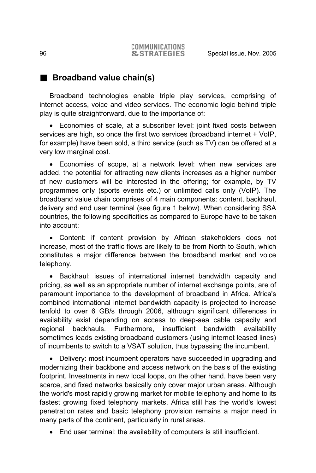# **Broadband value chain(s)**

Broadband technologies enable triple play services, comprising of internet access, voice and video services. The economic logic behind triple play is quite straightforward, due to the importance of:

• Economies of scale, at a subscriber level: joint fixed costs between services are high, so once the first two services (broadband internet + VoIP, for example) have been sold, a third service (such as TV) can be offered at a very low marginal cost.

• Economies of scope, at a network level: when new services are added, the potential for attracting new clients increases as a higher number of new customers will be interested in the offering; for example, by TV programmes only (sports events etc.) or unlimited calls only (VoIP). The broadband value chain comprises of 4 main components: content, backhaul, delivery and end user terminal (see figure 1 below). When considering SSA countries, the following specificities as compared to Europe have to be taken into account:

• Content: if content provision by African stakeholders does not increase, most of the traffic flows are likely to be from North to South, which constitutes a major difference between the broadband market and voice telephony.

• Backhaul: issues of international internet bandwidth capacity and pricing, as well as an appropriate number of internet exchange points, are of paramount importance to the development of broadband in Africa. Africa's combined international internet bandwidth capacity is projected to increase tenfold to over 6 GB/s through 2006, although significant differences in availability exist depending on access to deep-sea cable capacity and regional backhauls. Furthermore, insufficient bandwidth availability sometimes leads existing broadband customers (using internet leased lines) of incumbents to switch to a VSAT solution, thus bypassing the incumbent.

• Delivery: most incumbent operators have succeeded in upgrading and modernizing their backbone and access network on the basis of the existing footprint. Investments in new local loops, on the other hand, have been very scarce, and fixed networks basically only cover major urban areas. Although the world's most rapidly growing market for mobile telephony and home to its fastest growing fixed telephony markets, Africa still has the world's lowest penetration rates and basic telephony provision remains a major need in many parts of the continent, particularly in rural areas.

• End user terminal: the availability of computers is still insufficient.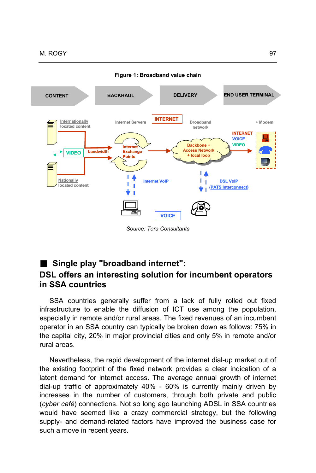

**Figure 1: Broadband value chain** 

# **Single play "broadband internet":**

# **DSL offers an interesting solution for incumbent operators in SSA countries**

SSA countries generally suffer from a lack of fully rolled out fixed infrastructure to enable the diffusion of ICT use among the population, especially in remote and/or rural areas. The fixed revenues of an incumbent operator in an SSA country can typically be broken down as follows: 75% in the capital city, 20% in major provincial cities and only 5% in remote and/or rural areas.

Nevertheless, the rapid development of the internet dial-up market out of the existing footprint of the fixed network provides a clear indication of a latent demand for internet access. The average annual growth of internet dial-up traffic of approximately 40% - 60% is currently mainly driven by increases in the number of customers, through both private and public (*cyber café*) connections. Not so long ago launching ADSL in SSA countries would have seemed like a crazy commercial strategy, but the following supply- and demand-related factors have improved the business case for such a move in recent years.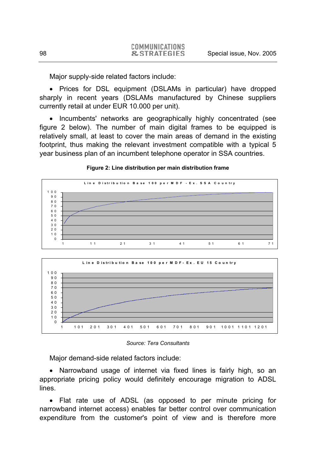Major supply-side related factors include:

• Prices for DSL equipment (DSLAMs in particular) have dropped sharply in recent years (DSLAMs manufactured by Chinese suppliers currently retail at under EUR 10.000 per unit).

• Incumbents' networks are geographically highly concentrated (see figure 2 below). The number of main digital frames to be equipped is relatively small, at least to cover the main areas of demand in the existing footprint, thus making the relevant investment compatible with a typical 5 year business plan of an incumbent telephone operator in SSA countries.



#### **Figure 2: Line distribution per main distribution frame**



*Source: Tera Consultants* 

Major demand-side related factors include:

• Narrowband usage of internet via fixed lines is fairly high, so an appropriate pricing policy would definitely encourage migration to ADSL lines.

• Flat rate use of ADSL (as opposed to per minute pricing for narrowband internet access) enables far better control over communication expenditure from the customer's point of view and is therefore more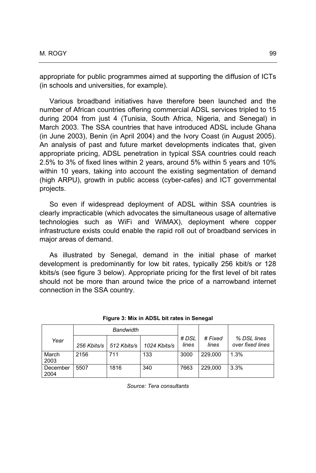appropriate for public programmes aimed at supporting the diffusion of ICTs (in schools and universities, for example).

Various broadband initiatives have therefore been launched and the number of African countries offering commercial ADSL services tripled to 15 during 2004 from just 4 (Tunisia, South Africa, Nigeria, and Senegal) in March 2003. The SSA countries that have introduced ADSL include Ghana (in June 2003), Benin (in April 2004) and the Ivory Coast (in August 2005). An analysis of past and future market developments indicates that, given appropriate pricing, ADSL penetration in typical SSA countries could reach 2.5% to 3% of fixed lines within 2 years, around 5% within 5 years and 10% within 10 years, taking into account the existing segmentation of demand (high ARPU), growth in public access (cyber-cafes) and ICT governmental projects.

So even if widespread deployment of ADSL within SSA countries is clearly impracticable (which advocates the simultaneous usage of alternative technologies such as WiFi and WiMAX), deployment where copper infrastructure exists could enable the rapid roll out of broadband services in major areas of demand.

As illustrated by Senegal, demand in the initial phase of market development is predominantly for low bit rates, typically 256 kbit/s or 128 kbits/s (see figure 3 below). Appropriate pricing for the first level of bit rates should not be more than around twice the price of a narrowband internet connection in the SSA country.

|                  |             | <b>Bandwidth</b> |              |                |                  |                                 |
|------------------|-------------|------------------|--------------|----------------|------------------|---------------------------------|
| Year             | 256 Kbits/s | 512 Kbits/s      | 1024 Kbits/s | # DSL<br>lines | # Fixed<br>lines | % DSL lines<br>over fixed lines |
| March<br>2003    | 2156        | 711              | 133          | 3000           | 229.000          | 1.3%                            |
| December<br>2004 | 5507        | 1816             | 340          | 7663           | 229.000          | 3.3%                            |

|  |  |  |  |  |  |  |  | Figure 3: Mix in ADSL bit rates in Senegal |  |
|--|--|--|--|--|--|--|--|--------------------------------------------|--|
|--|--|--|--|--|--|--|--|--------------------------------------------|--|

*Source: Tera consultants*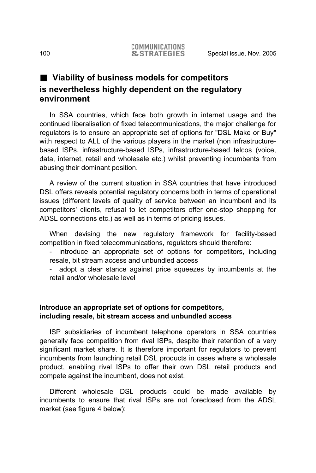# **Viability of business models for competitors is nevertheless highly dependent on the regulatory environment**

In SSA countries, which face both growth in internet usage and the continued liberalisation of fixed telecommunications, the major challenge for regulators is to ensure an appropriate set of options for "DSL Make or Buy" with respect to ALL of the various players in the market (non infrastructurebased ISPs, infrastructure-based ISPs, infrastructure-based telcos (voice, data, internet, retail and wholesale etc.) whilst preventing incumbents from abusing their dominant position.

A review of the current situation in SSA countries that have introduced DSL offers reveals potential regulatory concerns both in terms of operational issues (different levels of quality of service between an incumbent and its competitors' clients, refusal to let competitors offer one-stop shopping for ADSL connections etc.) as well as in terms of pricing issues.

When devising the new regulatory framework for facility-based competition in fixed telecommunications, regulators should therefore:

introduce an appropriate set of options for competitors, including resale, bit stream access and unbundled access

- adopt a clear stance against price squeezes by incumbents at the retail and/or wholesale level

# **Introduce an appropriate set of options for competitors, including resale, bit stream access and unbundled access**

ISP subsidiaries of incumbent telephone operators in SSA countries generally face competition from rival ISPs, despite their retention of a very significant market share. It is therefore important for regulators to prevent incumbents from launching retail DSL products in cases where a wholesale product, enabling rival ISPs to offer their own DSL retail products and compete against the incumbent, does not exist.

Different wholesale DSL products could be made available by incumbents to ensure that rival ISPs are not foreclosed from the ADSL market (see figure 4 below):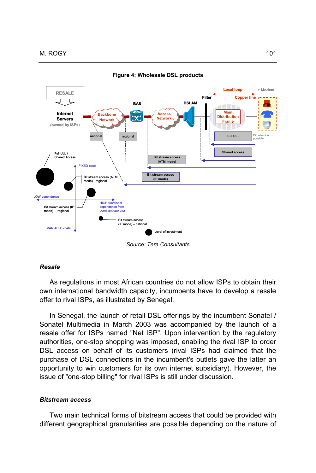

**Figure 4: Wholesale DSL products** 

*Source: Tera Consultants* 

#### *Resale*

As regulations in most African countries do not allow ISPs to obtain their own international bandwidth capacity, incumbents have to develop a resale offer to rival ISPs, as illustrated by Senegal.

In Senegal, the launch of retail DSL offerings by the incumbent Sonatel / Sonatel Multimedia in March 2003 was accompanied by the launch of a resale offer for ISPs named "Net ISP". Upon intervention by the regulatory authorities, one-stop shopping was imposed, enabling the rival ISP to order DSL access on behalf of its customers (rival ISPs had claimed that the purchase of DSL connections in the incumbent's outlets gave the latter an opportunity to win customers for its own internet subsidiary). However, the issue of "one-stop billing" for rival ISPs is still under discussion.

#### *Bitstream access*

Two main technical forms of bitstream access that could be provided with different geographical granularities are possible depending on the nature of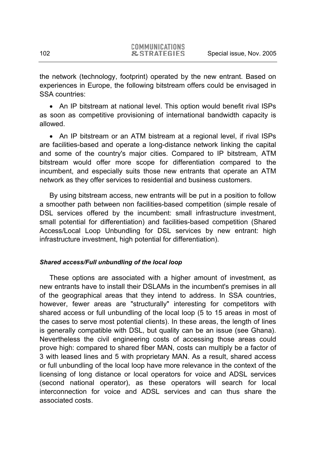the network (technology, footprint) operated by the new entrant. Based on experiences in Europe, the following bitstream offers could be envisaged in SSA countries:

• An IP bitstream at national level. This option would benefit rival ISPs as soon as competitive provisioning of international bandwidth capacity is allowed.

• An IP bitstream or an ATM bistream at a regional level, if rival ISPs are facilities-based and operate a long-distance network linking the capital and some of the country's major cities. Compared to IP bitstream, ATM bitstream would offer more scope for differentiation compared to the incumbent, and especially suits those new entrants that operate an ATM network as they offer services to residential and business customers.

By using bitstream access, new entrants will be put in a position to follow a smoother path between non facilities-based competition (simple resale of DSL services offered by the incumbent: small infrastructure investment, small potential for differentiation) and facilities-based competition (Shared Access/Local Loop Unbundling for DSL services by new entrant: high infrastructure investment, high potential for differentiation).

## *Shared access/Full unbundling of the local loop*

These options are associated with a higher amount of investment, as new entrants have to install their DSLAMs in the incumbent's premises in all of the geographical areas that they intend to address. In SSA countries, however, fewer areas are "structurally" interesting for competitors with shared access or full unbundling of the local loop (5 to 15 areas in most of the cases to serve most potential clients). In these areas, the length of lines is generally compatible with DSL, but quality can be an issue (see Ghana). Nevertheless the civil engineering costs of accessing those areas could prove high: compared to shared fiber MAN, costs can multiply be a factor of 3 with leased lines and 5 with proprietary MAN. As a result, shared access or full unbundling of the local loop have more relevance in the context of the licensing of long distance or local operators for voice and ADSL services (second national operator), as these operators will search for local interconnection for voice and ADSL services and can thus share the associated costs.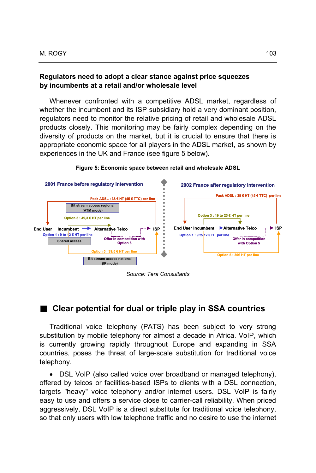### **Regulators need to adopt a clear stance against price squeezes by incumbents at a retail and/or wholesale level**

Whenever confronted with a competitive ADSL market, regardless of whether the incumbent and its ISP subsidiary hold a very dominant position, regulators need to monitor the relative pricing of retail and wholesale ADSL products closely. This monitoring may be fairly complex depending on the diversity of products on the market, but it is crucial to ensure that there is appropriate economic space for all players in the ADSL market, as shown by experiences in the UK and France (see figure 5 below).



#### **Figure 5: Economic space between retail and wholesale ADSL**

*Source: Tera Consultants* 

# ■ Clear potential for dual or triple play in SSA countries

Traditional voice telephony (PATS) has been subject to very strong substitution by mobile telephony for almost a decade in Africa. VoIP, which is currently growing rapidly throughout Europe and expanding in SSA countries, poses the threat of large-scale substitution for traditional voice telephony.

• DSL VoIP (also called voice over broadband or managed telephony), offered by telcos or facilities-based ISPs to clients with a DSL connection, targets "heavy" voice telephony and/or internet users. DSL VoIP is fairly easy to use and offers a service close to carrier-call reliability. When priced aggressively, DSL VoIP is a direct substitute for traditional voice telephony, so that only users with low telephone traffic and no desire to use the internet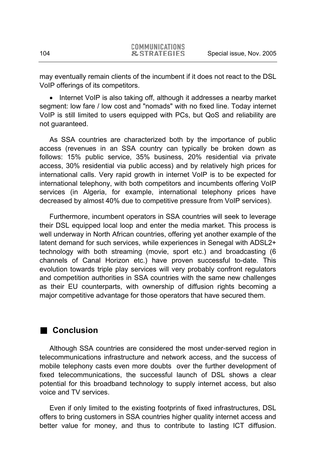may eventually remain clients of the incumbent if it does not react to the DSL VoIP offerings of its competitors.

• Internet VoIP is also taking off, although it addresses a nearby market segment: low fare / low cost and "nomads" with no fixed line. Today internet VoIP is still limited to users equipped with PCs, but QoS and reliability are not guaranteed.

As SSA countries are characterized both by the importance of public access (revenues in an SSA country can typically be broken down as follows: 15% public service, 35% business, 20% residential via private access, 30% residential via public access) and by relatively high prices for international calls. Very rapid growth in internet VoIP is to be expected for international telephony, with both competitors and incumbents offering VoIP services (in Algeria, for example, international telephony prices have decreased by almost 40% due to competitive pressure from VoIP services).

Furthermore, incumbent operators in SSA countries will seek to leverage their DSL equipped local loop and enter the media market. This process is well underway in North African countries, offering yet another example of the latent demand for such services, while experiences in Senegal with ADSL2+ technology with both streaming (movie, sport etc.) and broadcasting (6 channels of Canal Horizon etc.) have proven successful to-date. This evolution towards triple play services will very probably confront regulators and competition authorities in SSA countries with the same new challenges as their EU counterparts, with ownership of diffusion rights becoming a major competitive advantage for those operators that have secured them.

# **Conclusion**

Although SSA countries are considered the most under-served region in telecommunications infrastructure and network access, and the success of mobile telephony casts even more doubts over the further development of fixed telecommunications, the successful launch of DSL shows a clear potential for this broadband technology to supply internet access, but also voice and TV services.

Even if only limited to the existing footprints of fixed infrastructures, DSL offers to bring customers in SSA countries higher quality internet access and better value for money, and thus to contribute to lasting ICT diffusion.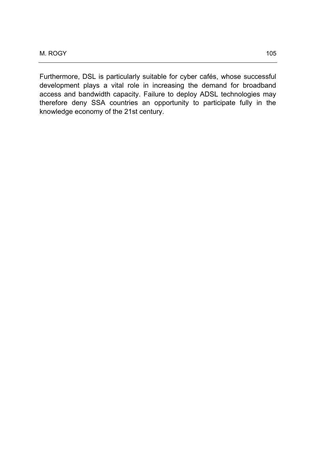Furthermore, DSL is particularly suitable for cyber cafés, whose successful development plays a vital role in increasing the demand for broadband access and bandwidth capacity. Failure to deploy ADSL technologies may therefore deny SSA countries an opportunity to participate fully in the knowledge economy of the 21st century.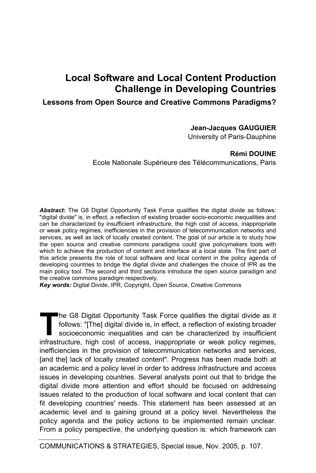# **Local Software and Local Content Production Challenge in Developing Countries**

# **Lessons from Open Source and Creative Commons Paradigms?**

## **Jean-Jacques GAUGUIER**

University of Paris-Dauphine

# **Rémi DOUINE**

Ecole Nationale Supérieure des Télécommunications, Paris

*Abstract:* The G8 Digital Opportunity Task Force qualifies the digital divide as follows: "digital divide" is, in effect, a reflection of existing broader socio-economic inequalities and can be characterized by insufficient infrastructure, the high cost of access, inappropriate or weak policy regimes, inefficiencies in the provision of telecommunication networks and services, as well as lack of locally created content. The goal of our article is to study how the open source and creative commons paradigms could give policymakers tools with which to achieve the production of content and interface at a local state. The first part of this article presents the role of local software and local content in the policy agenda of developing countries to bridge the digital divide and challenges the choice of IPR as the main policy tool. The second and third sections introduce the open source paradigm and the creative commons paradigm respectively.

*Key words:* Digital Divide, IPR, Copyright, Open Source, Creative Commons

he G8 Digital Opportunity Task Force qualifies the digital divide as it follows: "[The] digital divide is, in effect, a reflection of existing broader socioeconomic inequalities and can be characterized by insufficient **infrastructure, high cost of access, inappropriate or weak policy regimes, infrastructure, high cost of access, inappropriate or weak policy regimes,** inefficiencies in the provision of telecommunication networks and services, [and the] lack of locally created content". Progress has been made both at an academic and a policy level in order to address infrastructure and access issues in developing countries. Several analysts point out that to bridge the digital divide more attention and effort should be focused on addressing issues related to the production of local software and local content that can fit developing countries' needs. This statement has been assessed at an academic level and is gaining ground at a policy level. Nevertheless the policy agenda and the policy actions to be implemented remain unclear. From a policy perspective, the underlying question is: which framework can

COMMUNICATIONS & STRATEGIES, Special issue, Nov. 2005, p. 107.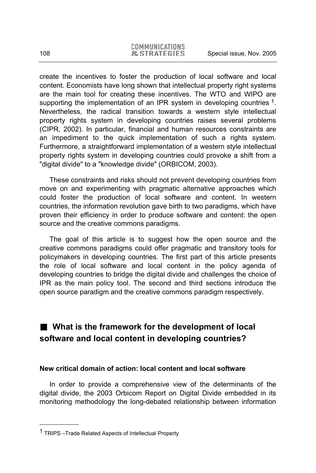create the incentives to foster the production of local software and local content. Economists have long shown that intellectual property right systems are the main tool for creating these incentives. The WTO and WIPO are supporting the implementation of an IPR system in developing countries <sup>1</sup>. Nevertheless, the radical transition towards a western style intellectual property rights system in developing countries raises several problems (CIPR, 2002). In particular, financial and human resources constraints are an impediment to the quick implementation of such a rights system. Furthermore, a straightforward implementation of a western style intellectual property rights system in developing countries could provoke a shift from a "digital divide" to a "knowledge divide" (ORBICOM, 2003).

These constraints and risks should not prevent developing countries from move on and experimenting with pragmatic alternative approaches which could foster the production of local software and content. In western countries, the information revolution gave birth to two paradigms, which have proven their efficiency in order to produce software and content: the open source and the creative commons paradigms.

The goal of this article is to suggest how the open source and the creative commons paradigms could offer pragmatic and transitory tools for policymakers in developing countries. The first part of this article presents the role of local software and local content in the policy agenda of developing countries to bridge the digital divide and challenges the choice of IPR as the main policy tool. The second and third sections introduce the open source paradigm and the creative commons paradigm respectively.

# **What is the framework for the development of local software and local content in developing countries?**

## **New critical domain of action: local content and local software**

In order to provide a comprehensive view of the determinants of the digital divide, the 2003 Orbicom Report on Digital Divide embedded in its monitoring methodology the long-debated relationship between information

<sup>&</sup>lt;sup>1</sup> TRIPS –Trade Related Aspects of Intellectual Property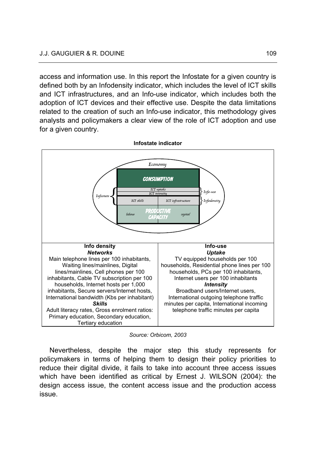access and information use. In this report the Infostate for a given country is defined both by an Infodensity indicator, which includes the level of ICT skills and ICT infrastructures, and an Info-use indicator, which includes both the adoption of ICT devices and their effective use. Despite the data limitations related to the creation of such an Info-use indicator, this methodology gives analysts and policymakers a clear view of the role of ICT adoption and use for a given country.

**Infostate indicator** 



*Source: Orbicom, 2003* 

Nevertheless, despite the major step this study represents for policymakers in terms of helping them to design their policy priorities to reduce their digital divide, it fails to take into account three access issues which have been identified as critical by Ernest J. WILSON (2004): the design access issue, the content access issue and the production access issue.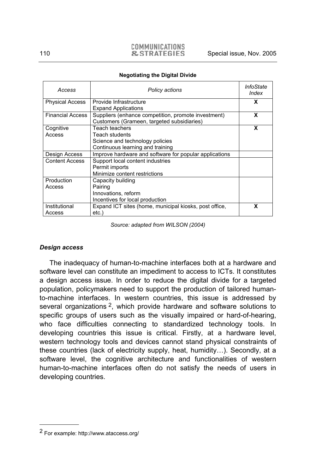# COMMUNICATIONS

| Access                  | Policy actions                                                                                          | InfoState<br>Index |
|-------------------------|---------------------------------------------------------------------------------------------------------|--------------------|
| <b>Physical Access</b>  | Provide Infrastructure<br><b>Expand Applications</b>                                                    | x                  |
| <b>Financial Access</b> | Suppliers (enhance competition, promote investment)<br>Customers (Grameen, targeted subsidiaries)       | x                  |
| Cognitive<br>Access     | Teach teachers<br>Teach students<br>Science and technology policies<br>Continuous learning and training | X                  |
| Design Access           | Improve hardware and software for popular applications                                                  |                    |
| <b>Content Access</b>   | Support local content industries<br>Permit imports<br>Minimize content restrictions                     |                    |
| Production<br>Access    | Capacity building<br>Pairing<br>Innovations, reform<br>Incentives for local production                  |                    |
| Institutional<br>Access | Expand ICT sites (home, municipal kiosks, post office,<br>etc.)                                         | x                  |

#### **Negotiating the Digital Divide**

*Source: adapted from WILSON (2004)* 

## *Design access*

The inadequacy of human-to-machine interfaces both at a hardware and software level can constitute an impediment to access to ICTs. It constitutes a design access issue. In order to reduce the digital divide for a targeted population, policymakers need to support the production of tailored humanto-machine interfaces. In western countries, this issue is addressed by several organizations <sup>2</sup>, which provide hardware and software solutions to specific groups of users such as the visually impaired or hard-of-hearing, who face difficulties connecting to standardized technology tools. In developing countries this issue is critical. Firstly, at a hardware level, western technology tools and devices cannot stand physical constraints of these countries (lack of electricity supply, heat, humidity…). Secondly, at a software level, the cognitive architecture and functionalities of western human-to-machine interfaces often do not satisfy the needs of users in developing countries.

<sup>2</sup> For example: http://www.ataccess.org/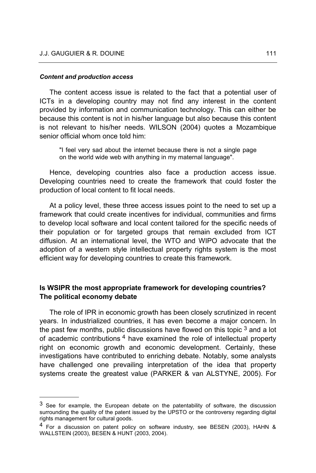#### *Content and production access*

l

The content access issue is related to the fact that a potential user of ICTs in a developing country may not find any interest in the content provided by information and communication technology. This can either be because this content is not in his/her language but also because this content is not relevant to his/her needs. WILSON (2004) quotes a Mozambique senior official whom once told him:

"I feel very sad about the internet because there is not a single page on the world wide web with anything in my maternal language".

Hence, developing countries also face a production access issue. Developing countries need to create the framework that could foster the production of local content to fit local needs.

At a policy level, these three access issues point to the need to set up a framework that could create incentives for individual, communities and firms to develop local software and local content tailored for the specific needs of their population or for targeted groups that remain excluded from ICT diffusion. At an international level, the WTO and WIPO advocate that the adoption of a western style intellectual property rights system is the most efficient way for developing countries to create this framework.

## **Is WSIPR the most appropriate framework for developing countries? The political economy debate**

The role of IPR in economic growth has been closely scrutinized in recent years. In industrialized countries, it has even become a major concern. In the past few months, public discussions have flowed on this topic  $3$  and a lot of academic contributions<sup>4</sup> have examined the role of intellectual property right on economic growth and economic development. Certainly, these investigations have contributed to enriching debate. Notably, some analysts have challenged one prevailing interpretation of the idea that property systems create the greatest value (PARKER & van ALSTYNE, 2005). For

<sup>&</sup>lt;sup>3</sup> See for example, the European debate on the patentability of software, the discussion surrounding the quality of the patent issued by the UPSTO or the controversy regarding digital rights management for cultural goods.

 $<sup>4</sup>$  For a discussion on patent policy on software industry, see BESEN (2003), HAHN &</sup> WALLSTEIN (2003), BESEN & HUNT (2003, 2004).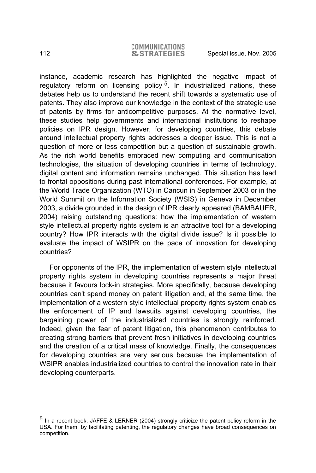instance, academic research has highlighted the negative impact of regulatory reform on licensing policy  $5$ . In industrialized nations, these debates help us to understand the recent shift towards a systematic use of patents. They also improve our knowledge in the context of the strategic use of patents by firms for anticompetitive purposes. At the normative level, these studies help governments and international institutions to reshape policies on IPR design. However, for developing countries, this debate around intellectual property rights addresses a deeper issue. This is not a question of more or less competition but a question of sustainable growth. As the rich world benefits embraced new computing and communication technologies, the situation of developing countries in terms of technology, digital content and information remains unchanged. This situation has lead to frontal oppositions during past international conferences. For example, at the World Trade Organization (WTO) in Cancun in September 2003 or in the World Summit on the Information Society (WSIS) in Geneva in December 2003, a divide grounded in the design of IPR clearly appeared (BAMBAUER, 2004) raising outstanding questions: how the implementation of western style intellectual property rights system is an attractive tool for a developing country? How IPR interacts with the digital divide issue? Is it possible to evaluate the impact of WSIPR on the pace of innovation for developing countries?

For opponents of the IPR, the implementation of western style intellectual property rights system in developing countries represents a major threat because it favours lock-in strategies. More specifically, because developing countries can't spend money on patent litigation and, at the same time, the implementation of a western style intellectual property rights system enables the enforcement of IP and lawsuits against developing countries, the bargaining power of the industrialized countries is strongly reinforced. Indeed, given the fear of patent litigation, this phenomenon contributes to creating strong barriers that prevent fresh initiatives in developing countries and the creation of a critical mass of knowledge. Finally, the consequences for developing countries are very serious because the implementation of WSIPR enables industrialized countries to control the innovation rate in their developing counterparts.

<sup>5</sup> In a recent book, JAFFE & LERNER (2004) strongly criticize the patent policy reform in the USA. For them, by facilitating patenting, the regulatory changes have broad consequences on competition.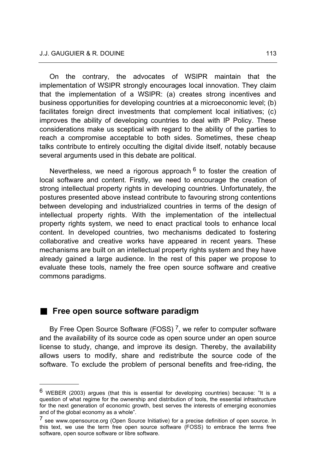On the contrary, the advocates of WSIPR maintain that the implementation of WSIPR strongly encourages local innovation. They claim that the implementation of a WSIPR: (a) creates strong incentives and business opportunities for developing countries at a microeconomic level; (b) facilitates foreign direct investments that complement local initiatives; (c) improves the ability of developing countries to deal with IP Policy. These considerations make us sceptical with regard to the ability of the parties to reach a compromise acceptable to both sides. Sometimes, these cheap talks contribute to entirely occulting the digital divide itself, notably because several arguments used in this debate are political.

Nevertheless, we need a rigorous approach  $6$  to foster the creation of local software and content. Firstly, we need to encourage the creation of strong intellectual property rights in developing countries. Unfortunately, the postures presented above instead contribute to favouring strong contentions between developing and industrialized countries in terms of the design of intellectual property rights. With the implementation of the intellectual property rights system, we need to enact practical tools to enhance local content. In developed countries, two mechanisms dedicated to fostering collaborative and creative works have appeared in recent years. These mechanisms are built on an intellectual property rights system and they have already gained a large audience. In the rest of this paper we propose to evaluate these tools, namely the free open source software and creative commons paradigms.

# **Free open source software paradigm**

l

By Free Open Source Software (FOSS)<sup>7</sup>, we refer to computer software and the availability of its source code as open source under an open source license to study, change, and improve its design. Thereby, the availability allows users to modify, share and redistribute the source code of the software. To exclude the problem of personal benefits and free-riding, the

 $6$  WEBER (2003) argues (that this is essential for developing countries) because: "It is a question of what regime for the ownership and distribution of tools, the essential infrastructure for the next generation of economic growth, best serves the interests of emerging economies and of the global economy as a whole".

<sup>&</sup>lt;sup>7</sup> see www.opensource.org (Open Source Initiative) for a precise definition of open source. In this text, we use the term free open source software (FOSS) to embrace the terms free software, open source software or libre software.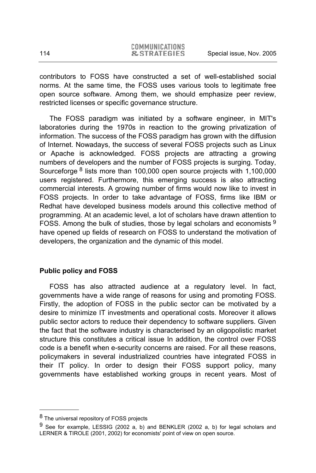contributors to FOSS have constructed a set of well-established social norms. At the same time, the FOSS uses various tools to legitimate free open source software. Among them, we should emphasize peer review, restricted licenses or specific governance structure.

The FOSS paradigm was initiated by a software engineer, in MIT's laboratories during the 1970s in reaction to the growing privatization of information. The success of the FOSS paradigm has grown with the diffusion of Internet. Nowadays, the success of several FOSS projects such as Linux or Apache is acknowledged. FOSS projects are attracting a growing numbers of developers and the number of FOSS projects is surging. Today, Sourceforge 8 lists more than 100,000 open source projects with 1,100,000 users registered. Furthermore, this emerging success is also attracting commercial interests. A growing number of firms would now like to invest in FOSS projects. In order to take advantage of FOSS, firms like IBM or Redhat have developed business models around this collective method of programming. At an academic level, a lot of scholars have drawn attention to FOSS. Among the bulk of studies, those by legal scholars and economists 9 have opened up fields of research on FOSS to understand the motivation of developers, the organization and the dynamic of this model.

# **Public policy and FOSS**

FOSS has also attracted audience at a regulatory level. In fact, governments have a wide range of reasons for using and promoting FOSS. Firstly, the adoption of FOSS in the public sector can be motivated by a desire to minimize IT investments and operational costs. Moreover it allows public sector actors to reduce their dependency to software suppliers. Given the fact that the software industry is characterised by an oligopolistic market structure this constitutes a critical issue In addition, the control over FOSS code is a benefit when e-security concerns are raised. For all these reasons, policymakers in several industrialized countries have integrated FOSS in their IT policy. In order to design their FOSS support policy, many governments have established working groups in recent years. Most of

<sup>8</sup> The universal repository of FOSS projects

<sup>9</sup> See for example, LESSIG (2002 a, b) and BENKLER (2002 a, b) for legal scholars and LERNER & TIROLE (2001, 2002) for economists' point of view on open source.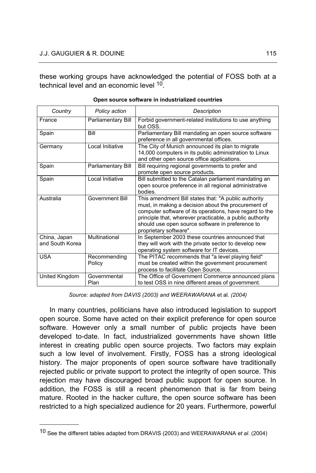these working groups have acknowledged the potential of FOSS both at a technical level and an economic level 10.

| Country                         | Policy action          | Description                                                                                                                                                                                                                                                                                                      |
|---------------------------------|------------------------|------------------------------------------------------------------------------------------------------------------------------------------------------------------------------------------------------------------------------------------------------------------------------------------------------------------|
| France                          | Parliamentary Bill     | Forbid government-related institutions to use anything<br>but OSS.                                                                                                                                                                                                                                               |
| Spain                           | <b>Bill</b>            | Parliamentary Bill mandating an open source software<br>preference in all governmental offices.                                                                                                                                                                                                                  |
| Germany                         | Local Initiative       | The City of Munich announced its plan to migrate<br>14,000 computers in its public administration to Linux<br>and other open source office applications.                                                                                                                                                         |
| Spain                           | Parliamentary Bill     | Bill requiring regional governments to prefer and<br>promote open source products.                                                                                                                                                                                                                               |
| Spain                           | Local Initiative       | Bill submitted to the Catalan parliament mandating an<br>open source preference in all regional administrative<br>bodies.                                                                                                                                                                                        |
| Australia                       | Government Bill        | This amendment Bill states that: "A public authority<br>must, in making a decision about the procurement of<br>computer software of its operations, have regard to the<br>principle that, wherever practicable, a public authority<br>should use open source software in preference to<br>proprietary software". |
| China, Japan<br>and South Korea | Multinational          | In September 2003 these countries announced that<br>they will work with the private sector to develop new<br>operating system software for IT devices.                                                                                                                                                           |
| <b>USA</b>                      | Recommending<br>Policy | The PITAC recommends that "a level playing field"<br>must be created within the government procurement<br>process to facilitate Open Source.                                                                                                                                                                     |
| United Kingdom                  | Governmental<br>Plan   | The Office of Government Commerce announced plans<br>to test OSS in nine different areas of government.                                                                                                                                                                                                          |

|  | Open source software in industrialized countries |  |
|--|--------------------------------------------------|--|
|  |                                                  |  |

*Source: adapted from DAVIS (2003) and WEERAWARANA* et al. *(2004)* 

In many countries, politicians have also introduced legislation to support open source. Some have acted on their explicit preference for open source software. However only a small number of public projects have been developed to-date. In fact, industrialized governments have shown little interest in creating public open source projects. Two factors may explain such a low level of involvement. Firstly, FOSS has a strong ideological history. The major proponents of open source software have traditionally rejected public or private support to protect the integrity of open source. This rejection may have discouraged broad public support for open source. In addition, the FOSS is still a recent phenomenon that is far from being mature. Rooted in the hacker culture, the open source software has been restricted to a high specialized audience for 20 years. Furthermore, powerful

<sup>10</sup> See the different tables adapted from DRAVIS (2003) and WEERAWARANA *et al*. (2004)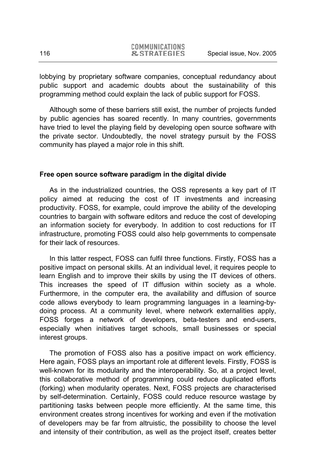lobbying by proprietary software companies, conceptual redundancy about public support and academic doubts about the sustainability of this programming method could explain the lack of public support for FOSS.

Although some of these barriers still exist, the number of projects funded by public agencies has soared recently. In many countries, governments have tried to level the playing field by developing open source software with the private sector. Undoubtedly, the novel strategy pursuit by the FOSS community has played a major role in this shift.

## **Free open source software paradigm in the digital divide**

As in the industrialized countries, the OSS represents a key part of IT policy aimed at reducing the cost of IT investments and increasing productivity. FOSS, for example, could improve the ability of the developing countries to bargain with software editors and reduce the cost of developing an information society for everybody. In addition to cost reductions for IT infrastructure, promoting FOSS could also help governments to compensate for their lack of resources.

In this latter respect, FOSS can fulfil three functions. Firstly, FOSS has a positive impact on personal skills. At an individual level, it requires people to learn English and to improve their skills by using the IT devices of others. This increases the speed of IT diffusion within society as a whole. Furthermore, in the computer era, the availability and diffusion of source code allows everybody to learn programming languages in a learning-bydoing process. At a community level, where network externalities apply, FOSS forges a network of developers, beta-testers and end-users, especially when initiatives target schools, small businesses or special interest groups.

The promotion of FOSS also has a positive impact on work efficiency. Here again, FOSS plays an important role at different levels. Firstly, FOSS is well-known for its modularity and the interoperability. So, at a project level, this collaborative method of programming could reduce duplicated efforts (forking) when modularity operates. Next, FOSS projects are characterised by self-determination. Certainly, FOSS could reduce resource wastage by partitioning tasks between people more efficiently. At the same time, this environment creates strong incentives for working and even if the motivation of developers may be far from altruistic, the possibility to choose the level and intensity of their contribution, as well as the project itself, creates better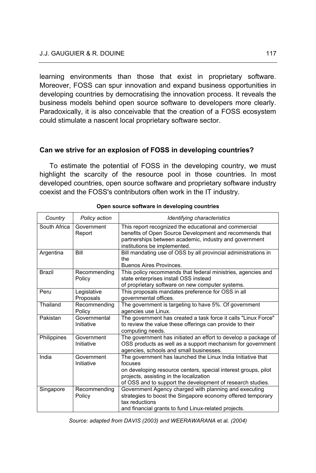learning environments than those that exist in proprietary software. Moreover, FOSS can spur innovation and expand business opportunities in developing countries by democratising the innovation process. It reveals the business models behind open source software to developers more clearly. Paradoxically, it is also conceivable that the creation of a FOSS ecosystem could stimulate a nascent local proprietary software sector.

# **Can we strive for an explosion of FOSS in developing countries?**

To estimate the potential of FOSS in the developing country, we must highlight the scarcity of the resource pool in those countries. In most developed countries, open source software and proprietary software industry coexist and the FOSS's contributors often work in the IT industry.

| Country       | Policy action              | Identifying characteristics                                                                                                                                                                                                                       |
|---------------|----------------------------|---------------------------------------------------------------------------------------------------------------------------------------------------------------------------------------------------------------------------------------------------|
| South Africa  | Government<br>Report       | This report recognized the educational and commercial<br>benefits of Open Source Development and recommends that<br>partnerships between academic, industry and government<br>institutions be implemented.                                        |
| Argentina     | Bill                       | Bill mandating use of OSS by all provincial administrations in<br>the<br>Buenos Aires Provinces.                                                                                                                                                  |
| <b>Brazil</b> | Recommending<br>Policy     | This policy recommends that federal ministries, agencies and<br>state enterprises install OSS instead<br>of proprietary software on new computer systems.                                                                                         |
| Peru          | Legislative<br>Proposals   | This proposals mandates preference for OSS in all<br>governmental offices.                                                                                                                                                                        |
| Thailand      | Recommending<br>Policy     | The government is targeting to have 5%. Of government<br>agencies use Linux.                                                                                                                                                                      |
| Pakistan      | Governmental<br>Initiative | The government has created a task force it calls "Linux Force"<br>to review the value these offerings can provide to their<br>computing needs.                                                                                                    |
| Philippines   | Government<br>Initiative   | The government has initiated an effort to develop a package of<br>OSS products as well as a support mechanism for government<br>agencies, schools and small businesses.                                                                           |
| India         | Government<br>Initiative   | The government has launched the Linux India Initiative that<br>focuses<br>on developing resource centers, special interest groups, pilot<br>projects, assisting in the localization<br>of OSS and to support the development of research studies. |
| Singapore     | Recommending<br>Policy     | Government Agency charged with planning and executing<br>strategies to boost the Singapore economy offered temporary<br>tax reductions<br>and financial grants to fund Linux-related projects.                                                    |

|  |  | Open source software in developing countries |  |
|--|--|----------------------------------------------|--|
|--|--|----------------------------------------------|--|

*Source: adapted from DAVIS (2003) and WEERAWARANA* et al. *(2004)*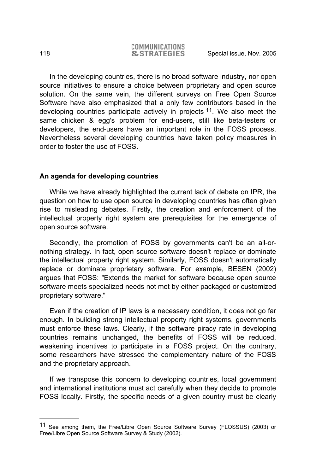In the developing countries, there is no broad software industry, nor open source initiatives to ensure a choice between proprietary and open source solution. On the same vein, the different surveys on Free Open Source Software have also emphasized that a only few contributors based in the developing countries participate actively in projects <sup>11</sup>. We also meet the same chicken & egg's problem for end-users, still like beta-testers or developers, the end-users have an important role in the FOSS process. Nevertheless several developing countries have taken policy measures in order to foster the use of FOSS.

## **An agenda for developing countries**

While we have already highlighted the current lack of debate on IPR, the question on how to use open source in developing countries has often given rise to misleading debates. Firstly, the creation and enforcement of the intellectual property right system are prerequisites for the emergence of open source software.

Secondly, the promotion of FOSS by governments can't be an all-ornothing strategy. In fact, open source software doesn't replace or dominate the intellectual property right system. Similarly, FOSS doesn't automatically replace or dominate proprietary software. For example, BESEN (2002) argues that FOSS: "Extends the market for software because open source software meets specialized needs not met by either packaged or customized proprietary software."

Even if the creation of IP laws is a necessary condition, it does not go far enough. In building strong intellectual property right systems, governments must enforce these laws. Clearly, if the software piracy rate in developing countries remains unchanged, the benefits of FOSS will be reduced, weakening incentives to participate in a FOSS project. On the contrary, some researchers have stressed the complementary nature of the FOSS and the proprietary approach.

If we transpose this concern to developing countries, local government and international institutions must act carefully when they decide to promote FOSS locally. Firstly, the specific needs of a given country must be clearly

<sup>11</sup> See among them, the Free/Libre Open Source Software Survey (FLOSSUS) (2003) or Free/Libre Open Source Software Survey & Study (2002).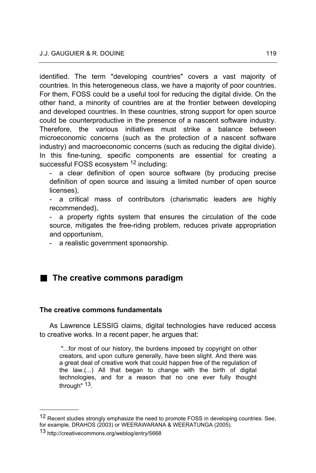identified. The term "developing countries" covers a vast majority of countries. In this heterogeneous class, we have a majority of poor countries. For them, FOSS could be a useful tool for reducing the digital divide. On the other hand, a minority of countries are at the frontier between developing and developed countries. In these countries, strong support for open source could be counterproductive in the presence of a nascent software industry. Therefore, the various initiatives must strike a balance between microeconomic concerns (such as the protection of a nascent software industry) and macroeconomic concerns (such as reducing the digital divide). In this fine-tuning, specific components are essential for creating a successful FOSS ecosystem <sup>12</sup> including:

a clear definition of open source software (by producing precise definition of open source and issuing a limited number of open source licenses),

- a critical mass of contributors (charismatic leaders are highly recommended),

a property rights system that ensures the circulation of the code source, mitigates the free-riding problem, reduces private appropriation and opportunism,

- a realistic government sponsorship.

# **The creative commons paradigm**

## **The creative commons fundamentals**

As Lawrence LESSIG claims, digital technologies have reduced access to creative works. In a recent paper, he argues that:

"...for most of our history, the burdens imposed by copyright on other creators, and upon culture generally, have been slight. And there was a great deal of creative work that could happen free of the regulation of the law.(...) All that began to change with the birth of digital technologies, and for a reason that no one ever fully thought through" <sup>13</sup>.

<sup>&</sup>lt;sup>12</sup> Recent studies strongly emphasize the need to promote FOSS in developing countries. See, for example, DRAHOS (2003) or WEERAWARANA & WEERATUNGA (2005).

<sup>13</sup> http://creativecommons.org/weblog/entry/5668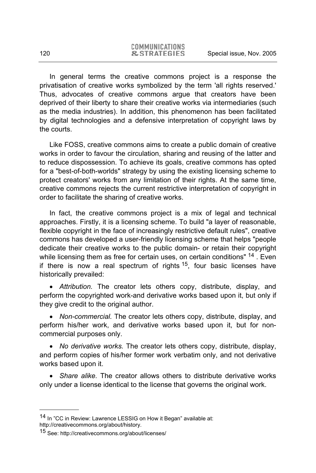In general terms the creative commons project is a response the privatisation of creative works symbolized by the term 'all rights reserved.' Thus, advocates of creative commons argue that creators have been deprived of their liberty to share their creative works via intermediaries (such as the media industries). In addition, this phenomenon has been facilitated by digital technologies and a defensive interpretation of copyright laws by the courts.

Like FOSS, creative commons aims to create a public domain of creative works in order to favour the circulation, sharing and reusing of the latter and to reduce dispossession. To achieve its goals, creative commons has opted for a "best-of-both-worlds" strategy by using the existing licensing scheme to protect creators' works from any limitation of their rights. At the same time, creative commons rejects the current restrictive interpretation of copyright in order to facilitate the sharing of creative works.

In fact, the creative commons project is a mix of legal and technical approaches. Firstly, it is a licensing scheme. To build "a layer of reasonable, flexible copyright in the face of increasingly restrictive default rules", creative commons has developed a user-friendly licensing scheme that helps "people dedicate their creative works to the public domain- or retain their copyright while licensing them as free for certain uses, on certain conditions" <sup>14</sup>. Even if there is now a real spectrum of rights  $15$ , four basic licenses have historically prevailed:

• *Attribution.* The creator lets others copy, distribute, display, and perform the copyrighted work-and derivative works based upon it, but only if they give credit to the original author.

• *Non-commercial.* The creator lets others copy, distribute, display, and perform his/her work, and derivative works based upon it, but for noncommercial purposes only.

x *No derivative works.* The creator lets others copy, distribute, display, and perform copies of his/her former work verbatim only, and not derivative works based upon it.

• *Share alike.* The creator allows others to distribute derivative works only under a license identical to the license that governs the original work.

<sup>14</sup> In "CC in Review: Lawrence LESSIG on How it Began" available at: http://creativecommons.org/about/history.

<sup>15</sup> See: http://creativecommons.org/about/licenses/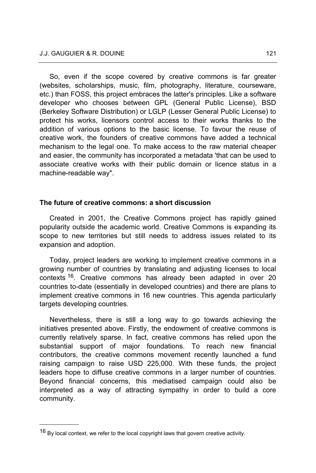So, even if the scope covered by creative commons is far greater (websites, scholarships, music, film, photography, literature, courseware, etc.) than FOSS, this project embraces the latter's principles. Like a software developer who chooses between GPL (General Public License), BSD (Berkeley Software Distribution) or LGLP (Lesser General Public License) to protect his works, licensors control access to their works thanks to the addition of various options to the basic license. To favour the reuse of creative work, the founders of creative commons have added a technical mechanism to the legal one. To make access to the raw material cheaper and easier, the community has incorporated a metadata 'that can be used to associate creative works with their public domain or licence status in a machine-readable way".

## **The future of creative commons: a short discussion**

Created in 2001, the Creative Commons project has rapidly gained popularity outside the academic world. Creative Commons is expanding its scope to new territories but still needs to address issues related to its expansion and adoption.

Today, project leaders are working to implement creative commons in a growing number of countries by translating and adjusting licenses to local contexts <sup>16</sup>. Creative commons has already been adapted in over 20 countries to-date (essentially in developed countries) and there are plans to implement creative commons in 16 new countries. This agenda particularly targets developing countries.

Nevertheless, there is still a long way to go towards achieving the initiatives presented above. Firstly, the endowment of creative commons is currently relatively sparse. In fact, creative commons has relied upon the substantial support of major foundations. To reach new financial contributors, the creative commons movement recently launched a fund raising campaign to raise USD 225,000. With these funds, the project leaders hope to diffuse creative commons in a larger number of countries. Beyond financial concerns, this mediatised campaign could also be interpreted as a way of attracting sympathy in order to build a core community.

 $16$  By local context, we refer to the local copyright laws that govern creative activity.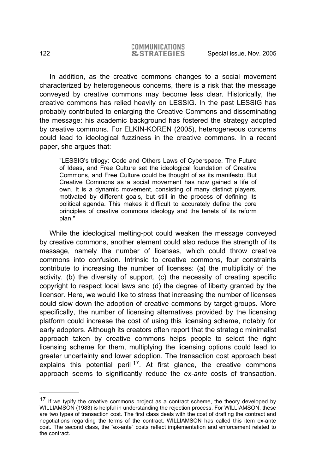In addition, as the creative commons changes to a social movement characterized by heterogeneous concerns, there is a risk that the message conveyed by creative commons may become less clear. Historically, the creative commons has relied heavily on LESSIG. In the past LESSIG has probably contributed to enlarging the Creative Commons and disseminating the message: his academic background has fostered the strategy adopted by creative commons. For ELKIN-KOREN (2005), heterogeneous concerns could lead to ideological fuzziness in the creative commons. In a recent paper, she argues that:

"LESSIG's trilogy: Code and Others Laws of Cyberspace. The Future of Ideas, and Free Culture set the ideological foundation of Creative Commons, and Free Culture could be thought of as its manifesto. But Creative Commons as a social movement has now gained a life of own. It is a dynamic movement, consisting of many distinct players, motivated by different goals, but still in the process of defining its political agenda. This makes it difficult to accurately define the core principles of creative commons ideology and the tenets of its reform plan."

While the ideological melting-pot could weaken the message conveyed by creative commons, another element could also reduce the strength of its message, namely the number of licenses, which could throw creative commons into confusion. Intrinsic to creative commons, four constraints contribute to increasing the number of licenses: (a) the multiplicity of the activity, (b) the diversity of support, (c) the necessity of creating specific copyright to respect local laws and (d) the degree of liberty granted by the licensor. Here, we would like to stress that increasing the number of licenses could slow down the adoption of creative commons by target groups. More specifically, the number of licensing alternatives provided by the licensing platform could increase the cost of using this licensing scheme, notably for early adopters. Although its creators often report that the strategic minimalist approach taken by creative commons helps people to select the right licensing scheme for them, multiplying the licensing options could lead to greater uncertainty and lower adoption. The transaction cost approach best explains this potential peril<sup>17</sup>. At first glance, the creative commons approach seems to significantly reduce the *ex-ante* costs of transaction.

<sup>&</sup>lt;sup>17</sup> If we typify the creative commons project as a contract scheme, the theory developed by WILLIAMSON (1983) is helpful in understanding the rejection process. For WILLIAMSON, these are two types of transaction cost. The first class deals with the cost of drafting the contract and negotiations regarding the terms of the contract. WILLIAMSON has called this item ex-ante cost. The second class, the "ex-ante" costs reflect implementation and enforcement related to the contract.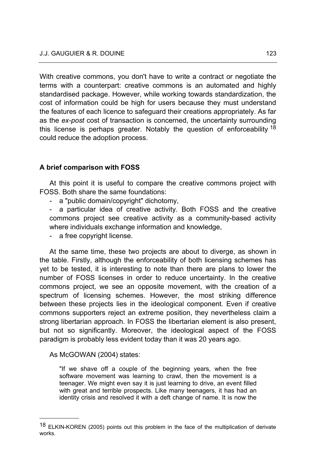With creative commons, you don't have to write a contract or negotiate the terms with a counterpart: creative commons is an automated and highly standardised package. However, while working towards standardization, the cost of information could be high for users because they must understand the features of each licence to safeguard their creations appropriately. As far as the *ex-post* cost of transaction is concerned, the uncertainty surrounding this license is perhaps greater. Notably the question of enforceability <sup>18</sup> could reduce the adoption process.

# **A brief comparison with FOSS**

At this point it is useful to compare the creative commons project with FOSS. Both share the same foundations:

a "public domain/copyright" dichotomy,

- a particular idea of creative activity. Both FOSS and the creative commons project see creative activity as a community-based activity where individuals exchange information and knowledge,

a free copyright license.

At the same time, these two projects are about to diverge, as shown in the table. Firstly, although the enforceability of both licensing schemes has yet to be tested, it is interesting to note than there are plans to lower the number of FOSS licenses in order to reduce uncertainty. In the creative commons project, we see an opposite movement, with the creation of a spectrum of licensing schemes. However, the most striking difference between these projects lies in the ideological component. Even if creative commons supporters reject an extreme position, they nevertheless claim a strong libertarian approach. In FOSS the libertarian element is also present, but not so significantly. Moreover, the ideological aspect of the FOSS paradigm is probably less evident today than it was 20 years ago.

## As McGOWAN (2004) states:

l

"If we shave off a couple of the beginning years, when the free software movement was learning to crawl, then the movement is a teenager. We might even say it is just learning to drive, an event filled with great and terrible prospects. Like many teenagers, it has had an identity crisis and resolved it with a deft change of name. It is now the

<sup>18</sup> ELKIN-KOREN (2005) points out this problem in the face of the multiplication of derivate works.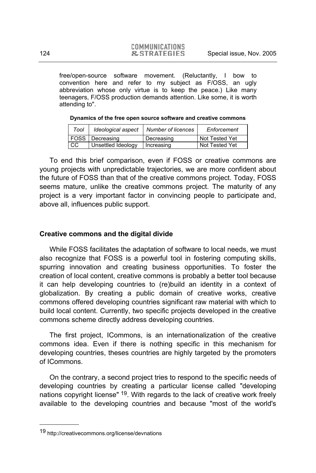free/open-source software movement. (Reluctantly, I bow to convention here and refer to my subject as F/OSS, an ugly abbreviation whose only virtue is to keep the peace.) Like many teenagers, F/OSS production demands attention. Like some, it is worth attending to".

| Tool I |                        | Ideological aspect   Number of licences | Enforcement    |  |
|--------|------------------------|-----------------------------------------|----------------|--|
|        | <b>FOSS</b> Decreasing | Decreasing                              | Not Tested Yet |  |

CC Unsettled Ideology | Increasing Not Tested Yet

#### **Dynamics of the free open source software and creative commons**

To end this brief comparison, even if FOSS or creative commons are young projects with unpredictable trajectories, we are more confident about the future of FOSS than that of the creative commons project. Today, FOSS seems mature, unlike the creative commons project. The maturity of any project is a very important factor in convincing people to participate and, above all, influences public support.

## **Creative commons and the digital divide**

While FOSS facilitates the adaptation of software to local needs, we must also recognize that FOSS is a powerful tool in fostering computing skills, spurring innovation and creating business opportunities. To foster the creation of local content, creative commons is probably a better tool because it can help developing countries to (re)build an identity in a context of globalization. By creating a public domain of creative works, creative commons offered developing countries significant raw material with which to build local content. Currently, two specific projects developed in the creative commons scheme directly address developing countries.

The first project, ICommons, is an internationalization of the creative commons idea. Even if there is nothing specific in this mechanism for developing countries, theses countries are highly targeted by the promoters of ICommons.

On the contrary, a second project tries to respond to the specific needs of developing countries by creating a particular license called "developing nations copyright license" <sup>19</sup>. With regards to the lack of creative work freely available to the developing countries and because "most of the world's

<sup>19</sup> http://creativecommons.org/license/devnations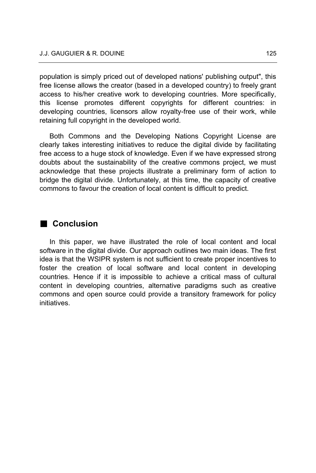population is simply priced out of developed nations' publishing output", this free license allows the creator (based in a developed country) to freely grant access to his/her creative work to developing countries. More specifically, this license promotes different copyrights for different countries: in developing countries, licensors allow royalty-free use of their work, while retaining full copyright in the developed world.

Both Commons and the Developing Nations Copyright License are clearly takes interesting initiatives to reduce the digital divide by facilitating free access to a huge stock of knowledge. Even if we have expressed strong doubts about the sustainability of the creative commons project, we must acknowledge that these projects illustrate a preliminary form of action to bridge the digital divide. Unfortunately, at this time, the capacity of creative commons to favour the creation of local content is difficult to predict.

# **Conclusion**

In this paper, we have illustrated the role of local content and local software in the digital divide. Our approach outlines two main ideas. The first idea is that the WSIPR system is not sufficient to create proper incentives to foster the creation of local software and local content in developing countries. Hence if it is impossible to achieve a critical mass of cultural content in developing countries, alternative paradigms such as creative commons and open source could provide a transitory framework for policy initiatives.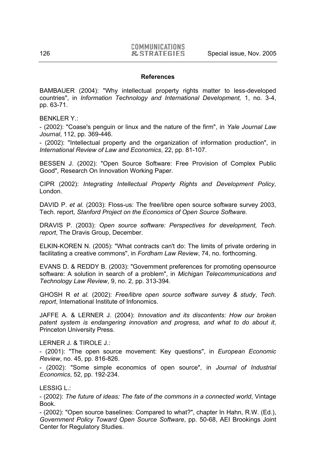#### **References**

BAMBAUER (2004): "Why intellectual property rights matter to less-developed countries", in *Information Technology and International Development,* 1, no. 3-4, pp. 63-71.

BENKLER Y.:

- (2002): "Coase's penguin or linux and the nature of the firm", in *Yale Journal Law Journal*, 112, pp. 369-446.

- (2002): "Intellectual property and the organization of information production", in *International Review of Law and Economics*, 22, pp. 81-107.

BESSEN J. (2002): "Open Source Software: Free Provision of Complex Public Good", Research On Innovation Working Paper.

CIPR (2002): *Integrating Intellectual Property Rights and Development Policy*, London.

DAVID P. *et al.* (2003): Floss-us: The free/libre open source software survey 2003, Tech. report, *Stanford Project on the Economics of Open Source Software*.

DRAVIS P. (2003): *Open source software: Perspectives for development, Tech. report*, The Dravis Group, December.

ELKIN-KOREN N. (2005): "What contracts can't do: The limits of private ordering in facilitating a creative commons", in *Fordham Law Review*, 74, no. forthcoming.

EVANS D. & REDDY B. (2003): "Government preferences for promoting opensource software: A solution in search of a problem", in *Michigan Telecommunications and Technology Law Review*, 9, no. 2, pp. 313-394.

GHOSH R *et al.* (2002): *Free/libre open source software survey & study*, *Tech. report*, International Institute of Infonomics.

JAFFE A. & LERNER J. (2004): *Innovation and its discontents: How our broken patent system is endangering innovation and progress, and what to do about it*, Princeton University Press.

### LERNER J. & TIROLE J.:

- (2001): "The open source movement: Key questions", in *European Economic Review*, no. 45, pp. 816-826.

- (2002): "Some simple economics of open source", in *Journal of Industrial Economics*, 52, pp. 192-234.

LESSIG L.:

- (2002): *The future of ideas: The fate of the commons in a connected world*, Vintage Book.

- (2002): "Open source baselines: Compared to what?", chapter In Hahn, R.W. (Ed.), *Government Policy Toward Open Source Software*, pp. 50-68, AEI Brookings Joint Center for Regulatory Studies.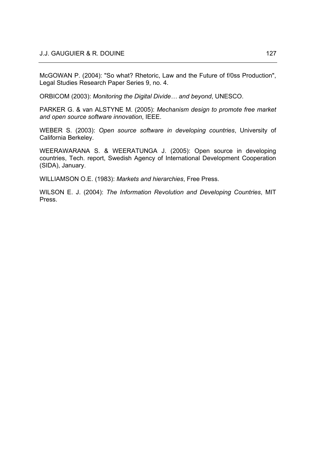McGOWAN P. (2004): "So what? Rhetoric, Law and the Future of f/0ss Production", Legal Studies Research Paper Series 9, no. 4.

ORBICOM (2003): *Monitoring the Digital Divide… and beyond*, UNESCO.

PARKER G. & van ALSTYNE M. (2005): *Mechanism design to promote free market and open source software innovation*, IEEE.

WEBER S. (2003): *Open source software in developing countries*, University of California Berkeley.

WEERAWARANA S. & WEERATUNGA J. (2005): Open source in developing countries, Tech. report, Swedish Agency of International Development Cooperation (SIDA), January.

WILLIAMSON O.E. (1983): *Markets and hierarchies*, Free Press.

WILSON E. J. (2004): *The Information Revolution and Developing Countries*, MIT Press.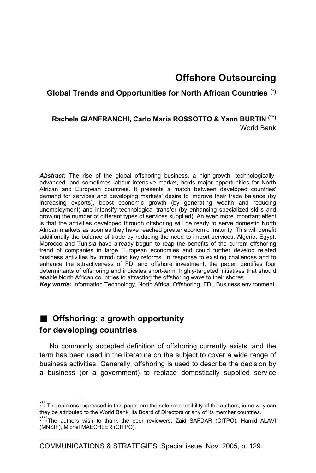# **Offshore Outsourcing**

# **Global Trends and Opportunities for North African Countries (\*)**

# **Rachele GIANFRANCHI, Carlo Maria ROSSOTTO & Yann BURTIN (\*\*)** World Bank

*Abstract:* The rise of the global offshoring business, a high-growth, technologicallyadvanced, and sometimes labour intensive market, holds major opportunities for North African and European countries. It presents a match between developed countries' demand for services and developing markets' desire to improve their trade balance (by increasing exports), boost economic growth (by generating wealth and reducing unemployment) and intensify technological transfer (by enhancing specialized skills and growing the number of different types of services supplied). An even more important effect is that the activities developed through offshoring will be ready to serve domestic North African markets as soon as they have reached greater economic maturity. This will benefit additionally the balance of trade by reducing the need to import services. Algeria, Egypt, Morocco and Tunisia have already begun to reap the benefits of the current offshoring trend of companies in large European economies and could further develop related business activities by introducing key reforms. In response to existing challenges and to enhance the attractiveness of FDI and offshore investment, the paper identifies four determinants of offshoring and indicates short-term, highly-targeted initiatives that should enable North African countries to attracting the offshoring wave to their shores.

*Key words:* Information Technology, North Africa, Offshoring, FDI, Business environment.

# **Offshoring: a growth opportunity for developing countries**

l

No commonly accepted definition of offshoring currently exists, and the term has been used in the literature on the subject to cover a wide range of business activities. Generally, offshoring is used to describe the decision by a business (or a government) to replace domestically supplied service

COMMUNICATIONS & STRATEGIES, Special issue, Nov. 2005, p. 129.

 $(*)$  The opinions expressed in this paper are the sole responsibility of the authors, in no way can they be attributed to the World Bank, its Board of Directors or any of its member countries.

<sup>(\*\*)</sup>The authors wish to thank the peer reviewers: Zaid SAFDAR (CITPO), Hamid ALAVI (MNSIF), Michel MAECHLER (CITPO).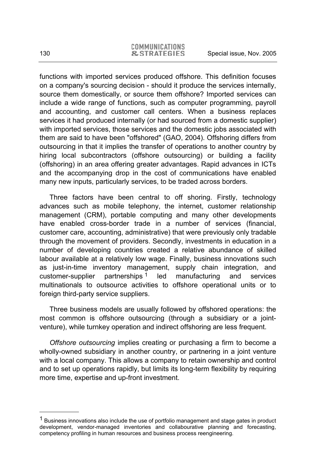functions with imported services produced offshore. This definition focuses on a company's sourcing decision - should it produce the services internally, source them domestically, or source them offshore? Imported services can include a wide range of functions, such as computer programming, payroll and accounting, and customer call centers. When a business replaces services it had produced internally (or had sourced from a domestic supplier) with imported services, those services and the domestic jobs associated with them are said to have been "offshored" (GAO, 2004). Offshoring differs from outsourcing in that it implies the transfer of operations to another country by hiring local subcontractors (offshore outsourcing) or building a facility (offshoring) in an area offering greater advantages. Rapid advances in ICTs and the accompanying drop in the cost of communications have enabled many new inputs, particularly services, to be traded across borders.

Three factors have been central to off shoring. Firstly, technology advances such as mobile telephony, the internet, customer relationship management (CRM), portable computing and many other developments have enabled cross-border trade in a number of services (financial, customer care, accounting, administrative) that were previously only tradable through the movement of providers. Secondly, investments in education in a number of developing countries created a relative abundance of skilled labour available at a relatively low wage. Finally, business innovations such as just-in-time inventory management, supply chain integration, and customer-supplier partnerships  $1$  led manufacturing and services multinationals to outsource activities to offshore operational units or to foreign third-party service suppliers.

Three business models are usually followed by offshored operations: the most common is offshore outsourcing (through a subsidiary or a jointventure), while turnkey operation and indirect offshoring are less frequent.

*Offshore outsourcing* implies creating or purchasing a firm to become a wholly-owned subsidiary in another country, or partnering in a joint venture with a local company. This allows a company to retain ownership and control and to set up operations rapidly, but limits its long-term flexibility by requiring more time, expertise and up-front investment.

 $<sup>1</sup>$  Business innovations also include the use of portfolio management and stage gates in product</sup> development, vendor-managed inventories and collabourative planning and forecasting, competency profiling in human resources and business process reengineering.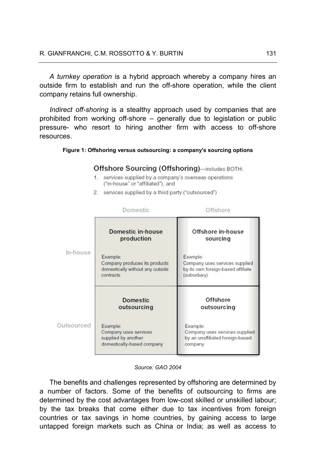*A turnkey operation* is a hybrid approach whereby a company hires an outside firm to establish and run the off-shore operation, while the client company retains full ownership.

*Indirect off-shoring* is a stealthy approach used by companies that are prohibited from working off-shore – generally due to legislation or public pressure- who resort to hiring another firm with access to off-shore resources.

## **Figure 1: Offshoring versus outsourcing: a company's sourcing options**

## Offshore Sourcing (Offshoring)—includes BOTH:

- 1. services supplied by a company's overseas operations ("in-house" or "affiliated"), and
- 2. services supplied by a third party ("outsourced")

|            | Domestic                                                                                   | Offshore                                                                                         |
|------------|--------------------------------------------------------------------------------------------|--------------------------------------------------------------------------------------------------|
|            | Domestic in-house<br>production                                                            | Offshore in-house<br>sourcing                                                                    |
| In-house   | Example:<br>Company produces its products<br>domestically without any outside<br>contracts | Example:<br>Company uses services supplied<br>by its own foreign-based affiliate<br>(subsidiary) |
|            | <b>Domestic</b><br>outsourcing                                                             | Offshore<br>outsourcing                                                                          |
| Outsourced | Example:<br>Company uses services<br>supplied by another<br>domestically-based company     | Example:<br>Company uses services supplied<br>by an unaffiliated foreign-based<br>company        |

#### *Source: GAO 2004*

The benefits and challenges represented by offshoring are determined by a number of factors. Some of the benefits of outsourcing to firms are determined by the cost advantages from low-cost skilled or unskilled labour; by the tax breaks that come either due to tax incentives from foreign countries or tax savings in home countries, by gaining access to large untapped foreign markets such as China or India; as well as access to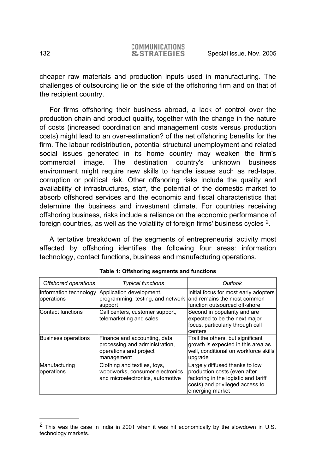cheaper raw materials and production inputs used in manufacturing. The challenges of outsourcing lie on the side of the offshoring firm and on that of the recipient country.

For firms offshoring their business abroad, a lack of control over the production chain and product quality, together with the change in the nature of costs (increased coordination and management costs versus production costs) might lead to an over-estimation? of the net offshoring benefits for the firm. The labour redistribution, potential structural unemployment and related social issues generated in its home country may weaken the firm's commercial image. The destination country's unknown business environment might require new skills to handle issues such as red-tape, corruption or political risk. Other offshoring risks include the quality and availability of infrastructures, staff, the potential of the domestic market to absorb offshored services and the economic and fiscal characteristics that determine the business and investment climate. For countries receiving offshoring business, risks include a reliance on the economic performance of foreign countries, as well as the volatility of foreign firms' business cycles 2.

A tentative breakdown of the segments of entrepreneurial activity most affected by offshoring identifies the following four areas: information technology, contact functions, business and manufacturing operations.

| Offshored operations                 | <b>Typical functions</b>                                                                               | Outlook                                                                                                                                                      |
|--------------------------------------|--------------------------------------------------------------------------------------------------------|--------------------------------------------------------------------------------------------------------------------------------------------------------------|
| Information technology<br>operations | Application development,<br>programming, testing, and network<br>support                               | Initial focus for most early adopters<br>land remains the most common<br>function outsourced off-shore                                                       |
| Contact functions                    | Call centers, customer support,<br>telemarketing and sales                                             | Second in popularity and are<br>expected to be the next major<br>focus, particularly through call<br>centers                                                 |
| <b>Business operations</b>           | Finance and accounting, data<br>processing and administration,<br>operations and project<br>management | Trail the others, but significant<br>growth is expected in this area as<br>well, conditional on workforce skills'<br>upgrade                                 |
| Manufacturing<br>operations          | Clothing and textiles, toys,<br>woodworks, consumer electronics<br>and microelectronics, automotive    | Largely diffused thanks to low<br>production costs (even after<br>factoring in the logistic and tariff<br>costs) and privileged access to<br>emerging market |

<sup>2</sup> This was the case in India in 2001 when it was hit economically by the slowdown in U.S. technology markets.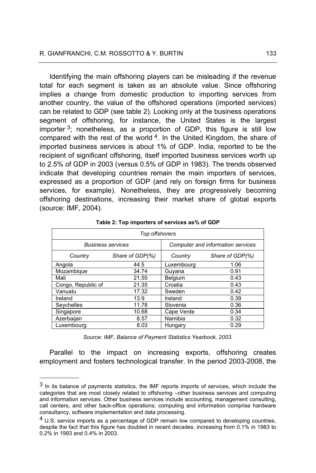Identifying the main offshoring players can be misleading if the revenue total for each segment is taken as an absolute value. Since offshoring implies a change from domestic production to importing services from another country, the value of the offshored operations (imported services) can be related to GDP (see table 2). Looking only at the business operations segment of offshoring, for instance, the United States is the largest importer  $3$ ; nonetheless, as a proportion of GDP, this figure is still low compared with the rest of the world  $4$ . In the United Kingdom, the share of imported business services is about 1% of GDP. India, reported to be the recipient of significant offshoring, itself imported business services worth up to 2.5% of GDP in 2003 (versus 0.5% of GDP in 1983). The trends observed indicate that developing countries remain the main importers of services, expressed as a proportion of GDP (and rely on foreign firms for business services, for example). Nonetheless, they are progressively becoming offshoring destinations, increasing their market share of global exports (source: IMF, 2004).

| Top offshorers           |                 |                            |                                   |  |  |
|--------------------------|-----------------|----------------------------|-----------------------------------|--|--|
| <b>Business services</b> |                 |                            | Computer and information services |  |  |
| Country                  | Share of GDP(%) | Share of GDP(%)<br>Country |                                   |  |  |
| Angola                   | 44.5            | Luxembourg                 | 1.06                              |  |  |
| Mozambique               | 34.74           | Guyana                     | 0.91                              |  |  |
| Mali                     | 21.55           | Belgium                    | 0.43                              |  |  |
| Congo, Republic of       | 21.35           | Croatia                    | 0.43                              |  |  |
| Vanuatu                  | 17.32           | Sweden                     | 0.42                              |  |  |
| Ireland                  | 13.9            | Ireland                    | 0.39                              |  |  |
| Seychelles               | 11.78           | Slovenia                   | 0.36                              |  |  |
| Singapore                | 10.68           | Cape Verde                 | 0.34                              |  |  |
| Azerbaijan               | 8.57            | Namibia                    | 0.32                              |  |  |
| Luxembourg               | 8.03            | Hungary                    | 0.29                              |  |  |

|  |  |  |  | Table 2: Top importers of services as% of GDP |
|--|--|--|--|-----------------------------------------------|
|--|--|--|--|-----------------------------------------------|

*Source: IMF, Balance of Payment Statistics Yearbook, 2003.* 

Parallel to the impact on increasing exports, offshoring creates employment and fosters technological transfer. In the period 2003-2008, the

<sup>3</sup> In its balance of payments statistics, the IMF reports imports of services, which include the categories that are most closely related to offshoring –other business services and computing and information services. Other business services include accounting, management consulting, call centers, and other back-office operations; computing and information comprise hardware consultancy, software implementation and data processing.

<sup>4</sup> U.S. service imports as a percentage of GDP remain low compared to developing countries, despite the fact that this figure has doubled in recent decades, increasing from 0.1% in 1983 to 0.2% in 1993 and 0.4% in 2003.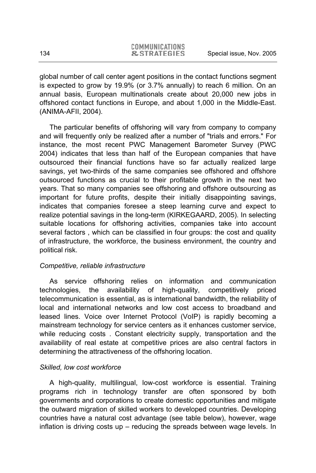global number of call center agent positions in the contact functions segment is expected to grow by 19.9% (or 3.7% annually) to reach 6 million. On an annual basis, European multinationals create about 20,000 new jobs in offshored contact functions in Europe, and about 1,000 in the Middle-East. (ANIMA-AFII, 2004).

The particular benefits of offshoring will vary from company to company and will frequently only be realized after a number of "trials and errors." For instance, the most recent PWC Management Barometer Survey (PWC 2004) indicates that less than half of the European companies that have outsourced their financial functions have so far actually realized large savings, yet two-thirds of the same companies see offshored and offshore outsourced functions as crucial to their profitable growth in the next two years. That so many companies see offshoring and offshore outsourcing as important for future profits, despite their initially disappointing savings, indicates that companies foresee a steep learning curve and expect to realize potential savings in the long-term (KIRKEGAARD, 2005). In selecting suitable locations for offshoring activities, companies take into account several factors , which can be classified in four groups: the cost and quality of infrastructure, the workforce, the business environment, the country and political risk.

## *Competitive, reliable infrastructure*

As service offshoring relies on information and communication technologies, the availability of high-quality, competitively priced telecommunication is essential, as is international bandwidth, the reliability of local and international networks and low cost access to broadband and leased lines. Voice over Internet Protocol (VoIP) is rapidly becoming a mainstream technology for service centers as it enhances customer service, while reducing costs. Constant electricity supply, transportation and the availability of real estate at competitive prices are also central factors in determining the attractiveness of the offshoring location.

# *Skilled, low cost workforce*

A high-quality, multilingual, low-cost workforce is essential. Training programs rich in technology transfer are often sponsored by both governments and corporations to create domestic opportunities and mitigate the outward migration of skilled workers to developed countries. Developing countries have a natural cost advantage (see table below), however, wage inflation is driving costs up – reducing the spreads between wage levels. In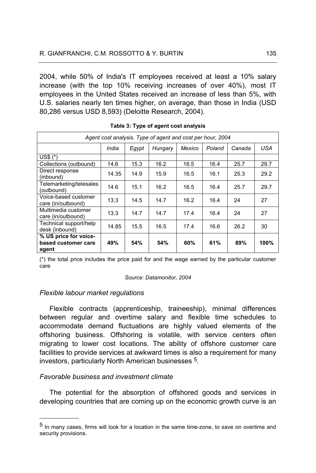2004, while 50% of India's IT employees received at least a 10% salary increase (with the top 10% receiving increases of over 40%), most IT employees in the United States received an increase of less than 5%, with U.S. salaries nearly ten times higher, on average, than those in India (USD 80,286 versus USD 8,593) (Deloitte Research, 2004).

| Agent cost analysis. Type of agent and cost per hour, 2004            |       |      |      |      |      |      |      |
|-----------------------------------------------------------------------|-------|------|------|------|------|------|------|
| Mexico<br><b>USA</b><br>Poland<br>India<br>Egypt<br>Hungary<br>Canada |       |      |      |      |      |      |      |
| $USS(*)$                                                              |       |      |      |      |      |      |      |
| Collections (outbound)                                                | 14.6  | 15.3 | 16.2 | 16.5 | 16.4 | 25.7 | 29.7 |
| Direct response<br>(inbound)                                          | 14.35 | 14.9 | 15.9 | 16.5 | 16.1 | 25.3 | 29.2 |
| Telemarketing/telesales<br>(outbound)                                 | 14.6  | 15.1 | 16.2 | 16.5 | 16.4 | 25.7 | 29.7 |
| Voice-based customer<br>care (in/outbound)                            | 13.3  | 14.5 | 14.7 | 16.2 | 16.4 | 24   | 27   |
| Multimedia customer<br>care (in/outbound)                             | 13.3  | 14.7 | 14.7 | 17.4 | 16.4 | 24   | 27   |
| Technical support/help<br>desk (inbound)                              | 14.85 | 15.5 | 16.5 | 17.4 | 16.6 | 26.2 | 30   |
| % US price for voice-<br>based customer care<br>agent                 | 49%   | 54%  | 54%  | 60%  | 61%  | 89%  | 100% |

**Table 3: Type of agent cost analysis** 

(\*) the total price includes the price paid for and the wage earned by the particular customer care

#### *Source: Datamonitor, 2004*

## *Flexible labour market regulations*

Flexible contracts (apprenticeship, traineeship), minimal differences between regular and overtime salary and flexible time schedules to accommodate demand fluctuations are highly valued elements of the offshoring business. Offshoring is volatile, with service centers often migrating to lower cost locations. The ability of offshore customer care facilities to provide services at awkward times is also a requirement for many investors, particularly North American businesses 5.

## *Favorable business and investment climate*

l

The potential for the absorption of offshored goods and services in developing countries that are coming up on the economic growth curve is an

<sup>5</sup> In many cases, firms will look for a location in the same time-zone, to save on overtime and security provisions.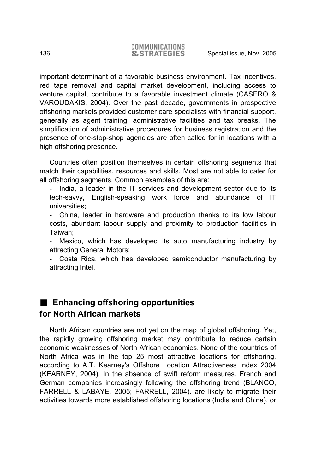important determinant of a favorable business environment. Tax incentives, red tape removal and capital market development, including access to venture capital, contribute to a favorable investment climate (CASERO & VAROUDAKIS, 2004). Over the past decade, governments in prospective offshoring markets provided customer care specialists with financial support, generally as agent training, administrative facilities and tax breaks. The simplification of administrative procedures for business registration and the presence of one-stop-shop agencies are often called for in locations with a high offshoring presence.

Countries often position themselves in certain offshoring segments that match their capabilities, resources and skills. Most are not able to cater for all offshoring segments. Common examples of this are:

- India, a leader in the IT services and development sector due to its tech-savvy, English-speaking work force and abundance of IT universities;

China, leader in hardware and production thanks to its low labour costs, abundant labour supply and proximity to production facilities in Taiwan;

- Mexico, which has developed its auto manufacturing industry by attracting General Motors;

- Costa Rica, which has developed semiconductor manufacturing by attracting Intel.

# **Enhancing offshoring opportunities for North African markets**

North African countries are not yet on the map of global offshoring. Yet, the rapidly growing offshoring market may contribute to reduce certain economic weaknesses of North African economies. None of the countries of North Africa was in the top 25 most attractive locations for offshoring, according to A.T. Kearney's Offshore Location Attractiveness Index 2004 (KEARNEY, 2004). In the absence of swift reform measures, French and German companies increasingly following the offshoring trend (BLANCO, FARRELL & LABAYE, 2005; FARRELL, 2004). are likely to migrate their activities towards more established offshoring locations (India and China), or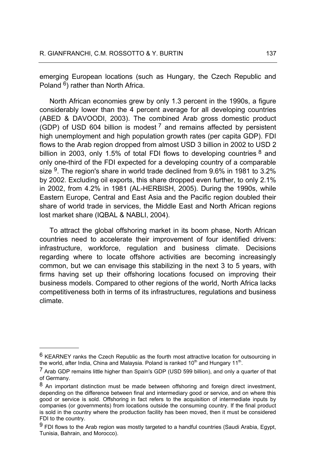emerging European locations (such as Hungary, the Czech Republic and Poland 6) rather than North Africa.

North African economies grew by only 1.3 percent in the 1990s, a figure considerably lower than the 4 percent average for all developing countries (ABED & DAVOODI, 2003). The combined Arab gross domestic product (GDP) of USD 604 billion is modest  $<sup>7</sup>$  and remains affected by persistent</sup> high unemployment and high population growth rates (per capita GDP). FDI flows to the Arab region dropped from almost USD 3 billion in 2002 to USD 2 billion in 2003, only 1.5% of total FDI flows to developing countries  $8$  and only one-third of the FDI expected for a developing country of a comparable size  $9$ . The region's share in world trade declined from 9.6% in 1981 to 3.2% by 2002. Excluding oil exports, this share dropped even further, to only 2.1% in 2002, from 4.2% in 1981 (AL-HERBISH, 2005). During the 1990s, while Eastern Europe, Central and East Asia and the Pacific region doubled their share of world trade in services, the Middle East and North African regions lost market share (IQBAL & NABLI, 2004).

To attract the global offshoring market in its boom phase, North African countries need to accelerate their improvement of four identified drivers: infrastructure, workforce, regulation and business climate. Decisions regarding where to locate offshore activities are becoming increasingly common, but we can envisage this stabilizing in the next 3 to 5 years, with firms having set up their offshoring locations focused on improving their business models. Compared to other regions of the world, North Africa lacks competitiveness both in terms of its infrastructures, regulations and business climate.

 $6$  KEARNEY ranks the Czech Republic as the fourth most attractive location for outsourcing in the world, after India, China and Malaysia. Poland is ranked  $10<sup>th</sup>$  and Hungary  $11<sup>th</sup>$ .

<sup>&</sup>lt;sup>7</sup> Arab GDP remains little higher than Spain's GDP (USD 599 billion), and only a quarter of that of Germany.

<sup>8</sup> An important distinction must be made between offshoring and foreign direct investment, depending on the difference between final and intermediary good or service, and on where this good or service is sold. Offshoring in fact refers to the acquisition of intermediate inputs by companies (or governments) from locations outside the consuming country. If the final product is sold in the country where the production facility has been moved, then it must be considered FDI to the country.

 $9$  FDI flows to the Arab region was mostly targeted to a handful countries (Saudi Arabia, Egypt, Tunisia, Bahrain, and Morocco).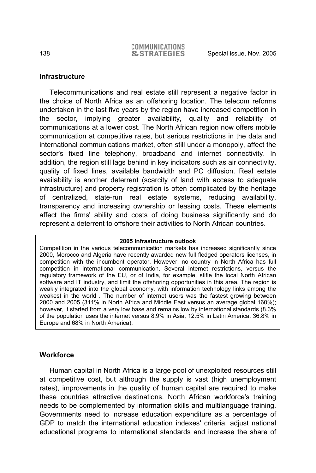## **Infrastructure**

Telecommunications and real estate still represent a negative factor in the choice of North Africa as an offshoring location. The telecom reforms undertaken in the last five years by the region have increased competition in the sector, implying greater availability, quality and reliability of communications at a lower cost. The North African region now offers mobile communication at competitive rates, but serious restrictions in the data and international communications market, often still under a monopoly, affect the sector's fixed line telephony, broadband and internet connectivity. In addition, the region still lags behind in key indicators such as air connectivity, quality of fixed lines, available bandwidth and PC diffusion. Real estate availability is another deterrent (scarcity of land with access to adequate infrastructure) and property registration is often complicated by the heritage of centralized, state-run real estate systems, reducing availability, transparency and increasing ownership or leasing costs. These elements affect the firms' ability and costs of doing business significantly and do represent a deterrent to offshore their activities to North African countries.

#### **2005 Infrastructure outlook**

Competition in the various telecommunication markets has increased significantly since 2000, Morocco and Algeria have recently awarded new full fledged operators licenses, in competition with the incumbent operator. However, no country in North Africa has full competition in international communication. Several internet restrictions, versus the regulatory framework of the EU, or of India, for example, stifle the local North African software and IT industry, and limit the offshoring opportunities in this area. The region is weakly integrated into the global economy, with information technology links among the weakest in the world . The number of internet users was the fastest growing between 2000 and 2005 (311% in North Africa and Middle East versus an average global 160%); however, it started from a very low base and remains low by international standards (8.3% of the population uses the internet versus 8.9% in Asia, 12.5% in Latin America, 36.8% in Europe and 68% in North America).

# **Workforce**

Human capital in North Africa is a large pool of unexploited resources still at competitive cost, but although the supply is vast (high unemployment rates), improvements in the quality of human capital are required to make these countries attractive destinations. North African workforce's training needs to be complemented by information skills and multilanguage training. Governments need to increase education expenditure as a percentage of GDP to match the international education indexes' criteria, adjust national educational programs to international standards and increase the share of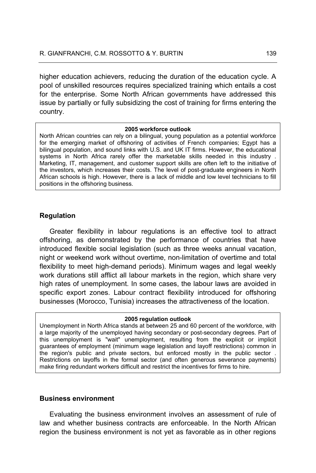higher education achievers, reducing the duration of the education cycle. A pool of unskilled resources requires specialized training which entails a cost for the enterprise. Some North African governments have addressed this issue by partially or fully subsidizing the cost of training for firms entering the country.

#### **2005 workforce outlook**

North African countries can rely on a bilingual, young population as a potential workforce for the emerging market of offshoring of activities of French companies; Egypt has a bilingual population, and sound links with U.S. and UK IT firms. However, the educational systems in North Africa rarely offer the marketable skills needed in this industry . Marketing, IT, management, and customer support skills are often left to the initiative of the investors, which increases their costs. The level of post-graduate engineers in North African schools is high. However, there is a lack of middle and low level technicians to fill positions in the offshoring business.

## **Regulation**

Greater flexibility in labour regulations is an effective tool to attract offshoring, as demonstrated by the performance of countries that have introduced flexible social legislation (such as three weeks annual vacation, night or weekend work without overtime, non-limitation of overtime and total flexibility to meet high-demand periods). Minimum wages and legal weekly work durations still afflict all labour markets in the region, which share very high rates of unemployment. In some cases, the labour laws are avoided in specific export zones. Labour contract flexibility introduced for offshoring businesses (Morocco, Tunisia) increases the attractiveness of the location.

#### **2005 regulation outlook**

Unemployment in North Africa stands at between 25 and 60 percent of the workforce, with a large majority of the unemployed having secondary or post-secondary degrees. Part of this unemployment is "wait" unemployment, resulting from the explicit or implicit guarantees of employment (minimum wage legislation and layoff restrictions) common in the region's public and private sectors, but enforced mostly in the public sector . Restrictions on layoffs in the formal sector (and often generous severance payments) make firing redundant workers difficult and restrict the incentives for firms to hire.

## **Business environment**

Evaluating the business environment involves an assessment of rule of law and whether business contracts are enforceable. In the North African region the business environment is not yet as favorable as in other regions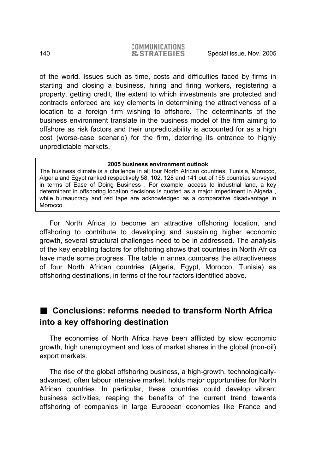of the world. Issues such as time, costs and difficulties faced by firms in starting and closing a business, hiring and firing workers, registering a property, getting credit, the extent to which investments are protected and contracts enforced are key elements in determining the attractiveness of a location to a foreign firm wishing to offshore. The determinants of the business environment translate in the business model of the firm aiming to offshore as risk factors and their unpredictability is accounted for as a high cost (worse-case scenario) for the firm, deterring its entrance to highly unpredictable markets.

#### **2005 business environment outlook**

The business climate is a challenge in all four North African countries. Tunisia, Morocco, Algeria and Egypt ranked respectively 58, 102, 128 and 141 out of 155 countries surveyed in terms of Ease of Doing Business . For example, access to industrial land, a key determinant in offshoring location decisions is quoted as a major impediment in Algeria , while bureaucracy and red tape are acknowledged as a comparative disadvantage in Morocco.

For North Africa to become an attractive offshoring location, and offshoring to contribute to developing and sustaining higher economic growth, several structural challenges need to be in addressed. The analysis of the key enabling factors for offshoring shows that countries in North Africa have made some progress. The table in annex compares the attractiveness of four North African countries (Algeria, Egypt, Morocco, Tunisia) as offshoring destinations, in terms of the four factors identified above.

# **Conclusions: reforms needed to transform North Africa into a key offshoring destination**

The economies of North Africa have been afflicted by slow economic growth, high unemployment and loss of market shares in the global (non-oil) export markets.

The rise of the global offshoring business, a high-growth, technologicallyadvanced, often labour intensive market, holds major opportunities for North African countries. In particular, these countries could develop vibrant business activities, reaping the benefits of the current trend towards offshoring of companies in large European economies like France and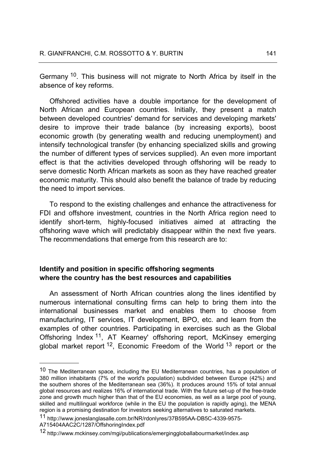Germany 10. This business will not migrate to North Africa by itself in the absence of key reforms.

Offshored activities have a double importance for the development of North African and European countries. Initially, they present a match between developed countries' demand for services and developing markets' desire to improve their trade balance (by increasing exports), boost economic growth (by generating wealth and reducing unemployment) and intensify technological transfer (by enhancing specialized skills and growing the number of different types of services supplied). An even more important effect is that the activities developed through offshoring will be ready to serve domestic North African markets as soon as they have reached greater economic maturity. This should also benefit the balance of trade by reducing the need to import services.

To respond to the existing challenges and enhance the attractiveness for FDI and offshore investment, countries in the North Africa region need to identify short-term, highly-focused initiatives aimed at attracting the offshoring wave which will predictably disappear within the next five years. The recommendations that emerge from this research are to:

# **Identify and position in specific offshoring segments where the country has the best resources and capabilities**

An assessment of North African countries along the lines identified by numerous international consulting firms can help to bring them into the international businesses market and enables them to choose from manufacturing, IT services, IT development, BPO, etc. and learn from the examples of other countries. Participating in exercises such as the Global Offshoring Index <sup>11</sup>, AT Kearney' offshoring report, McKinsey emerging global market report  $12$ , Economic Freedom of the World  $13$  report or the

11 http://www.joneslanglasalle.com.br/NR/rdonlyres/37B595AA-DB5C-4339-9575-

<sup>&</sup>lt;sup>10</sup> The Mediterranean space, including the EU Mediterranean countries, has a population of 380 million inhabitants (7% of the world's population) subdivided between Europe (42%) and the southern shores of the Mediterranean sea (36%). It produces around 15% of total annual global resources and realizes 16% of international trade. With the future set-up of the free-trade zone and growth much higher than that of the EU economies, as well as a large pool of young, skilled and multilingual workforce (while in the EU the population is rapidly aging), the MENA region is a promising destination for investors seeking alternatives to saturated markets.

A715404AAC2C/1287/OffshoringIndex.pdf

<sup>12</sup> http://www.mckinsey.com/mgi/publications/emerginggloballabourmarket/index.asp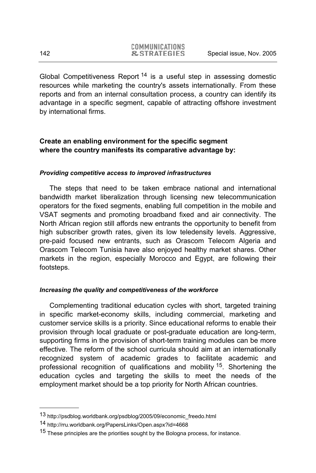Global Competitiveness Report 14 is a useful step in assessing domestic resources while marketing the country's assets internationally. From these reports and from an internal consultation process, a country can identify its advantage in a specific segment, capable of attracting offshore investment by international firms.

# **Create an enabling environment for the specific segment where the country manifests its comparative advantage by:**

## *Providing competitive access to improved infrastructures*

The steps that need to be taken embrace national and international bandwidth market liberalization through licensing new telecommunication operators for the fixed segments, enabling full competition in the mobile and VSAT segments and promoting broadband fixed and air connectivity. The North African region still affords new entrants the opportunity to benefit from high subscriber growth rates, given its low teledensity levels. Aggressive, pre-paid focused new entrants, such as Orascom Telecom Algeria and Orascom Telecom Tunisia have also enjoyed healthy market shares. Other markets in the region, especially Morocco and Egypt, are following their footsteps.

## *Increasing the quality and competitiveness of the workforce*

Complementing traditional education cycles with short, targeted training in specific market-economy skills, including commercial, marketing and customer service skills is a priority. Since educational reforms to enable their provision through local graduate or post-graduate education are long-term, supporting firms in the provision of short-term training modules can be more effective. The reform of the school curricula should aim at an internationally recognized system of academic grades to facilitate academic and professional recognition of qualifications and mobility <sup>15</sup>. Shortening the education cycles and targeting the skills to meet the needs of the employment market should be a top priority for North African countries.

<sup>13</sup> http://psdblog.worldbank.org/psdblog/2005/09/economic\_freedo.html

<sup>14</sup> http://rru.worldbank.org/PapersLinks/Open.aspx?id=4668

<sup>&</sup>lt;sup>15</sup> These principles are the priorities sought by the Bologna process, for instance.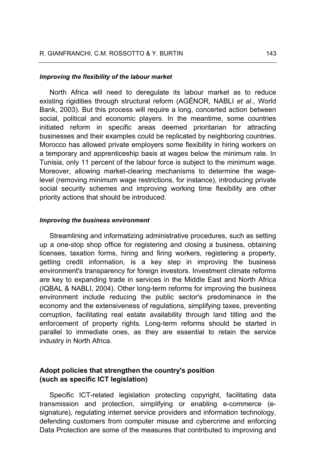#### *Improving the flexibility of the labour market*

North Africa will need to deregulate its labour market as to reduce existing rigidities through structural reform (AGÉNOR, NABLI *et al*., World Bank, 2003). But this process will require a long, concerted action between social, political and economic players. In the meantime, some countries initiated reform in specific areas deemed prioritarian for attracting businesses and their examples could be replicated by neighboring countries. Morocco has allowed private employers some flexibility in hiring workers on a temporary and apprenticeship basis at wages below the minimum rate. In Tunisia, only 11 percent of the labour force is subject to the minimum wage. Moreover, allowing market-clearing mechanisms to determine the wagelevel (removing minimum wage restrictions, for instance), introducing private social security schemes and improving working time flexibility are other priority actions that should be introduced.

## *Improving the business environment*

Streamlining and informatizing administrative procedures, such as setting up a one-stop shop office for registering and closing a business, obtaining licenses, taxation forms, hiring and firing workers, registering a property, getting credit information, is a key step in improving the business environment's transparency for foreign investors. Investment climate reforms are key to expanding trade in services in the Middle East and North Africa (IQBAL & NABLI, 2004). Other long-term reforms for improving the business environment include reducing the public sector's predominance in the economy and the extensiveness of regulations, simplifying taxes, preventing corruption, facilitating real estate availability through land titling and the enforcement of property rights. Long-term reforms should be started in parallel to immediate ones, as they are essential to retain the service industry in North Africa.

## **Adopt policies that strengthen the country's position (such as specific ICT legislation)**

Specific ICT-related legislation protecting copyright, facilitating data transmission and protection, simplifying or enabling e-commerce (esignature), regulating internet service providers and information technology, defending customers from computer misuse and cybercrime and enforcing Data Protection are some of the measures that contributed to improving and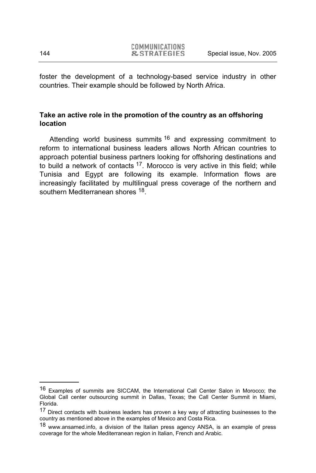foster the development of a technology-based service industry in other countries. Their example should be followed by North Africa.

# **Take an active role in the promotion of the country as an offshoring location**

Attending world business summits <sup>16</sup> and expressing commitment to reform to international business leaders allows North African countries to approach potential business partners looking for offshoring destinations and to build a network of contacts  $17$ . Morocco is very active in this field; while Tunisia and Egypt are following its example. Information flows are increasingly facilitated by multilingual press coverage of the northern and southern Mediterranean shores <sup>18</sup>.

<sup>16</sup> Examples of summits are SICCAM, the International Call Center Salon in Morocco; the Global Call center outsourcing summit in Dallas, Texas; the Call Center Summit in Miami, Florida.

<sup>17</sup> Direct contacts with business leaders has proven a key way of attracting businesses to the country as mentioned above in the examples of Mexico and Costa Rica.

<sup>18</sup> www.ansamed.info, a division of the Italian press agency ANSA, is an example of press coverage for the whole Mediterranean region in Italian, French and Arabic.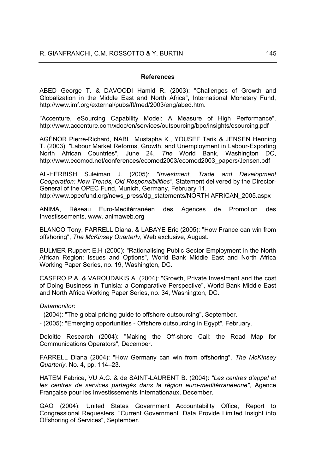#### **References**

ABED George T. & DAVOODI Hamid R. (2003): "Challenges of Growth and Globalization in the Middle East and North Africa", International Monetary Fund, http://www.imf.org/external/pubs/ft/med/2003/eng/abed.htm.

"Accenture, eSourcing Capability Model: A Measure of High Performance". http://www.accenture.com/xdoc/en/services/outsourcing/bpo/insights/esourcing.pdf

AGÉNOR Pierre-Richard, NABLI Mustapha K., YOUSEF Tarik & JENSEN Henning T. (2003): "Labour Market Reforms, Growth, and Unemployment in Labour-Exporting North African Countries", June 24, *The* World Bank, Washington DC, http://www.ecomod.net/conferences/ecomod2003/ecomod2003\_papers/Jensen.pdf

AL-HERBISH Suleiman J. (2005): *"Investment, Trade and Development Cooperation: New Trends, Old Responsibilities"*, Statement delivered by the Director-General of the OPEC Fund, Munich, Germany, February 11. http://www.opecfund.org/news\_press/dg\_statements/NORTH AFRICAN\_2005.aspx

ANIMA, Réseau Euro-Meditérranéen des Agences de Promotion des Investissements, www. animaweb.org

BLANCO Tony, FARRELL Diana, & LABAYE Eric (2005): "How France can win from offshoring", *The McKinsey Quarterly*, Web exclusive, August.

BULMER Ruppert E.H (2000): "Rationalising Public Sector Employment in the North African Region: Issues and Options", World Bank Middle East and North Africa Working Paper Series, no. 19, Washington, DC.

CASERO P.A. & VAROUDAKIS A. (2004): "Growth, Private Investment and the cost of Doing Business in Tunisia: a Comparative Perspective", World Bank Middle East and North Africa Working Paper Series, no. 34, Washington, DC.

#### *Datamonitor*:

- (2004): "The global pricing guide to offshore outsourcing", September.

- (2005): "Emerging opportunities - Offshore outsourcing in Egypt", February.

Deloitte Research (2004): "Making the Off-shore Call: the Road Map for Communications Operators", December.

FARRELL Diana (2004): "How Germany can win from offshoring", *The McKinsey Quarterly*, No. 4, pp. 114–23.

HATEM Fabrice, VU A.C. & de SAINT-LAURENT B. (2004): *"Les centres d'appel et les centres de services partagés dans la région euro-meditérranéenne"*, Agence Française pour les Investissements Internationaux, December.

GAO (2004): United States Government Accountability Office, Report to Congressional Requesters, "Current Government. Data Provide Limited Insight into Offshoring of Services", September.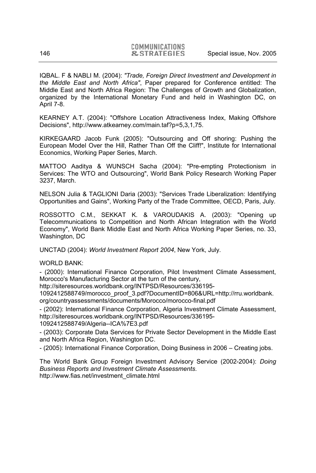IQBAL. F & NABLI M. (2004): *"Trade, Foreign Direct Investment and Development in the Middle East and North Africa"*, Paper prepared for Conference entitled: The Middle East and North Africa Region: The Challenges of Growth and Globalization, organized by the International Monetary Fund and held in Washington DC, on April 7-8.

KEARNEY A.T. (2004): "Offshore Location Attractiveness Index, Making Offshore Decisions", http://www.atkearney.com/main.taf?p=5,3,1,75.

KIRKEGAARD Jacob Funk (2005): "Outsourcing and Off shoring: Pushing the European Model Over the Hill, Rather Than Off the Cliff!", Institute for International Economics, Working Paper Series, March.

MATTOO Aaditya & WUNSCH Sacha (2004): "Pre-empting Protectionism in Services: The WTO and Outsourcing", World Bank Policy Research Working Paper 3237, March.

NELSON Julia & TAGLIONI Daria (2003): "Services Trade Liberalization: Identifying Opportunities and Gains", Working Party of the Trade Committee, OECD, Paris, July.

ROSSOTTO C.M., SEKKAT K. & VAROUDAKIS A. (2003): "Opening up Telecommunications to Competition and North African Integration with the World Economy", World Bank Middle East and North Africa Working Paper Series, no. 33, Washington, DC

UNCTAD (2004): *World Investment Report 2004*, New York, July.

WORLD BANK:

- (2000): International Finance Corporation, Pilot Investment Climate Assessment, Morocco's Manufacturing Sector at the turn of the century,

http://siteresources.worldbank.org/INTPSD/Resources/336195-

1092412588749/morocco\_proof\_3.pdf?DocumentID=806&URL=http://rru.worldbank. org/countryassessments/documents/Morocco/morocco-final.pdf

- (2002): International Finance Corporation, Algeria Investment Climate Assessment, http://siteresources.worldbank.org/INTPSD/Resources/336195- 1092412588749/Algeria--ICA%7E3.pdf

- (2003): Corporate Data Services for Private Sector Development in the Middle East and North Africa Region, Washington DC.

- (2005): International Finance Corporation, Doing Business in 2006 – Creating jobs.

The World Bank Group Foreign Investment Advisory Service (2002-2004): *Doing Business Reports and Investment Climate Assessments*. http://www.fias.net/investment\_climate.html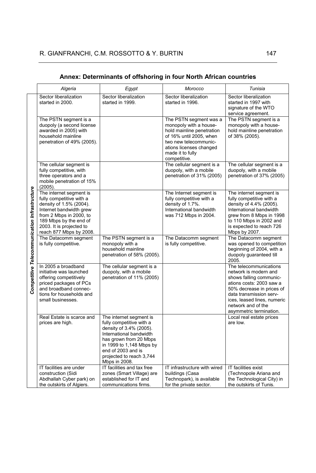|                                              | Algeria                                                                                                                                                                                                               | Egypt                                                                                                                                                                                                                              | Morocco                                                                                                                                                                                          | Tunisia                                                                                                                                                                                                                                        |
|----------------------------------------------|-----------------------------------------------------------------------------------------------------------------------------------------------------------------------------------------------------------------------|------------------------------------------------------------------------------------------------------------------------------------------------------------------------------------------------------------------------------------|--------------------------------------------------------------------------------------------------------------------------------------------------------------------------------------------------|------------------------------------------------------------------------------------------------------------------------------------------------------------------------------------------------------------------------------------------------|
|                                              | Sector liberalization<br>started in 2000.                                                                                                                                                                             | Sector liberalization<br>started in 1999.                                                                                                                                                                                          | Sector liberalization<br>started in 1996.                                                                                                                                                        | Sector liberalization<br>started in 1997 with<br>signature of the WTO<br>service agreement.                                                                                                                                                    |
|                                              | The PSTN segment is a<br>duopoly (a second license<br>awarded in 2005) with<br>household mainline<br>penetration of 49% (2005).                                                                                       |                                                                                                                                                                                                                                    | The PSTN segment was a<br>monopoly with a house-<br>hold mainline penetration<br>of 16% until 2005, when<br>two new telecommunic-<br>ations licenses changed<br>made it to fully<br>competitive. | The PSTN segment is a<br>monopoly with a house-<br>hold mainline penetration<br>of 38% (2005).                                                                                                                                                 |
|                                              | The cellular segment is<br>fully competitive, with<br>three operators and a<br>mobile penetration of 15%<br>(2005).                                                                                                   |                                                                                                                                                                                                                                    | The cellular segment is a<br>duopoly, with a mobile<br>penetration of 31% (2005)                                                                                                                 | The cellular segment is a<br>duopoly, with a mobile<br>penetration of 37% (2005)                                                                                                                                                               |
| Competitive Telecommunication Infrastructure | The internet segment is<br>fully competitive with a<br>density of 1.5% (2004).<br>Internet bandwidth grew<br>from 2 Mbps in 2000, to<br>189 Mbps by the end of<br>2003. It is projected to<br>reach 877 Mbps by 2008. |                                                                                                                                                                                                                                    | The Internet segment is<br>fully competitive with a<br>density of 1.7%.<br>International bandwidth<br>was 712 Mbps in 2004.                                                                      | The internet segment is<br>fully competitive with a<br>density of 4.4% (2005).<br>International bandwidth<br>grew from 8 Mbps in 1998<br>to 110 Mbps in 2002 and<br>is expected to reach 726<br>Mbps by 2007.                                  |
|                                              | The Datacomm segment<br>is fully competitive.                                                                                                                                                                         | The PSTN segment is a<br>monopoly with a<br>household mainline<br>penetration of 58% (2005).                                                                                                                                       | The Datacomm segment<br>is fully competitive.                                                                                                                                                    | The Datacomm segment<br>was opened to competition<br>beginning of 2004, with a<br>duopoly guaranteed till<br>2005.                                                                                                                             |
|                                              | In 2005 a broadband<br>initiative was launched<br>offering competitively<br>priced packages of PCs<br>and broadband connec-<br>tions for households and<br>small businesses.                                          | The cellular segment is a<br>duopoly, with a mobile<br>penetration of 11% (2005)                                                                                                                                                   |                                                                                                                                                                                                  | The telecommunications<br>network is modern and<br>shows falling communic-<br>ations costs: 2003 saw a<br>50% decrease in prices of<br>data transmission serv-<br>ices, leased lines, numeric<br>network and of the<br>asymmetric termination. |
|                                              | Real Estate is scarce and<br>prices are high.                                                                                                                                                                         | The internet segment is<br>fully competitive with a<br>density of 3.4% (2005).<br>International bandwidth<br>has grown from 20 Mbps<br>in 1999 to 1,148 Mbps by<br>end of 2003 and is<br>projected to reach 3,744<br>Mbps in 2008. |                                                                                                                                                                                                  | Local real estate prices<br>are low.                                                                                                                                                                                                           |
|                                              | IT facilities are under<br>construction (Sidi<br>Abdhallah Cyber park) on<br>the outskirts of Algiers.                                                                                                                | IT facilities and tax free<br>zones (Smart Village) are<br>established for IT and<br>communications firms.                                                                                                                         | IT infrastructure with wired<br>buildings (Casa<br>Technopark), is available<br>for the private sector.                                                                                          | IT facilities exist<br>(Technopole Ariana and<br>the Technological City) in<br>the outskirts of Tunis.                                                                                                                                         |

### **Annex: Determinants of offshoring in four North African countries**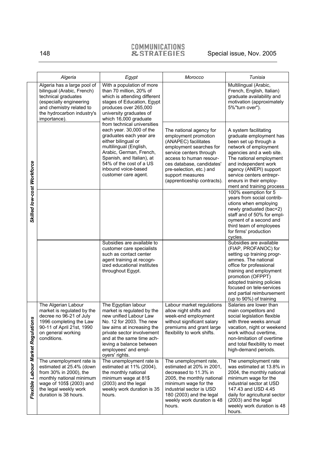# COMMUNICATIONS<br>
Externance In Special issue, Nov. 2005

|                                    | Algeria                                                                                                                                                                                  | Egypt                                                                                                                                                                                                                                                                  | Morocco                                                                                                                                                                                                                                                              | Tunisia                                                                                                                                                                                                                                                                                          |
|------------------------------------|------------------------------------------------------------------------------------------------------------------------------------------------------------------------------------------|------------------------------------------------------------------------------------------------------------------------------------------------------------------------------------------------------------------------------------------------------------------------|----------------------------------------------------------------------------------------------------------------------------------------------------------------------------------------------------------------------------------------------------------------------|--------------------------------------------------------------------------------------------------------------------------------------------------------------------------------------------------------------------------------------------------------------------------------------------------|
| Skilled low-cost Workforce         | Algeria has a large pool of<br>bilingual (Arabic, French)<br>technical graduates<br>(especially engineering<br>and chemistry related to<br>the hydrocarbon industry's<br>importance).    | With a population of more<br>than 70 million, 20% of<br>which is attending different<br>stages of Education, Egypt<br>produces over 265,000<br>university graduates of<br>which 16,000 graduate                                                                        |                                                                                                                                                                                                                                                                      | Multilingual (Arabic,<br>French, English, Italian)<br>graduate availability and<br>motivation (approximately<br>5%"turn over").                                                                                                                                                                  |
|                                    |                                                                                                                                                                                          | from technical universities<br>each year. 30,000 of the<br>graduates each year are<br>either bilingual or<br>multilingual (English,<br>Arabic, German, French,<br>Spanish, and Italian), at<br>54% of the cost of a US<br>inbound voice-based<br>customer care agent.  | The national agency for<br>employment promotion<br>(ANAPEC) facilitates<br>employment searches for<br>service centers through<br>access to human resour-<br>ces database, candidates'<br>pre-selection, etc.) and<br>support measures<br>(apprenticeship contracts). | A system facilitating<br>graduate employment has<br>been set up through a<br>network of employment<br>agencies and a web site.<br>The national employment<br>and independent work<br>agency (ANEPI) support<br>service centers entrepr-<br>eneurs in their employ-<br>ment and training process  |
|                                    |                                                                                                                                                                                          |                                                                                                                                                                                                                                                                        |                                                                                                                                                                                                                                                                      | 100% exemption for 5<br>years from social contrib-<br>utions when employing<br>newly graduated (bac+2)<br>staff and of 50% for empl-<br>oyment of a second and<br>third team of employees<br>for firms' production<br>cycles.                                                                    |
|                                    |                                                                                                                                                                                          | Subsidies are available to<br>customer care specialists<br>such as contact center<br>agent training at recogn-<br>ized educational institutes<br>throughout Egypt.                                                                                                     |                                                                                                                                                                                                                                                                      | Subsidies are available<br>(FIAP, PROFANOC) for<br>setting up training progr-<br>ammes. The national<br>office for professional<br>training and employment<br>promotion (OFPPT)<br>adopted training policies<br>focused on tele-services<br>and partial reimbursement<br>(up to 90%) of training |
| Flexible Labour Market Regulations | The Algerian Labour<br>market is regulated by the<br>decree no 96-21 of July<br>1996 completing the Law<br>90-11 of April 21st, 1990<br>on general working<br>conditions.                | The Egyptian labour<br>market is regulated by the<br>new unified Labour Law<br>No. 12 for 2003. The new<br>law aims at increasing the<br>private sector involvement<br>and at the same time ach-<br>ieving a balance between<br>employees' and empl-<br>oyers' rights. | Labour market regulations<br>allow night shifts and<br>week-end employment<br>without significant salary<br>premiums and grant large<br>flexibility to work shifts.                                                                                                  | Salaries are lower than<br>main competitors and<br>social legislation flexible<br>with three weeks annual<br>vacation, night or weekend<br>work without overtime.<br>non-limitation of overtime<br>and total flexibility to meet<br>high-demand periods.                                         |
|                                    | The unemployment rate is<br>estimated at 25.4% (down<br>from 30% in 2000), the<br>monthly national minimum<br>wage of 105\$ (2003) and<br>the legal weekly work<br>duration is 38 hours. | The unemployment rate is<br>estimated at 11% (2004),<br>the monthly national<br>minimum wage at 81\$<br>(2003) and the legal<br>weekly work duration is 35<br>hours.                                                                                                   | The unemployment rate,<br>estimated at 20% in 2001,<br>decreased to 11.3% in<br>2005, the monthly national<br>minimum wage for the<br>industrial sector is USD<br>180 (2003) and the legal<br>weekly work duration is 48<br>hours.                                   | The unemployment rate<br>was estimated at 13.8% in<br>2004, the monthly national<br>minimum wage for the<br>industrial sector at USD<br>147.43 and USD 4.45<br>daily for agricultural sector<br>(2003) and the legal<br>weekly work duration is 48<br>hours.                                     |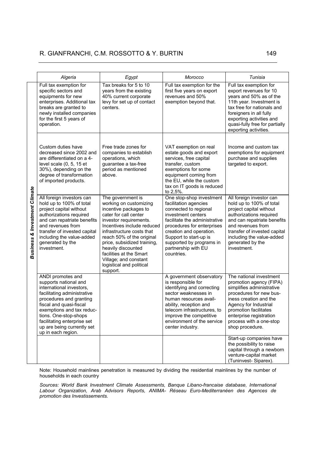#### R. GIANFRANCHI, C.M. ROSSOTTO & Y. BURTIN 149

|                                          | Algeria                                                                                                                                                                                                                                                                                                                 | Egypt                                                                                                                                                                                                                                                                                                                                                            | Morocco                                                                                                                                                                                                                                                                               | Tunisia                                                                                                                                                                                                                                                         |
|------------------------------------------|-------------------------------------------------------------------------------------------------------------------------------------------------------------------------------------------------------------------------------------------------------------------------------------------------------------------------|------------------------------------------------------------------------------------------------------------------------------------------------------------------------------------------------------------------------------------------------------------------------------------------------------------------------------------------------------------------|---------------------------------------------------------------------------------------------------------------------------------------------------------------------------------------------------------------------------------------------------------------------------------------|-----------------------------------------------------------------------------------------------------------------------------------------------------------------------------------------------------------------------------------------------------------------|
|                                          | Full tax exemption for<br>specific sectors and<br>equipments for new<br>enterprises. Additional tax<br>breaks are granted to<br>newly installed companies<br>for the first 5 years of<br>operation.                                                                                                                     | Tax breaks for 5 to 10<br>Full tax exemption for the<br>first five years on export<br>years from the existing<br>40% current corporate<br>revenues and 50%<br>levy for set up of contact<br>exemption beyond that.<br>centers.                                                                                                                                   |                                                                                                                                                                                                                                                                                       | Full tax exemption for<br>export revenues for 10<br>years and 50% as of the<br>11th year. Investment is<br>tax free for nationals and<br>foreigners in all fully<br>exporting activities and<br>quasi-fully free for partially<br>exporting activities.         |
|                                          | Custom duties have<br>Free trade zones for<br>decreased since 2002 and<br>companies to establish<br>are differentiated on a 4-<br>operations, which<br>quarantee a tax-free<br>level scale (0, 5, 15 et<br>period as mentioned<br>30%), depending on the<br>degree of transformation<br>above.<br>of imported products. |                                                                                                                                                                                                                                                                                                                                                                  | VAT exemption on real<br>estate goods and export<br>services, free capital<br>transfer, custom<br>exemptions for some<br>equipment coming from<br>the EU, while the custom<br>tax on IT goods is reduced<br>to 2,5%.                                                                  | Income and custom tax<br>exemptions for equipment<br>purchase and supplies<br>targeted to export.                                                                                                                                                               |
| <b>Business &amp; Investment Climate</b> | All foreign investors can<br>hold up to 100% of total<br>project capital without<br>authorizations required<br>and can repatriate benefits<br>and revenues from<br>transfer of invested capital<br>including the value-added<br>generated by the<br>investment.                                                         | The government is<br>working on customizing<br>incentive packages to<br>cater for call center<br>investor requirements.<br>Incentives include reduced<br>infrastructure costs that<br>reach 50% of the original<br>price, subsidized training,<br>heavily discounted<br>facilities at the Smart<br>Village; and constant<br>logistical and political<br>support. | One stop-shop investment<br>facilitation agencies<br>connected to regional<br>investment centers<br>facilitate the administrative<br>procedures for enterprises<br>creation and operation.<br>Support to start-up is<br>supported by programs in<br>partnership with EU<br>countries. | All foreign investor can<br>hold up to 100% of total<br>project capital without<br>authorizations required<br>and can repatriate benefits<br>and revenues from<br>transfer of invested capital<br>including the value-added<br>generated by the<br>investment.  |
|                                          | ANDI promotes and<br>supports national and<br>international investors,<br>facilitating administrative<br>procedures and granting<br>fiscal and quasi-fiscal<br>exemptions and tax reduc-<br>tions. One-stop-shops<br>facilitating enterprise set<br>up are being currently set<br>up in each region.                    |                                                                                                                                                                                                                                                                                                                                                                  | A government observatory<br>is responsible for<br>identifying and correcting<br>sector weaknesses in<br>human resources avail-<br>ability, reception and<br>telecom infrastructures, to<br>improve the competitive<br>environment of the service<br>center industry.                  | The national investment<br>promotion agency (FIPA)<br>simplifies administrative<br>procedures for new bus-<br>iness creation and the<br>Agency for Industrial<br>promotion facilitates<br>enterprise registration<br>process with a one-stop<br>shop procedure. |
|                                          |                                                                                                                                                                                                                                                                                                                         |                                                                                                                                                                                                                                                                                                                                                                  |                                                                                                                                                                                                                                                                                       | Start-up companies have<br>the possibility to raise<br>capital through a newborn<br>venture-capital market<br>(Tuninvest-Siparex).                                                                                                                              |

Note: Household mainlines penetration is measured by dividing the residential mainlines by the number of households in each country

*Sources: World Bank Investment Climate Assessments, Banque Libano-francaise database, International Labour Organization, Arab Advisors Reports, ANIMA- Réseau Euro-Mediterranéen des Agences de promotion des Investissements.*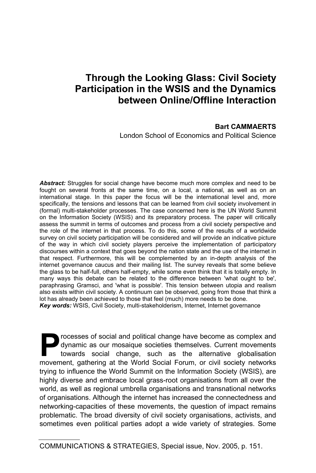## **Through the Looking Glass: Civil Society Participation in the WSIS and the Dynamics between Online/Offline Interaction**

#### **Bart CAMMAERTS**

London School of Economics and Political Science

*Abstract:* Struggles for social change have become much more complex and need to be fought on several fronts at the same time, on a local, a national, as well as on an international stage. In this paper the focus will be the international level and, more specifically, the tensions and lessons that can be learned from civil society involvement in (formal) multi-stakeholder processes. The case concerned here is the UN World Summit on the Information Society (WSIS) and its preparatory process. The paper will critically assess the summit in terms of outcomes and process from a civil society perspective and the role of the internet in that process. To do this, some of the results of a worldwide survey on civil society participation will be considered and will provide an indicative picture of the way in which civil society players perceive the implementation of participatory discourses within a context that goes beyond the nation state and the use of the internet in that respect. Furthermore, this will be complemented by an in-depth analysis of the internet governance caucus and their mailing list. The survey reveals that some believe the glass to be half-full, others half-empty, while some even think that it is totally empty. In many ways this debate can be related to the difference between 'what ought to be', paraphrasing Gramsci, and 'what is possible'. This tension between utopia and realism also exists within civil society. A continuum can be observed, going from those that think a lot has already been achieved to those that feel (much) more needs to be done. *Key words:* WSIS, Civil Society, multi-stakeholderism, Internet, Internet governance

rocesses of social and political change have become as complex and dynamic as our mosaique societies themselves. Current movements towards social change, such as the alternative globalisation Processes of social and political change have become as complex and dynamic as our mosaique societies themselves. Current movements towards social change, such as the alternative globalisation movement, gathering at the Wo trying to influence the World Summit on the Information Society (WSIS), are highly diverse and embrace local grass-root organisations from all over the world, as well as regional umbrella organisations and transnational networks of organisations. Although the internet has increased the connectedness and networking-capacities of these movements, the question of impact remains problematic. The broad diversity of civil society organisations, activists, and sometimes even political parties adopt a wide variety of strategies. Some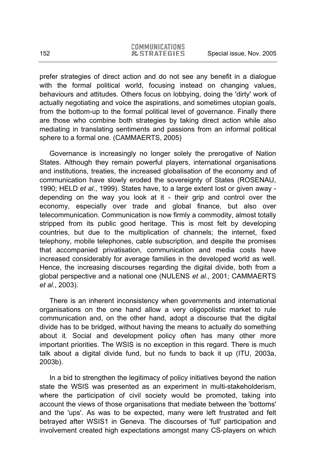prefer strategies of direct action and do not see any benefit in a dialogue with the formal political world, focusing instead on changing values, behaviours and attitudes. Others focus on lobbying, doing the 'dirty' work of actually negotiating and voice the aspirations, and sometimes utopian goals, from the bottom-up to the formal political level of governance. Finally there are those who combine both strategies by taking direct action while also mediating in translating sentiments and passions from an informal political sphere to a formal one. (CAMMAERTS, 2005)

Governance is increasingly no longer solely the prerogative of Nation States. Although they remain powerful players, international organisations and institutions, treaties, the increased globalisation of the economy and of communication have slowly eroded the sovereignty of States (ROSENAU, 1990; HELD *et al*., 1999). States have, to a large extent lost or given away depending on the way you look at it - their grip and control over the economy, especially over trade and global finance, but also over telecommunication. Communication is now firmly a commodity, almost totally stripped from its public good heritage. This is most felt by developing countries, but due to the multiplication of channels; the internet, fixed telephony, mobile telephones, cable subscription, and despite the promises that accompanied privatisation, communication and media costs have increased considerably for average families in the developed world as well. Hence, the increasing discourses regarding the digital divide, both from a global perspective and a national one (NULENS *et al*., 2001; CAMMAERTS *et al*., 2003).

There is an inherent inconsistency when governments and international organisations on the one hand allow a very oligopolistic market to rule communication and, on the other hand, adopt a discourse that the digital divide has to be bridged, without having the means to actually do something about it. Social and development policy often has many other more important priorities. The WSIS is no exception in this regard. There is much talk about a digital divide fund, but no funds to back it up (ITU, 2003a, 2003b).

In a bid to strengthen the legitimacy of policy initiatives beyond the nation state the WSIS was presented as an experiment in multi-stakeholderism, where the participation of civil society would be promoted, taking into account the views of those organisations that mediate between the 'bottoms' and the 'ups'. As was to be expected, many were left frustrated and felt betrayed after WSIS1 in Geneva. The discourses of 'full' participation and involvement created high expectations amongst many CS-players on which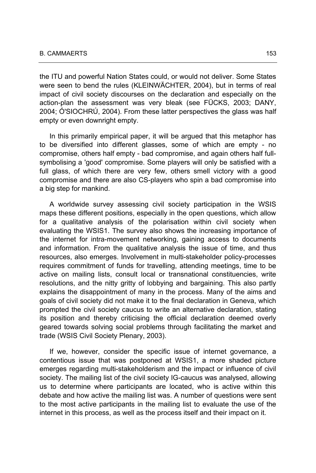the ITU and powerful Nation States could, or would not deliver. Some States were seen to bend the rules (KLEINWÄCHTER, 2004), but in terms of real impact of civil society discourses on the declaration and especially on the action-plan the assessment was very bleak (see FÜCKS, 2003; DANY, 2004; Ó'SIOCHRÚ, 2004). From these latter perspectives the glass was half empty or even downright empty.

In this primarily empirical paper, it will be argued that this metaphor has to be diversified into different glasses, some of which are empty - no compromise, others half empty - bad compromise, and again others half fullsymbolising a 'good' compromise. Some players will only be satisfied with a full glass, of which there are very few, others smell victory with a good compromise and there are also CS-players who spin a bad compromise into a big step for mankind.

A worldwide survey assessing civil society participation in the WSIS maps these different positions, especially in the open questions, which allow for a qualitative analysis of the polarisation within civil society when evaluating the WSIS1. The survey also shows the increasing importance of the internet for intra-movement networking, gaining access to documents and information. From the qualitative analysis the issue of time, and thus resources, also emerges. Involvement in multi-stakeholder policy-processes requires commitment of funds for travelling, attending meetings, time to be active on mailing lists, consult local or transnational constituencies, write resolutions, and the nitty gritty of lobbying and bargaining. This also partly explains the disappointment of many in the process. Many of the aims and goals of civil society did not make it to the final declaration in Geneva, which prompted the civil society caucus to write an alternative declaration, stating its position and thereby criticising the official declaration deemed overly geared towards solving social problems through facilitating the market and trade (WSIS Civil Society Plenary, 2003).

If we, however, consider the specific issue of internet governance, a contentious issue that was postponed at WSIS1, a more shaded picture emerges regarding multi-stakeholderism and the impact or influence of civil society. The mailing list of the civil society IG-caucus was analysed, allowing us to determine where participants are located, who is active within this debate and how active the mailing list was. A number of questions were sent to the most active participants in the mailing list to evaluate the use of the internet in this process, as well as the process itself and their impact on it.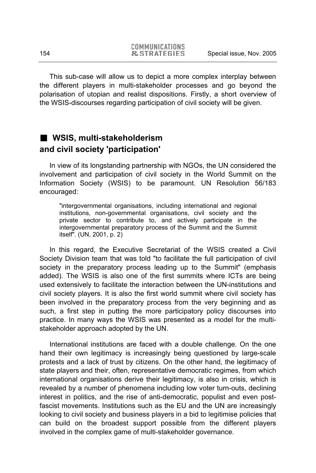This sub-case will allow us to depict a more complex interplay between the different players in multi-stakeholder processes and go beyond the polarisation of utopian and realist dispositions. Firstly, a short overview of the WSIS-discourses regarding participation of civil society will be given.

### **WSIS, multi-stakeholderism and civil society 'participation'**

In view of its longstanding partnership with NGOs, the UN considered the involvement and participation of civil society in the World Summit on the Information Society (WSIS) to be paramount. UN Resolution 56/183 encouraged:

"intergovernmental organisations, including international and regional institutions, non-governmental organisations, civil society and the private sector to contribute to, and actively participate in the intergovernmental preparatory process of the Summit and the Summit itself". (UN, 2001, p. 2)

In this regard, the Executive Secretariat of the WSIS created a Civil Society Division team that was told "to facilitate the full participation of civil society in the preparatory process leading up to the Summit" (emphasis added). The WSIS is also one of the first summits where ICTs are being used extensively to facilitate the interaction between the UN-institutions and civil society players. It is also the first world summit where civil society has been involved in the preparatory process from the very beginning and as such, a first step in putting the more participatory policy discourses into practice. In many ways the WSIS was presented as a model for the multistakeholder approach adopted by the UN.

International institutions are faced with a double challenge. On the one hand their own legitimacy is increasingly being questioned by large-scale protests and a lack of trust by citizens. On the other hand, the legitimacy of state players and their, often, representative democratic regimes, from which international organisations derive their legitimacy, is also in crisis, which is revealed by a number of phenomena including low voter turn-outs, declining interest in politics, and the rise of anti-democratic, populist and even postfascist movements. Institutions such as the EU and the UN are increasingly looking to civil society and business players in a bid to legitimise policies that can build on the broadest support possible from the different players involved in the complex game of multi-stakeholder governance.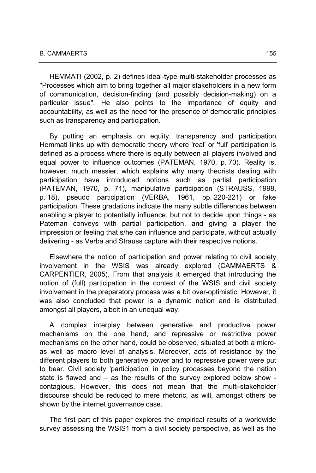HEMMATI (2002, p. 2) defines ideal-type multi-stakeholder processes as "Processes which aim to bring together all major stakeholders in a new form of communication, decision-finding (and possibly decision-making) on a particular issue". He also points to the importance of equity and accountability, as well as the need for the presence of democratic principles such as transparency and participation.

By putting an emphasis on equity, transparency and participation Hemmati links up with democratic theory where 'real' or 'full' participation is defined as a process where there is equity between all players involved and equal power to influence outcomes (PATEMAN, 1970, p. 70). Reality is, however, much messier, which explains why many theorists dealing with participation have introduced notions such as partial participation (PATEMAN, 1970, p. 71), manipulative participation (STRAUSS, 1998, p. 18), pseudo participation (VERBA, 1961, pp. 220-221) or fake participation. These gradations indicate the many subtle differences between enabling a player to potentially influence, but not to decide upon things - as Pateman conveys with partial participation, and giving a player the impression or feeling that s/he can influence and participate, without actually delivering - as Verba and Strauss capture with their respective notions.

Elsewhere the notion of participation and power relating to civil society involvement in the WSIS was already explored (CAMMAERTS & CARPENTIER, 2005). From that analysis it emerged that introducing the notion of (full) participation in the context of the WSIS and civil society involvement in the preparatory process was a bit over-optimistic. However, it was also concluded that power is a dynamic notion and is distributed amongst all players, albeit in an unequal way.

A complex interplay between generative and productive power mechanisms on the one hand, and repressive or restrictive power mechanisms on the other hand, could be observed, situated at both a microas well as macro level of analysis. Moreover, acts of resistance by the different players to both generative power and to repressive power were put to bear. Civil society 'participation' in policy processes beyond the nation state is flawed and – as the results of the survey explored below show contagious. However, this does not mean that the multi-stakeholder discourse should be reduced to mere rhetoric, as will, amongst others be shown by the internet governance case.

The first part of this paper explores the empirical results of a worldwide survey assessing the WSIS1 from a civil society perspective, as well as the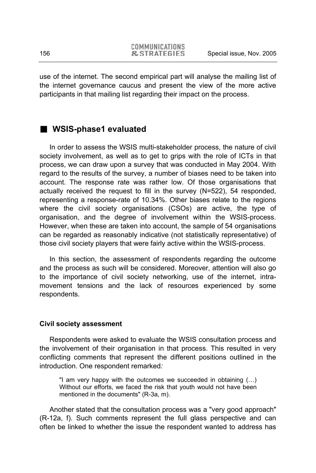use of the internet. The second empirical part will analyse the mailing list of the internet governance caucus and present the view of the more active participants in that mailing list regarding their impact on the process.

### **WSIS-phase1 evaluated**

In order to assess the WSIS multi-stakeholder process, the nature of civil society involvement, as well as to get to grips with the role of ICTs in that process, we can draw upon a survey that was conducted in May 2004. With regard to the results of the survey, a number of biases need to be taken into account. The response rate was rather low. Of those organisations that actually received the request to fill in the survey (N=522), 54 responded, representing a response-rate of 10.34%. Other biases relate to the regions where the civil society organisations (CSOs) are active, the type of organisation, and the degree of involvement within the WSIS-process. However, when these are taken into account, the sample of 54 organisations can be regarded as reasonably indicative (not statistically representative) of those civil society players that were fairly active within the WSIS-process.

In this section, the assessment of respondents regarding the outcome and the process as such will be considered. Moreover, attention will also go to the importance of civil society networking, use of the internet, intramovement tensions and the lack of resources experienced by some respondents.

#### **Civil society assessment**

Respondents were asked to evaluate the WSIS consultation process and the involvement of their organisation in that process. This resulted in very conflicting comments that represent the different positions outlined in the introduction. One respondent remarked*:* 

"I am very happy with the outcomes we succeeded in obtaining (…) Without our efforts, we faced the risk that youth would not have been mentioned in the documents" (R-3a, m).

Another stated that the consultation process was a "very good approach" (R-12a, f). Such comments represent the full glass perspective and can often be linked to whether the issue the respondent wanted to address has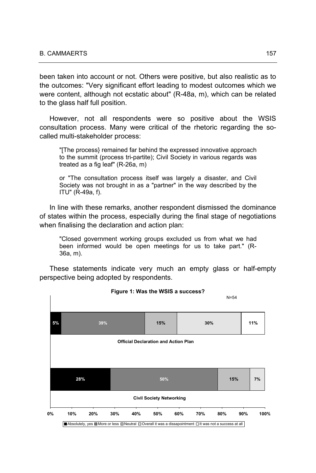been taken into account or not. Others were positive, but also realistic as to the outcomes: "Very significant effort leading to modest outcomes which we were content, although not ecstatic about" (R-48a, m), which can be related to the glass half full position.

However, not all respondents were so positive about the WSIS consultation process. Many were critical of the rhetoric regarding the socalled multi-stakeholder process:

"[The process} remained far behind the expressed innovative approach to the summit (process tri-partite); Civil Society in various regards was treated as a fig leaf" (R-26a, m)

or "The consultation process itself was largely a disaster, and Civil Society was not brought in as a "partner" in the way described by the ITU" (R-49a, f).

In line with these remarks, another respondent dismissed the dominance of states within the process, especially during the final stage of negotiations when finalising the declaration and action plan:

"Closed government working groups excluded us from what we had been informed would be open meetings for us to take part." (R-36a, m).

These statements indicate very much an empty glass or half-empty perspective being adopted by respondents.



**Figure 1: Was the WSIS a success?**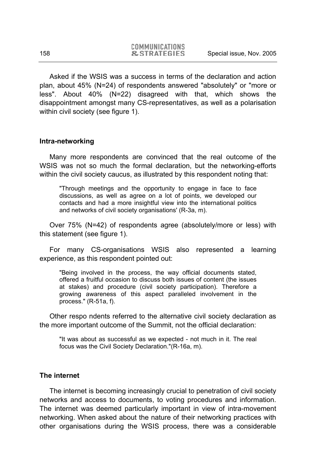Asked if the WSIS was a success in terms of the declaration and action plan, about 45% (N=24) of respondents answered "absolutely" or "more or less". About 40% (N=22) disagreed with that, which shows the disappointment amongst many CS-representatives, as well as a polarisation within civil society (see figure 1).

#### **Intra-networking**

Many more respondents are convinced that the real outcome of the WSIS was not so much the formal declaration, but the networking-efforts within the civil society caucus, as illustrated by this respondent noting that:

"Through meetings and the opportunity to engage in face to face discussions, as well as agree on a lot of points, we developed our contacts and had a more insightful view into the international politics and networks of civil society organisations' (R-3a, m).

Over 75% (N=42) of respondents agree (absolutely/more or less) with this statement (see figure 1).

For many CS-organisations WSIS also represented a learning experience, as this respondent pointed out:

"Being involved in the process, the way official documents stated, offered a fruitful occasion to discuss both issues of content (the issues at stakes) and procedure (civil society participation). Therefore a growing awareness of this aspect paralleled involvement in the process." (R-51a, f).

Other respo ndents referred to the alternative civil society declaration as the more important outcome of the Summit, not the official declaration:

"It was about as successful as we expected - not much in it. The real focus was the Civil Society Declaration."(R-16a, m).

#### **The internet**

The internet is becoming increasingly crucial to penetration of civil society networks and access to documents, to voting procedures and information. The internet was deemed particularly important in view of intra-movement networking. When asked about the nature of their networking practices with other organisations during the WSIS process, there was a considerable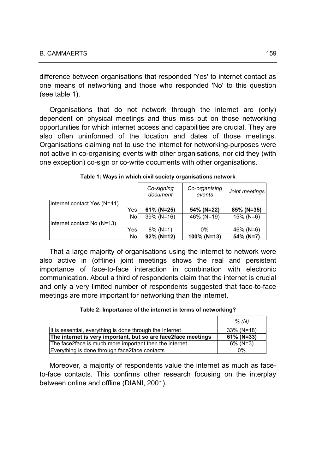difference between organisations that responded 'Yes' to internet contact as one means of networking and those who responded 'No' to this question (see table 1).

Organisations that do not network through the internet are (only) dependent on physical meetings and thus miss out on those networking opportunities for which internet access and capabilities are crucial. They are also often uninformed of the location and dates of those meetings. Organisations claiming not to use the internet for networking-purposes were not active in co-organising events with other organisations, nor did they (with one exception) co-sign or co-write documents with other organisations.

|                             |      | Co-signing<br>document | Co-organising<br>events | Joint meetings |
|-----------------------------|------|------------------------|-------------------------|----------------|
| Internet contact Yes (N=41) |      |                        |                         |                |
|                             | Yes  | 61% (N=25)             | 54% (N=22)              | 85% (N=35)     |
|                             | No.  | $39\%$ (N=16)          | 46% (N=19)              | 15% (N=6)      |
| Internet contact No (N=13)  |      |                        |                         |                |
|                             | Yesl | $8\%$ (N=1)            | 0%                      | 46% (N=6)      |
|                             | No   | $92\%$ (N=12)          | 100% (N=13)             | 54% (N=7)      |

**Table 1: Ways in which civil society organisations network** 

That a large majority of organisations using the internet to network were also active in (offline) joint meetings shows the real and persistent importance of face-to-face interaction in combination with electronic communication. About a third of respondents claim that the internet is crucial and only a very limited number of respondents suggested that face-to-face meetings are more important for networking than the internet.

#### **Table 2: Importance of the internet in terms of networking?**

|                                                               | % (N)         |
|---------------------------------------------------------------|---------------|
| It is essential, everything is done through the Internet      | $33\%$ (N=18) |
| The internet is very important, but so are face2face meetings | $61\%$ (N=33) |
| The face2face is much more important then the internet        | $6\%$ (N=3)   |
| Everything is done through face2face contacts                 | 0%            |

Moreover, a majority of respondents value the internet as much as faceto-face contacts. This confirms other research focusing on the interplay between online and offline (DIANI, 2001).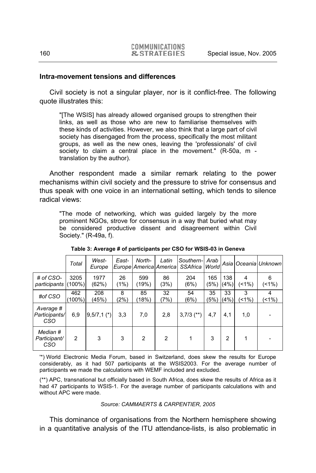#### **Intra-movement tensions and differences**

Civil society is not a singular player, nor is it conflict-free. The following quote illustrates this:

"[The WSIS] has already allowed organised groups to strengthen their links, as well as those who are new to familiarise themselves with these kinds of activities. However, we also think that a large part of civil society has disengaged from the process, specifically the most militant groups, as well as the new ones, leaving the 'professionals' of civil society to claim a central place in the movement." (R-50a, m translation by the author).

Another respondent made a similar remark relating to the power mechanisms within civil society and the pressure to strive for consensus and thus speak with one voice in an international setting, which tends to silence radical views:

"The mode of networking, which was guided largely by the more prominent NGOs, strove for consensus in a way that buried what may be considered productive dissent and disagreement within Civil Society." (R-49a, f).

|                                   | Total             | West-<br>Europe | East-      | North-         | Latin<br>Europe America America | Southern-<br><b>SSAfrica</b> | Arab<br>World | Asia           |           | Oceania Unknown |
|-----------------------------------|-------------------|-----------------|------------|----------------|---------------------------------|------------------------------|---------------|----------------|-----------|-----------------|
| # of $CSO-$<br>participants       | 3205<br>$(100\%)$ | 1977<br>(62%)   | 26<br>(1%) | 599<br>(19%)   | 86<br>(3%)                      | 204<br>(6%)                  | 165<br>(5%)   | 138<br>(4%)    | 4<br>(1%) | 6<br>$(1\%)$    |
| #of CSO                           | 462<br>$100\%$    | 208<br>(45%)    | 8<br>(2%)  | 85<br>(18%)    | 32<br>(7%)                      | 54<br>(6%)                   | 35<br>(5%)    | 33<br>(4%)     | 3<br>(1%) | 4<br>$(1\%)$    |
| Average #<br>Participants/<br>CSO | 6,9               | $9,5/7,1$ (*)   | 3,3        | 7,0            | 2,8                             | $3,7/3$ (**)                 | 4,7           | 4,1            | 1,0       |                 |
| Median #<br>Participant/<br>CSO   | 2                 | 3               | 3          | $\overline{2}$ | $\overline{2}$                  |                              | 3             | $\overline{2}$ |           |                 |

**Table 3: Average # of participants per CSO for WSIS-03 in Geneva** 

'\*) World Electronic Media Forum, based in Switzerland, does skew the results for Europe considerably, as it had 507 participants at the WSIS2003. For the average number of participants we made the calculations with WEMF included and excluded.

(\*\*) APC, transnational but officially based in South Africa, does skew the results of Africa as it had 47 participants to WSIS-1. For the average number of participants calculations with and without APC were made.

#### *Source: CAMMAERTS & CARPENTIER, 2005*

This dominance of organisations from the Northern hemisphere showing in a quantitative analysis of the ITU attendance-lists, is also problematic in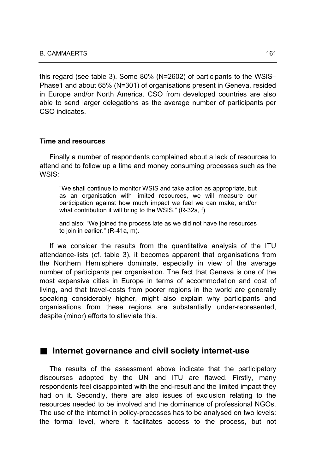this regard (see table 3). Some 80% (N=2602) of participants to the WSIS– Phase1 and about 65% (N=301) of organisations present in Geneva, resided in Europe and/or North America. CSO from developed countries are also able to send larger delegations as the average number of participants per CSO indicates.

#### **Time and resources**

Finally a number of respondents complained about a lack of resources to attend and to follow up a time and money consuming processes such as the WSIS*:* 

"We shall continue to monitor WSIS and take action as appropriate, but as an organisation with limited resources, we will measure our participation against how much impact we feel we can make, and/or what contribution it will bring to the WSIS." (R-32a, f)

and also: "We joined the process late as we did not have the resources to join in earlier." (R-41a, m).

If we consider the results from the quantitative analysis of the ITU attendance-lists (cf. table 3), it becomes apparent that organisations from the Northern Hemisphere dominate, especially in view of the average number of participants per organisation. The fact that Geneva is one of the most expensive cities in Europe in terms of accommodation and cost of living, and that travel-costs from poorer regions in the world are generally speaking considerably higher, might also explain why participants and organisations from these regions are substantially under-represented, despite (minor) efforts to alleviate this.

#### ■ Internet governance and civil society internet-use

The results of the assessment above indicate that the participatory discourses adopted by the UN and ITU are flawed. Firstly, many respondents feel disappointed with the end-result and the limited impact they had on it. Secondly, there are also issues of exclusion relating to the resources needed to be involved and the dominance of professional NGOs. The use of the internet in policy-processes has to be analysed on two levels: the formal level, where it facilitates access to the process, but not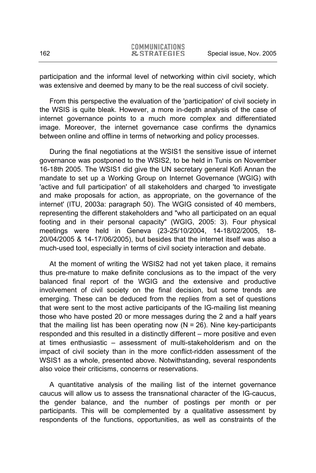participation and the informal level of networking within civil society, which was extensive and deemed by many to be the real success of civil society.

From this perspective the evaluation of the 'participation' of civil society in the WSIS is quite bleak. However, a more in-depth analysis of the case of internet governance points to a much more complex and differentiated image. Moreover, the internet governance case confirms the dynamics between online and offline in terms of networking and policy processes.

During the final negotiations at the WSIS1 the sensitive issue of internet governance was postponed to the WSIS2, to be held in Tunis on November 16-18th 2005. The WSIS1 did give the UN secretary general Kofi Annan the mandate to set up a Working Group on Internet Governance (WGIG) with 'active and full participation' of all stakeholders and charged 'to investigate and make proposals for action, as appropriate, on the governance of the internet' (ITU, 2003a: paragraph 50). The WGIG consisted of 40 members, representing the different stakeholders and "who all participated on an equal footing and in their personal capacity" (WGIG, 2005: 3). Four physical meetings were held in Geneva (23-25/10/2004, 14-18/02/2005, 18- 20/04/2005 & 14-17/06/2005), but besides that the internet itself was also a much-used tool, especially in terms of civil society interaction and debate.

At the moment of writing the WSIS2 had not yet taken place, it remains thus pre-mature to make definite conclusions as to the impact of the very balanced final report of the WGIG and the extensive and productive involvement of civil society on the final decision, but some trends are emerging. These can be deduced from the replies from a set of questions that were sent to the most active participants of the IG-mailing list meaning those who have posted 20 or more messages during the 2 and a half years that the mailing list has been operating now  $(N = 26)$ . Nine key-participants responded and this resulted in a distinctly different – more positive and even at times enthusiastic – assessment of multi-stakeholderism and on the impact of civil society than in the more conflict-ridden assessment of the WSIS1 as a whole, presented above. Notwithstanding, several respondents also voice their criticisms, concerns or reservations.

A quantitative analysis of the mailing list of the internet governance caucus will allow us to assess the transnational character of the IG-caucus, the gender balance, and the number of postings per month or per participants. This will be complemented by a qualitative assessment by respondents of the functions, opportunities, as well as constraints of the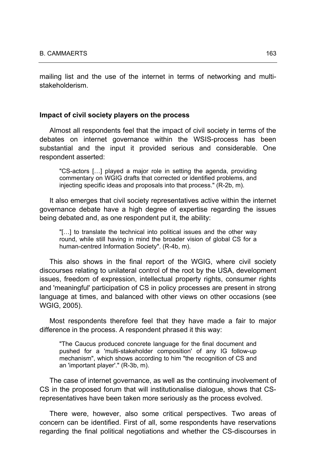mailing list and the use of the internet in terms of networking and multistakeholderism.

#### **Impact of civil society players on the process**

Almost all respondents feel that the impact of civil society in terms of the debates on internet governance within the WSIS-process has been substantial and the input it provided serious and considerable. One respondent asserted:

"CS-actors […] played a major role in setting the agenda, providing commentary on WGIG drafts that corrected or identified problems, and injecting specific ideas and proposals into that process." (R-2b, m).

It also emerges that civil society representatives active within the internet governance debate have a high degree of expertise regarding the issues being debated and, as one respondent put it, the ability:

"[…] to translate the technical into political issues and the other way round, while still having in mind the broader vision of global CS for a human-centred Information Society". (R-4b, m).

This also shows in the final report of the WGIG, where civil society discourses relating to unilateral control of the root by the USA, development issues, freedom of expression, intellectual property rights, consumer rights and 'meaningful' participation of CS in policy processes are present in strong language at times, and balanced with other views on other occasions (see WGIG, 2005).

Most respondents therefore feel that they have made a fair to major difference in the process. A respondent phrased it this way:

"The Caucus produced concrete language for the final document and pushed for a 'multi-stakeholder composition' of any IG follow-up mechanism", which shows according to him "the recognition of CS and an 'important player'." (R-3b, m).

The case of internet governance, as well as the continuing involvement of CS in the proposed forum that will institutionalise dialogue, shows that CSrepresentatives have been taken more seriously as the process evolved.

There were, however, also some critical perspectives. Two areas of concern can be identified. First of all, some respondents have reservations regarding the final political negotiations and whether the CS-discourses in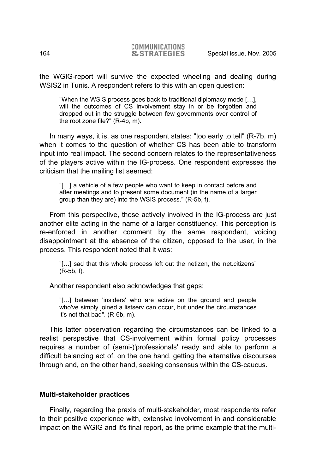the WGIG-report will survive the expected wheeling and dealing during WSIS2 in Tunis. A respondent refers to this with an open question:

"When the WSIS process goes back to traditional diplomacy mode […], will the outcomes of CS involvement stay in or be forgotten and dropped out in the struggle between few governments over control of the root zone file?" (R-4b, m).

In many ways, it is, as one respondent states: "too early to tell" (R-7b, m) when it comes to the question of whether CS has been able to transform input into real impact. The second concern relates to the representativeness of the players active within the IG-process. One respondent expresses the criticism that the mailing list seemed:

"[…] a vehicle of a few people who want to keep in contact before and after meetings and to present some document (in the name of a larger group than they are) into the WSIS process." (R-5b, f).

From this perspective, those actively involved in the IG-process are just another elite acting in the name of a larger constituency. This perception is re-enforced in another comment by the same respondent, voicing disappointment at the absence of the citizen, opposed to the user, in the process. This respondent noted that it was:

"[…] sad that this whole process left out the netizen, the net.citizens" (R-5b, f).

Another respondent also acknowledges that gaps:

"[…] between 'insiders' who are active on the ground and people who've simply joined a listserv can occur, but under the circumstances it's not that bad". (R-6b, m).

This latter observation regarding the circumstances can be linked to a realist perspective that CS-involvement within formal policy processes requires a number of (semi-)'professionals' ready and able to perform a difficult balancing act of, on the one hand, getting the alternative discourses through and, on the other hand, seeking consensus within the CS-caucus.

#### **Multi-stakeholder practices**

Finally, regarding the praxis of multi-stakeholder, most respondents refer to their positive experience with, extensive involvement in and considerable impact on the WGIG and it's final report, as the prime example that the multi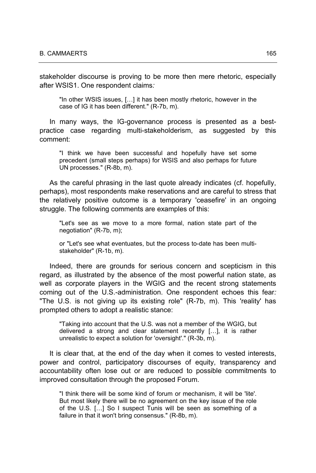stakeholder discourse is proving to be more then mere rhetoric, especially after WSIS1. One respondent claims*:* 

"In other WSIS issues, […] it has been mostly rhetoric, however in the case of IG it has been different." (R-7b, m).

In many ways, the IG-governance process is presented as a bestpractice case regarding multi-stakeholderism, as suggested by this comment:

"I think we have been successful and hopefully have set some precedent (small steps perhaps) for WSIS and also perhaps for future UN processes." (R-8b, m).

As the careful phrasing in the last quote already indicates (cf. hopefully, perhaps), most respondents make reservations and are careful to stress that the relatively positive outcome is a temporary 'ceasefire' in an ongoing struggle. The following comments are examples of this:

"Let's see as we move to a more formal, nation state part of the negotiation" (R-7b, m);

or "Let's see what eventuates, but the process to-date has been multistakeholder" (R-1b, m).

Indeed, there are grounds for serious concern and scepticism in this regard, as illustrated by the absence of the most powerful nation state, as well as corporate players in the WGIG and the recent strong statements coming out of the U.S.-administration. One respondent echoes this fear*:*  "The U.S. is not giving up its existing role" (R-7b, m). This 'reality' has prompted others to adopt a realistic stance:

"Taking into account that the U.S. was not a member of the WGIG, but delivered a strong and clear statement recently […], it is rather unrealistic to expect a solution for 'oversight'." (R-3b, m).

It is clear that, at the end of the day when it comes to vested interests, power and control, participatory discourses of equity, transparency and accountability often lose out or are reduced to possible commitments to improved consultation through the proposed Forum*.* 

"I think there will be some kind of forum or mechanism, it will be 'lite'. But most likely there will be no agreement on the key issue of the role of the U.S. […] So I suspect Tunis will be seen as something of a failure in that it won't bring consensus." (R-8b, m).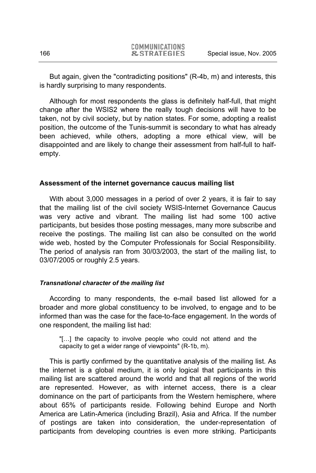But again, given the "contradicting positions" (R-4b, m) and interests, this is hardly surprising to many respondents.

Although for most respondents the glass is definitely half-full, that might change after the WSIS2 where the really tough decisions will have to be taken, not by civil society, but by nation states. For some, adopting a realist position, the outcome of the Tunis-summit is secondary to what has already been achieved, while others, adopting a more ethical view, will be disappointed and are likely to change their assessment from half-full to halfempty.

#### **Assessment of the internet governance caucus mailing list**

With about 3,000 messages in a period of over 2 years, it is fair to say that the mailing list of the civil society WSIS-Internet Governance Caucus was very active and vibrant. The mailing list had some 100 active participants, but besides those posting messages, many more subscribe and receive the postings. The mailing list can also be consulted on the world wide web, hosted by the Computer Professionals for Social Responsibility. The period of analysis ran from 30/03/2003, the start of the mailing list, to 03/07/2005 or roughly 2.5 years.

#### *Transnational character of the mailing list*

According to many respondents, the e-mail based list allowed for a broader and more global constituency to be involved, to engage and to be informed than was the case for the face-to-face engagement. In the words of one respondent, the mailing list had:

"[…] the capacity to involve people who could not attend and the capacity to get a wider range of viewpoints" (R-1b, m).

This is partly confirmed by the quantitative analysis of the mailing list. As the internet is a global medium, it is only logical that participants in this mailing list are scattered around the world and that all regions of the world are represented. However, as with internet access, there is a clear dominance on the part of participants from the Western hemisphere, where about 65% of participants reside. Following behind Europe and North America are Latin-America (including Brazil), Asia and Africa. If the number of postings are taken into consideration, the under-representation of participants from developing countries is even more striking. Participants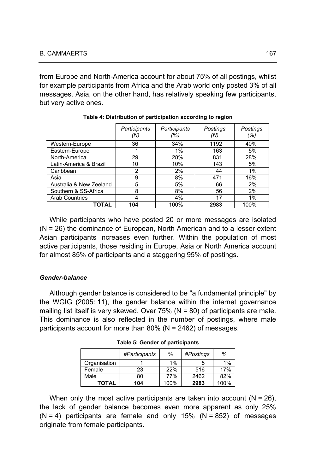from Europe and North-America account for about 75% of all postings, whilst for example participants from Africa and the Arab world only posted 3% of all messages. Asia, on the other hand, has relatively speaking few participants, but very active ones.

|                         | Participants<br>(N) | Participants<br>(%) | Postings<br>(N) | Postings<br>(%) |
|-------------------------|---------------------|---------------------|-----------------|-----------------|
| Western-Europe          | 36                  | 34%                 | 1192            | 40%             |
| Eastern-Europe          |                     | $1\%$               | 163             | 5%              |
| North-America           | 29                  | 28%                 | 831             | 28%             |
| Latin-America & Brazil  | 10                  | 10%                 | 143             | 5%              |
| Caribbean               | 2                   | 2%                  | 44              | 1%              |
| Asia                    | 9                   | 8%                  | 471             | 16%             |
| Australia & New Zeeland | 5                   | 5%                  | 66              | 2%              |
| Southern & SS-Africa    | 8                   | 8%                  | 56              | 2%              |
| <b>Arab Countries</b>   | 4                   | 4%                  | 17              | 1%              |
| TOTAL                   | 104                 | 100%                | 2983            | 100%            |

While participants who have posted 20 or more messages are isolated (N = 26) the dominance of European, North American and to a lesser extent Asian participants increases even further. Within the population of most active participants, those residing in Europe, Asia or North America account for almost 85% of participants and a staggering 95% of postings.

#### *Gender-balance*

Although gender balance is considered to be "a fundamental principle" by the WGIG (2005: 11), the gender balance within the internet governance mailing list itself is very skewed. Over  $75\%$  (N = 80) of participants are male. This dominance is also reflected in the number of postings, where male participants account for more than 80% (N = 2462) of messages.

|              | #Participants | %    | #Postings | %    |
|--------------|---------------|------|-----------|------|
| Organisation |               | 1%   |           | 1%   |
| Female       | 23            | 22%  | 516       | 17%  |
| Male         | 80            | 77%  | 2462      | 82%  |
| <b>TOTAL</b> | 104           | 100% | 2983      | 100% |

**Table 5: Gender of participants** 

When only the most active participants are taken into account ( $N = 26$ ), the lack of gender balance becomes even more apparent as only 25%  $(N = 4)$  participants are female and only 15%  $(N = 852)$  of messages originate from female participants.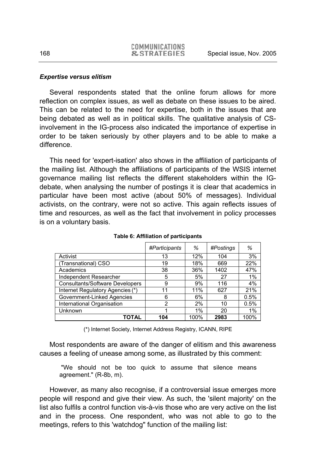#### *Expertise versus elitism*

Several respondents stated that the online forum allows for more reflection on complex issues, as well as debate on these issues to be aired. This can be related to the need for expertise, both in the issues that are being debated as well as in political skills. The qualitative analysis of CSinvolvement in the IG-process also indicated the importance of expertise in order to be taken seriously by other players and to be able to make a difference.

This need for 'expert-isation' also shows in the affiliation of participants of the mailing list. Although the affiliations of participants of the WSIS internet governance mailing list reflects the different stakeholders within the IGdebate, when analysing the number of postings it is clear that academics in particular have been most active (about 50% of messages). Individual activists, on the contrary, were not so active. This again reflects issues of time and resources, as well as the fact that involvement in policy processes is on a voluntary basis.

|                                        | #Participants | %     | #Postings | %    |
|----------------------------------------|---------------|-------|-----------|------|
| Activist                               | 13            | 12%   | 104       | 3%   |
| (Transnational) CSO                    | 19            | 18%   | 669       | 22%  |
| Academics                              | 38            | 36%   | 1402      | 47%  |
| Independent Researcher                 | 5             | 5%    | 27        | 1%   |
| <b>Consultants/Software Developers</b> | 9             | 9%    | 116       | 4%   |
| Internet Regulatory Agencies (*)       | 11            | 11%   | 627       | 21%  |
| Government-Linked Agencies             | 6             | 6%    | 8         | 0.5% |
| International Organisation             | 2             | 2%    | 10        | 0.5% |
| Unknown                                |               | $1\%$ | 20        | 1%   |
| <b>TOTAL</b>                           | 104           | 100%  | 2983      | 100% |

**Table 6: Affiliation of participants** 

(\*) Internet Society, Internet Address Registry, ICANN, RIPE

Most respondents are aware of the danger of elitism and this awareness causes a feeling of unease among some, as illustrated by this comment:

 "We should not be too quick to assume that silence means agreement." (R-8b, m).

However, as many also recognise, if a controversial issue emerges more people will respond and give their view. As such, the 'silent majority' on the list also fulfils a control function vis-à-vis those who are very active on the list and in the process. One respondent, who was not able to go to the meetings, refers to this 'watchdog" function of the mailing list: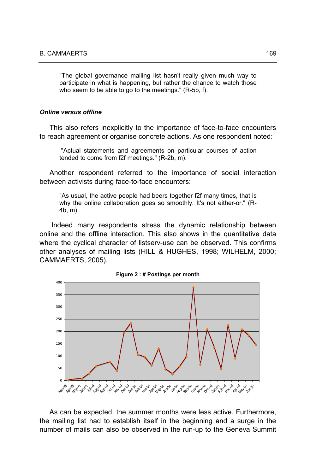"The global governance mailing list hasn't really given much way to participate in what is happening, but rather the chance to watch those who seem to be able to go to the meetings." (R-5b, f).

#### *Online versus offline*

This also refers inexplicitly to the importance of face-to-face encounters to reach agreement or organise concrete actions. As one respondent noted:

 "Actual statements and agreements on particular courses of action tended to come from f2f meetings." (R-2b, m).

Another respondent referred to the importance of social interaction between activists during face-to-face encounters:

"As usual, the active people had beers together f2f many times, that is why the online collaboration goes so smoothly. It's not either-or." (R-4b, m).

 Indeed many respondents stress the dynamic relationship between online and the offline interaction. This also shows in the quantitative data where the cyclical character of listserv-use can be observed. This confirms other analyses of mailing lists (HILL & HUGHES, 1998; WILHELM, 2000; CAMMAERTS, 2005).





As can be expected, the summer months were less active. Furthermore, the mailing list had to establish itself in the beginning and a surge in the number of mails can also be observed in the run-up to the Geneva Summit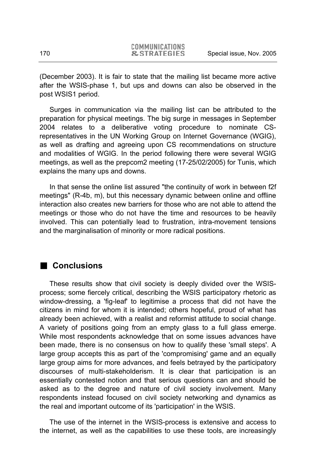(December 2003). It is fair to state that the mailing list became more active after the WSIS-phase 1, but ups and downs can also be observed in the post WSIS1 period.

Surges in communication via the mailing list can be attributed to the preparation for physical meetings. The big surge in messages in September 2004 relates to a deliberative voting procedure to nominate CSrepresentatives in the UN Working Group on Internet Governance (WGIG), as well as drafting and agreeing upon CS recommendations on structure and modalities of WGIG. In the period following there were several WGIG meetings, as well as the prepcom2 meeting (17-25/02/2005) for Tunis, which explains the many ups and downs.

In that sense the online list assured "the continuity of work in between f2f meetings" (R-4b, m), but this necessary dynamic between online and offline interaction also creates new barriers for those who are not able to attend the meetings or those who do not have the time and resources to be heavily involved. This can potentially lead to frustration, intra-movement tensions and the marginalisation of minority or more radical positions.

### **Conclusions**

These results show that civil society is deeply divided over the WSISprocess; some fiercely critical, describing the WSIS participatory rhetoric as window-dressing, a 'fig-leaf' to legitimise a process that did not have the citizens in mind for whom it is intended; others hopeful, proud of what has already been achieved, with a realist and reformist attitude to social change. A variety of positions going from an empty glass to a full glass emerge. While most respondents acknowledge that on some issues advances have been made, there is no consensus on how to qualify these 'small steps'. A large group accepts this as part of the 'compromising' game and an equally large group aims for more advances, and feels betrayed by the participatory discourses of multi-stakeholderism. It is clear that participation is an essentially contested notion and that serious questions can and should be asked as to the degree and nature of civil society involvement. Many respondents instead focused on civil society networking and dynamics as the real and important outcome of its 'participation' in the WSIS.

The use of the internet in the WSIS-process is extensive and access to the internet, as well as the capabilities to use these tools, are increasingly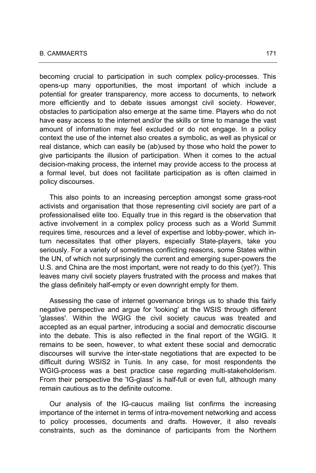becoming crucial to participation in such complex policy-processes. This opens-up many opportunities, the most important of which include a potential for greater transparency, more access to documents, to network more efficiently and to debate issues amongst civil society. However, obstacles to participation also emerge at the same time. Players who do not have easy access to the internet and/or the skills or time to manage the vast amount of information may feel excluded or do not engage. In a policy context the use of the internet also creates a symbolic, as well as physical or real distance, which can easily be (ab)used by those who hold the power to give participants the illusion of participation. When it comes to the actual decision-making process, the internet may provide access to the process at a formal level, but does not facilitate participation as is often claimed in policy discourses.

This also points to an increasing perception amongst some grass-root activists and organisation that those representing civil society are part of a professionalised elite too. Equally true in this regard is the observation that active involvement in a complex policy process such as a World Summit requires time, resources and a level of expertise and lobby-power, which inturn necessitates that other players, especially State-players, take you seriously. For a variety of sometimes conflicting reasons, some States within the UN, of which not surprisingly the current and emerging super-powers the U.S. and China are the most important, were not ready to do this (yet?). This leaves many civil society players frustrated with the process and makes that the glass definitely half-empty or even downright empty for them.

Assessing the case of internet governance brings us to shade this fairly negative perspective and argue for 'looking' at the WSIS through different 'glasses'. Within the WGIG the civil society caucus was treated and accepted as an equal partner, introducing a social and democratic discourse into the debate. This is also reflected in the final report of the WGIG. It remains to be seen, however, to what extent these social and democratic discourses will survive the inter-state negotiations that are expected to be difficult during WSIS2 in Tunis. In any case, for most respondents the WGIG-process was a best practice case regarding multi-stakeholderism. From their perspective the 'IG-glass' is half-full or even full, although many remain cautious as to the definite outcome.

Our analysis of the IG-caucus mailing list confirms the increasing importance of the internet in terms of intra-movement networking and access to policy processes, documents and drafts. However, it also reveals constraints, such as the dominance of participants from the Northern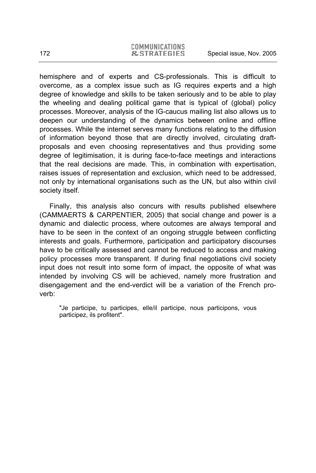hemisphere and of experts and CS-professionals. This is difficult to overcome, as a complex issue such as IG requires experts and a high degree of knowledge and skills to be taken seriously and to be able to play the wheeling and dealing political game that is typical of (global) policy processes. Moreover, analysis of the IG-caucus mailing list also allows us to deepen our understanding of the dynamics between online and offline processes. While the internet serves many functions relating to the diffusion of information beyond those that are directly involved, circulating draftproposals and even choosing representatives and thus providing some degree of legitimisation, it is during face-to-face meetings and interactions that the real decisions are made. This, in combination with expertisation, raises issues of representation and exclusion, which need to be addressed, not only by international organisations such as the UN, but also within civil society itself.

Finally, this analysis also concurs with results published elsewhere (CAMMAERTS & CARPENTIER, 2005) that social change and power is a dynamic and dialectic process, where outcomes are always temporal and have to be seen in the context of an ongoing struggle between conflicting interests and goals. Furthermore, participation and participatory discourses have to be critically assessed and cannot be reduced to access and making policy processes more transparent. If during final negotiations civil society input does not result into some form of impact, the opposite of what was intended by involving CS will be achieved, namely more frustration and disengagement and the end-verdict will be a variation of the French proverb:

"Je participe, tu participes, elle/il participe, nous participons, vous participez, ils profitent".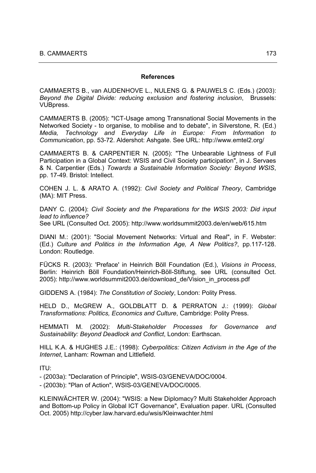#### **References**

CAMMAERTS B., van AUDENHOVE L., NULENS G. & PAUWELS C. (Eds.) (2003): *Beyond the Digital Divide: reducing exclusion and fostering inclusion*, Brussels: VUBpress.

CAMMAERTS B. (2005): "ICT-Usage among Transnational Social Movements in the Networked Society - to organise, to mobilise and to debate", in Silverstone, R. (Ed.) *Media, Technology and Everyday Life in Europe: From Information to Communication*, pp. 53-72. Aldershot: Ashgate. See URL: http://www.emtel2.org/

CAMMAERTS B. & CARPENTIER N. (2005): "The Unbearable Lightness of Full Participation in a Global Context: WSIS and Civil Society participation", in J. Servaes & N. Carpentier (Eds.) *Towards a Sustainable Information Society: Beyond WSIS*, pp. 17-49. Bristol: Intellect.

COHEN J. L. & ARATO A. (1992): *Civil Society and Political Theory*, Cambridge (MA): MIT Press.

DANY C. (2004): *Civil Society and the Preparations for the WSIS 2003: Did input lead to influence?* See URL (Consulted Oct. 2005): http://www.worldsummit2003.de/en/web/615.htm

DIANI M.: (2001): "Social Movement Networks: Virtual and Real", in F. Webster: (Ed.) *Culture and Politics in the Information Age, A New Politics?*, pp.117-128. London: Routledge.

FÜCKS R. (2003): 'Preface' in Heinrich Böll Foundation (Ed.), *Visions in Process*, Berlin: Heinrich Böll Foundation/Heinrich-Böll-Stiftung, see URL (consulted Oct. 2005): http://www.worldsummit2003.de/download\_de/Vision\_in\_process.pdf

GIDDENS A. (1984): *The Constitution of Society*, London: Polity Press.

HELD D., McGREW A., GOLDBLATT D. & PERRATON J.: (1999): *Global Transformations: Politics, Economics and Culture*, Cambridge: Polity Press.

HEMMATI M. (2002): *Multi-Stakeholder Processes for Governance and Sustainability: Beyond Deadlock and Conflict*, London: Earthscan.

HILL K.A. & HUGHES J.E.: (1998): *Cyberpolitics: Citizen Activism in the Age of the Internet*, Lanham: Rowman and Littlefield.

ITU:

- (2003a): "Declaration of Principle", WSIS-03/GENEVA/DOC/0004.

- (2003b): "Plan of Action", WSIS-03/GENEVA/DOC/0005.

KLEINWÄCHTER W. (2004): "WSIS: a New Diplomacy? Multi Stakeholder Approach and Bottom-up Policy in Global ICT Governance", Evaluation paper. URL (Consulted Oct. 2005) http://cyber.law.harvard.edu/wsis/Kleinwachter.html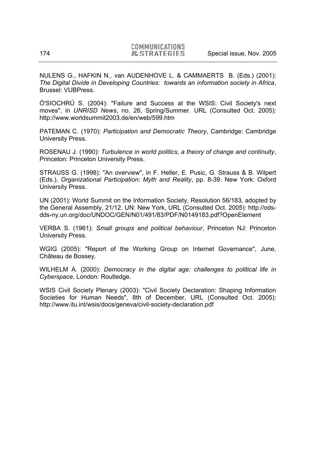NULENS G., HAFKIN N., van AUDENHOVE L. & CAMMAERTS B. (Eds.) (2001): *The Digital Divide in Developing Countries: towards an information society in Africa*, Brussel: VUBPress.

Ó'SIOCHRÚ S. (2004): "Failure and Success at the WSIS: Civil Society's next moves", in *UNRISD News*, no. 26, Spring/Summer. URL (Consulted Oct. 2005): http://www.worldsummit2003.de/en/web/599.htm

PATEMAN C. (1970): *Participation and Democratic Theory*, Cambridge: Cambridge University Press.

ROSENAU J. (1990): *Turbulence in world politics, a theory of change and continuity*, Princeton: Princeton University Press.

STRAUSS G. (1998): "An overview", in F. Heller, E. Pusic, G. Strauss & B. Wilpert (Eds.), *Organizational Participation: Myth and Reality*, pp. 8-39. New York: Oxford University Press.

UN (2001): World Summit on the Information Society, Resolution 56/183, adopted by the General Assembly, 21/12. UN: New York, URL (Consulted Oct. 2005): http://odsdds-ny.un.org/doc/UNDOC/GEN/N01/491/83/PDF/N0149183.pdf?OpenElement

VERBA S. (1961): *Small groups and political behaviour*, Princeton NJ: Princeton University Press.

WGIG (2005): "Report of the Working Group on Internet Governance", June, Château de Bossey.

WILHELM A. (2000): *Democracy in the digital age: challenges to political life in Cyberspace*, London: Routledge.

WSIS Civil Society Plenary (2003): "Civil Society Declaration: Shaping Information Societies for Human Needs", 8th of December, URL (Consulted Oct. 2005): http://www.itu.int/wsis/docs/geneva/civil-society-declaration.pdf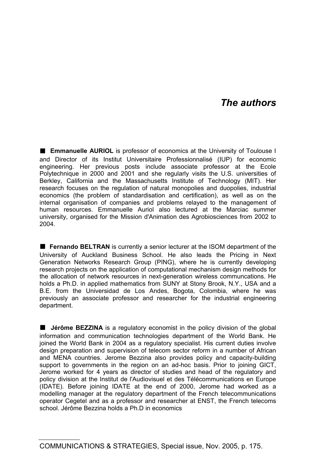## *The authors*

**Emmanuelle AURIOL** is professor of economics at the University of Toulouse I and Director of its Institut Universitaire Professionnalisé (IUP) for economic engineering. Her previous posts include associate professor at the Ecole Polytechnique in 2000 and 2001 and she regularly visits the U.S. universities of Berkley, California and the Massachusetts Institute of Technology (MIT). Her research focuses on the regulation of natural monopolies and duopolies, industrial economics (the problem of standardisation and certification), as well as on the internal organisation of companies and problems relayed to the management of human resources. Emmanuelle Auriol also lectured at the Marciac summer university, organised for the Mission d'Animation des Agrobiosciences from 2002 to 2004.

**Fernando BELTRAN** is currently a senior lecturer at the ISOM department of the University of Auckland Business School. He also leads the Pricing in Next Generation Networks Research Group (PING), where he is currently developing research projects on the application of computational mechanism design methods for the allocation of network resources in next-generation wireless communcations. He holds a Ph.D. in applied mathematics from SUNY at Stony Brook, N.Y., USA and a B.E. from the Universidad de Los Andes, Bogota, Colombia, where he was previously an associate professor and researcher for the industrial engineering department.

**I** Jérôme BEZZINA is a regulatory economist in the policy division of the global information and communication technologies department of the World Bank. He joined the World Bank in 2004 as a regulatory specialist. His current duties involve design preparation and supervision of telecom sector reform in a number of African and MENA countries. Jerome Bezzina also provides policy and capacity-building support to governments in the region on an ad-hoc basis. Prior to joining GICT, Jerome worked for 4 years as director of studies and head of the regulatory and policy division at the Institut de l'Audiovisuel et des Télécommunications en Europe (IDATE). Before joining IDATE at the end of 2000, Jerome had worked as a modelling manager at the regulatory department of the French telecommunications operator Cegetel and as a professor and researcher at ENST, the French telecoms school. Jérôme Bezzina holds a Ph.D in economics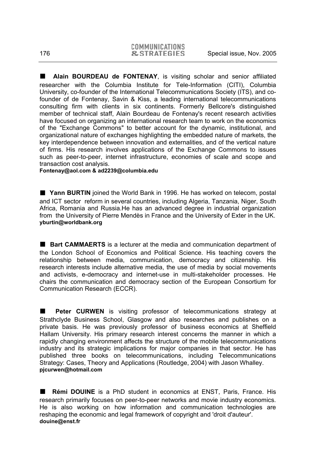**Alain BOURDEAU de FONTENAY**, is visiting scholar and senior affiliated researcher with the Columbia Institute for Tele-Information (CITI), Columbia University, co-founder of the International Telecommunications Society (ITS), and cofounder of de Fontenay, Savin & Kiss, a leading international telecommunications consulting firm with clients in six continents. Formerly Bellcore's distinguished member of technical staff, Alain Bourdeau de Fontenay's recent research activities have focused on organizing an international research team to work on the economics of the "Exchange Commons" to better account for the dynamic, institutional, and organizational nature of exchanges highlighting the embedded nature of markets, the key interdependence between innovation and externalities, and of the vertical nature of firms. His research involves applications of the Exchange Commons to issues such as peer-to-peer, internet infrastructure, economies of scale and scope and transaction cost analysis.

**Fontenay@aol.com & ad2239@columbia.edu** 

 **Yann BURTIN** joined the World Bank in 1996. He has worked on telecom, postal and ICT sector reform in several countries, including Algeria, Tanzania, Niger, South Africa, Romania and Russia.He has an advanced degree in industrial organization from the University of Pierre Mendès in France and the University of Exter in the UK. **yburtin@worldbank.org** 

■ Bart CAMMAERTS is a lecturer at the media and communication department of the London School of Economics and Political Science. His teaching covers the relationship between media, communication, democracy and citizenship. His research interests include alternative media, the use of media by social movements and activists, e-democracy and internet-use in multi-stakeholder processes. He chairs the communication and democracy section of the European Consortium for Communication Research (ECCR).

**Peter CURWEN** is visiting professor of telecommunications strategy at Strathclyde Business School, Glasgow and also researches and publishes on a private basis. He was previously professor of business economics at Sheffield Hallam University. His primary research interest concerns the manner in which a rapidly changing environment affects the structure of the mobile telecommunications industry and its strategic implications for major companies in that sector. He has published three books on telecommunications, including Telecommunications Strategy: Cases, Theory and Applications (Routledge, 2004) with Jason Whalley. **pjcurwen@hotmail.com** 

 **Rémi DOUINE** is a PhD student in economics at ENST, Paris, France. His research primarily focuses on peer-to-peer networks and movie industry economics. He is also working on how information and communication technologies are reshaping the economic and legal framework of copyright and 'droit d'auteur'. **douine@enst.fr**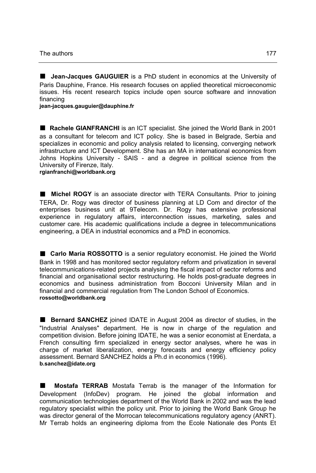**Jean-Jacques GAUGUIER** is a PhD student in economics at the University of Paris Dauphine, France. His research focuses on applied theoretical microeconomic issues. His recent research topics include open source software and innovation financing

**jean-jacques.gauguier@dauphine.fr** 

■ Rachele GIANFRANCHI is an ICT specialist. She joined the World Bank in 2001 as a consultant for telecom and ICT policy. She is based in Belgrade, Serbia and specializes in economic and policy analysis related to licensing, converging network infrastructure and ICT Development. She has an MA in international economics from Johns Hopkins University - SAIS - and a degree in political science from the University of Firenze, Italy.

**rgianfranchi@worldbank.org** 

 **Michel ROGY** is an associate director with TERA Consultants. Prior to joining TERA, Dr. Rogy was director of business planning at LD Com and director of the enterprises business unit at 9Telecom. Dr. Rogy has extensive professional experience in regulatory affairs, interconnection issues, marketing, sales and customer care. His academic qualifications include a degree in telecommunications engineering, a DEA in industrial economics and a PhD in economics.

■ Carlo Maria ROSSOTTO is a senior regulatory economist. He joined the World Bank in 1998 and has monitored sector regulatory reform and privatization in several telecommunications-related projects analysing the fiscal impact of sector reforms and financial and organisational sector restructuring. He holds post-graduate degrees in economics and business administration from Bocconi University Milan and in financial and commercial regulation from The London School of Economics. **rossotto@worldbank.org** 

**Bernard SANCHEZ** joined IDATE in August 2004 as director of studies, in the "Industrial Analyses" department. He is now in charge of the regulation and competition division. Before joining IDATE, he was a senior economist at Enerdata, a French consulting firm specialized in energy sector analyses, where he was in charge of market liberalization, energy forecasts and energy efficiency policy assessment. Bernard SANCHEZ holds a Ph.d in economics (1996). **b.sanchez@idate.org** 

 **Mostafa TERRAB** Mostafa Terrab is the manager of the Information for Development (InfoDev) program. He joined the global information and communication technologies department of the World Bank in 2002 and was the lead regulatory specialist within the policy unit. Prior to joining the World Bank Group he was director general of the Morrocan telecommunications regulatory agency (ANRT). Mr Terrab holds an engineering diploma from the Ecole Nationale des Ponts Et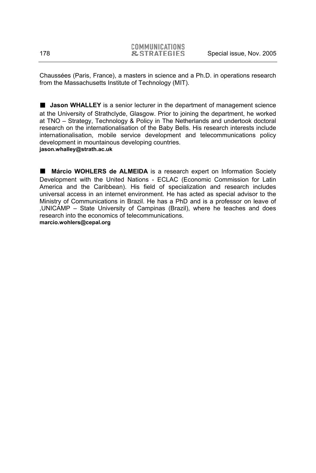Chaussées (Paris, France), a masters in science and a Ph.D. in operations research from the Massachusetts Institute of Technology (MIT).

**I** Jason WHALLEY is a senior lecturer in the department of management science at the University of Strathclyde, Glasgow. Prior to joining the department, he worked at TNO – Strategy, Technology & Policy in The Netherlands and undertook doctoral research on the internationalisation of the Baby Bells. His research interests include internationalisation, mobile service development and telecommunications policy development in mountainous developing countries. **jason.whalley@strath.ac.uk** 

 **Márcio WOHLERS de ALMEIDA** is a research expert on Information Society Development with the United Nations - ECLAC (Economic Commission for Latin America and the Caribbean). His field of specialization and research includes universal access in an internet environment. He has acted as special advisor to the Ministry of Communications in Brazil. He has a PhD and is a professor on leave of ,UNICAMP – State University of Campinas (Brazil), where he teaches and does research into the economics of telecommunications. **marcio.wohlers@cepal.org**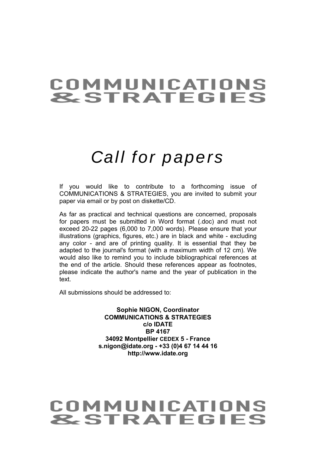## **COMMUNICATIONS &STRATEGIES**

# *Call for papers*

If you would like to contribute to a forthcoming issue of COMMUNICATIONS & STRATEGIES, you are invited to submit your paper via email or by post on diskette/CD.

As far as practical and technical questions are concerned, proposals for papers must be submitted in Word format (.doc) and must not exceed 20-22 pages (6,000 to 7,000 words). Please ensure that your illustrations (graphics, figures, etc.) are in black and white - excluding any color - and are of printing quality. It is essential that they be adapted to the journal's format (with a maximum width of 12 cm). We would also like to remind you to include bibliographical references at the end of the article. Should these references appear as footnotes, please indicate the author's name and the year of publication in the text.

All submissions should be addressed to:

**Sophie NIGON, Coordinator COMMUNICATIONS & STRATEGIES c/o IDATE BP 4167 34092 Montpellier CEDEX 5 - France s.nigon@idate.org - +33 (0)4 67 14 44 16 http://www.idate.org**

## **COMMUNICATIONS &STRATEGIES**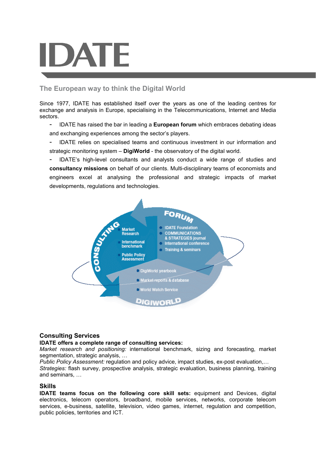#### **The European way to think the Digital World**

Since 1977, IDATE has established itself over the years as one of the leading centres for exchange and analysis in Europe, specialising in the Telecommunications, Internet and Media sectors.

- IDATE has raised the bar in leading a **European forum** which embraces debating ideas and exchanging experiences among the sector's players.
- IDATE relies on specialised teams and continuous investment in our information and strategic monitoring system – **DigiWorld** - the observatory of the digital world.

- IDATE's high-level consultants and analysts conduct a wide range of studies and **consultancy missions** on behalf of our clients. Multi-disciplinary teams of economists and engineers excel at analysing the professional and strategic impacts of market developments, regulations and technologies.



#### **Consulting Services**

#### **IDATE offers a complete range of consulting services:**

*Market research and positioning:* international benchmark, sizing and forecasting, market segmentation, strategic analysis, ...

*Public Policy Assessment:* regulation and policy advice, impact studies, ex-post evaluation,…

*Strategies:* flash survey, prospective analysis, strategic evaluation, business planning, training and seminars, …

#### **Skills**

**IDATE teams focus on the following core skill sets:** equipment and Devices, digital electronics, telecom operators, broadband, mobile services, networks, corporate telecom services, e-business, satellite, television, video games, internet, regulation and competition, public policies, territories and ICT.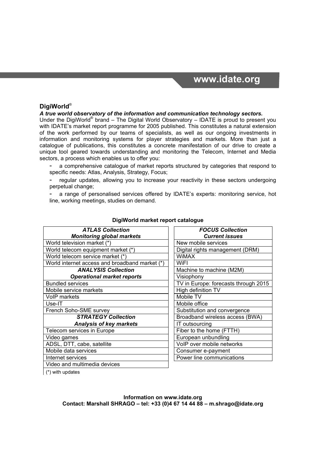# **www.idate.org**

### **DigiWorld**®

#### *A true world observatory of the information and communication technology sectors.*

Under the DigiWorld® brand - The Digital World Observatory - IDATE is proud to present you with IDATE's market report programme for 2005 published. This constitutes a natural extension of the work performed by our teams of specialists, as well as our ongoing investments in information and monitoring systems for player strategies and markets. More than just a catalogue of publications, this constitutes a concrete manifestation of our drive to create a unique tool geared towards understanding and monitoring the Telecom, Internet and Media sectors, a process which enables us to offer you:

a comprehensive catalogue of market reports structured by categories that respond to specific needs: Atlas, Analysis, Strategy, Focus;

regular updates, allowing you to increase your reactivity in these sectors undergoing perpetual change;

a range of personalised services offered by IDATE's experts: monitoring service, hot line, working meetings, studies on demand.

| <b>ATLAS Collection</b>                        |         |
|------------------------------------------------|---------|
| <b>Monitoring global markets</b>               |         |
| World television market (*)                    | New     |
| World telecom equipment market (*)             | Digita  |
| World telecom service market (*)               | WiM/    |
| World internet access and broadband market (*) | WiFl    |
| <b>ANALYSIS Collection</b>                     | Mach    |
| <b>Operational market reports</b>              | Visio   |
| <b>Bundled services</b>                        | $TV$ in |
| Mobile service markets                         | High    |
| <b>VoIP markets</b>                            | Mobi    |
| Use-IT                                         | Mobi    |
| French Soho-SME survey                         | Subs    |
| <b>STRATEGY Collection</b>                     | Broa    |
| <b>Analysis of key markets</b>                 | IT ou   |
| Telecom services in Europe                     | Fiber   |
| Video games                                    | Euro    |
| ADSL, DTT, cabe, satellite                     | VoIP    |
| Mobile data services                           | Cons    |
| Internet services                              | Powe    |
| Video and multimedia devices                   |         |

### *FOCUS Collection Current issues* New mobile services Digital rights management (DRM) WiMAX<sup>1</sup> Machine to machine (M2M) *Operational market reports* Visiophony TV in Europe: forecasts through 2015 High definition TV **Vlobile TV** Mobile office Substitution and convergence *STRATEGY Collection* Broadband wireless access (BWA) *Analysis of key markets* IT outsourcing Fiber to the home (FTTH) European unbundling VoIP over mobile networks Consumer e-payment Power line communications

**DigiWorld market report catalogue** 

(\*) with updates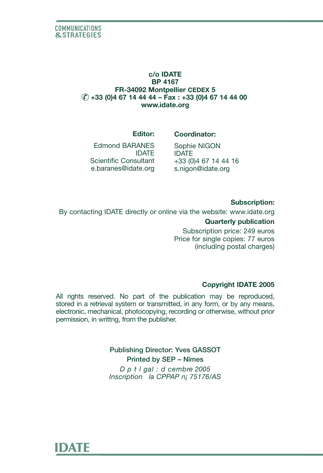## **c/o IDATE BP 4167 FR-34092 Montpellier CEDEX 5 +33 (0)4 67 14 44 44 – Fax : +33 (0)4 67 14 44 00 www.idate.org**

### **Editor:**

Edmond BARANES IDATE Scientific Consultant e.baranes@idate.org

# **Coordinator:**

Sophie NIGON IDATE +33 (0)4 67 14 44 16 s.nigon@idate.org

### **Subscription:**

By contacting IDATE directly or online via the website: www.idate.org **Quarterly publication** Subscription price: 249 euros

Price for single copies: 77 euros (including postal charges)

## **Copyright IDATE 2005**

All rights reserved. No part of the publication may be reproduced, stored in a retrieval system or transmitted, in any form, or by any means, electronic, mechanical, photocopying, recording or otherwise, without prior permission, in writtng, from the publisher.

> **Publishing Director: Yves GASSOT Printed by SEP – Nîmes** *D p t l gal : d cembre 2005 Inscription la CPPAP n¡ 75176/AS*